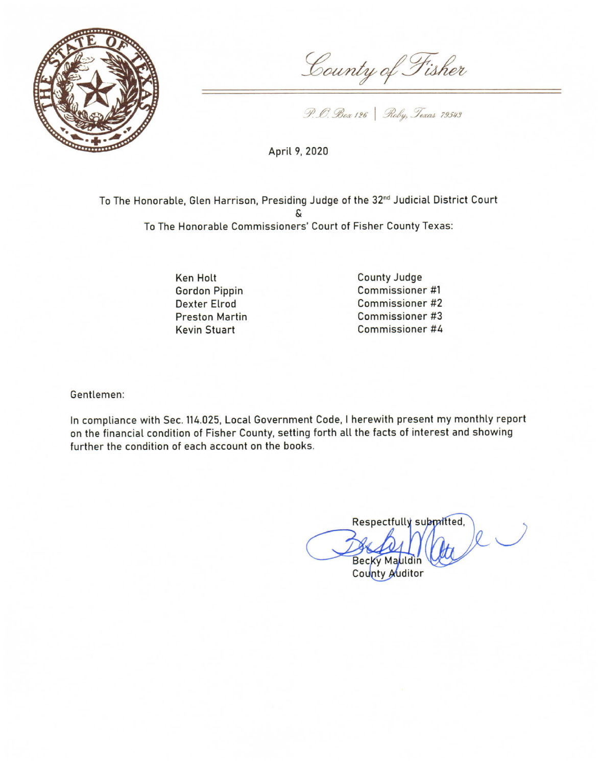

County of Fisher

P. O. Box 126 | Roby, Texas 79543

April 9, 2020

To The Honorable, Glen Harrison, Presiding Judge of the 32<sup>nd</sup> Judicial District Court To The Honorable Commissioners' Court of Fisher County Texas:

> **Ken Holt Gordon Pippin Dexter Elrod Preston Martin Kevin Stuart**

County Judge Commissioner #1 Commissioner #2 Commissioner #3 Commissioner #4

Gentlemen:

In compliance with Sec. 114.025, Local Government Code, I herewith present my monthly report on the financial condition of Fisher County, setting forth all the facts of interest and showing further the condition of each account on the books.

Respectfully submitted, Becky Mauldir

County Auditor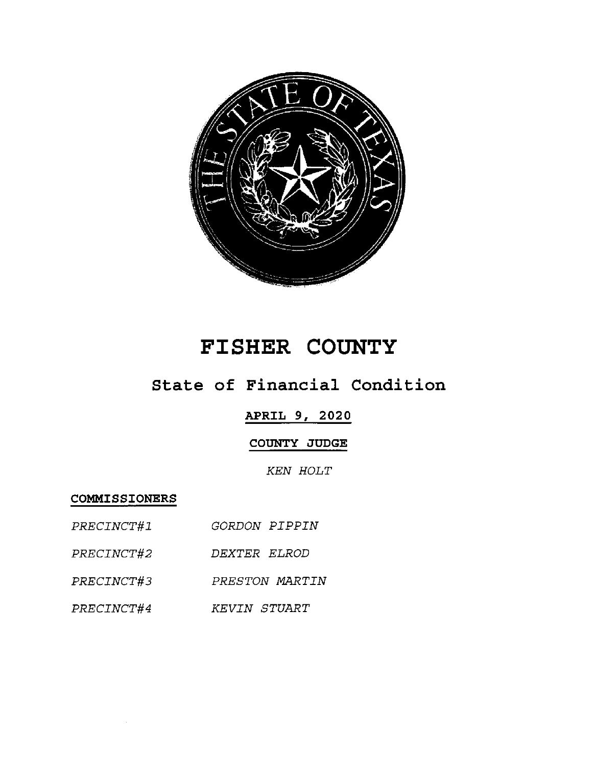

# **FISHER COUNTY**

## State of Financial Condition

### **APRIL 9, 2020**

#### COUNTY JUDGE

**KEN HOLT** 

COMMISSIONERS

- PRECINCT#1 GORDON PIPPIN
- DEXTER ELROD *PRECINCT#2*
- PRECINCT#3 PRESTON MARTIN
- PRECINCT#4 KEVIN STUART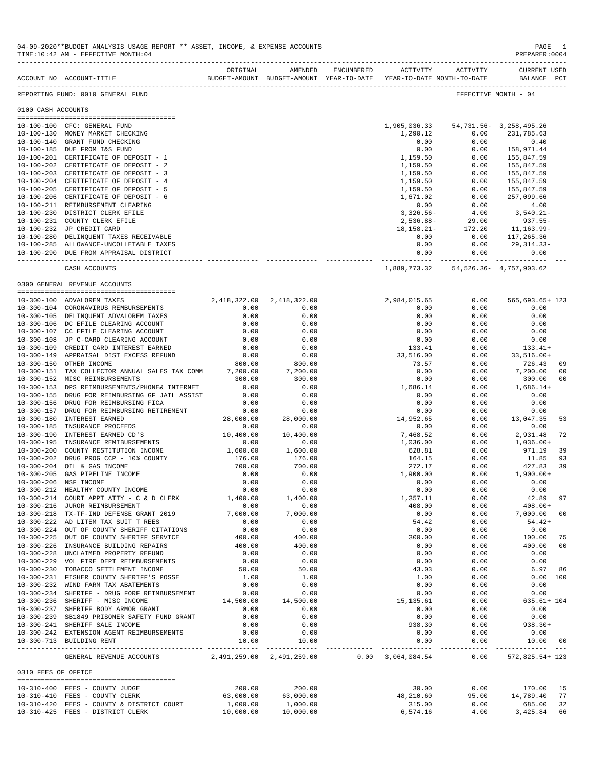|                     | ACCOUNT NO ACCOUNT-TITLE                                                                  | ORIGINAL           | AMENDED            | <b>ENCUMBERED</b> | ACTIVITY            | ACTIVITY<br>BUDGET-AMOUNT BUDGET-AMOUNT YEAR-TO-DATE YEAR-TO-DATE MONTH-TO-DATE | <b>CURRENT USED</b><br>BALANCE PCT |          |
|---------------------|-------------------------------------------------------------------------------------------|--------------------|--------------------|-------------------|---------------------|---------------------------------------------------------------------------------|------------------------------------|----------|
|                     | REPORTING FUND: 0010 GENERAL FUND                                                         |                    |                    |                   |                     |                                                                                 | EFFECTIVE MONTH - 04               |          |
| 0100 CASH ACCOUNTS  |                                                                                           |                    |                    |                   |                     |                                                                                 |                                    |          |
|                     | 10-100-100 CFC: GENERAL FUND                                                              |                    |                    |                   | 1,905,036.33        | 54,731.56-3,258,495.26                                                          |                                    |          |
|                     | 10-100-130 MONEY MARKET CHECKING                                                          |                    |                    |                   | 1,290.12            | 0.00                                                                            | 231,785.63                         |          |
|                     | 10-100-140 GRANT FUND CHECKING                                                            |                    |                    |                   | 0.00                | 0.00                                                                            | 0.40                               |          |
|                     | 10-100-185 DUE FROM I&S FUND                                                              |                    |                    |                   | 0.00                | 0.00                                                                            | 158,971.44                         |          |
|                     | 10-100-201 CERTIFICATE OF DEPOSIT - 1                                                     |                    |                    |                   | 1,159.50            | 0.00                                                                            | 155,847.59                         |          |
|                     | 10-100-202 CERTIFICATE OF DEPOSIT - 2                                                     |                    |                    |                   | 1,159.50            | 0.00                                                                            | 155,847.59                         |          |
|                     | 10-100-203 CERTIFICATE OF DEPOSIT - 3                                                     |                    |                    |                   | 1,159.50            | 0.00                                                                            | 155,847.59                         |          |
|                     | 10-100-204 CERTIFICATE OF DEPOSIT - 4                                                     |                    |                    |                   | 1,159.50            | 0.00                                                                            | 155,847.59                         |          |
|                     | 10-100-205 CERTIFICATE OF DEPOSIT - 5                                                     |                    |                    |                   | 1,159.50            | 0.00                                                                            | 155,847.59                         |          |
|                     | 10-100-206 CERTIFICATE OF DEPOSIT - 6                                                     |                    |                    |                   | 1,671.02            | 0.00                                                                            | 257,099.66                         |          |
|                     | 10-100-211 REIMBURSEMENT CLEARING                                                         |                    |                    |                   | 0.00                | 0.00                                                                            | 4.00                               |          |
|                     | 10-100-230 DISTRICT CLERK EFILE                                                           |                    |                    |                   | $3,326.56-$         | 4.00                                                                            | 3,540.21-                          |          |
|                     | 10-100-231 COUNTY CLERK EFILE                                                             |                    |                    |                   | 2,536.88-           | 29.00                                                                           | $937.55 -$                         |          |
|                     | 10-100-232 JP CREDIT CARD                                                                 |                    |                    |                   | $18, 158.21 -$      | 172.20                                                                          | 11,163.99-                         |          |
|                     | 10-100-280 DELINQUENT TAXES RECEIVABLE                                                    |                    |                    |                   | 0.00                | 0.00                                                                            | 117,265.36                         |          |
|                     | 10-100-285 ALLOWANCE-UNCOLLETABLE TAXES                                                   |                    |                    |                   | 0.00                | 0.00                                                                            | 29,314.33-                         |          |
|                     | 10-100-290 DUE FROM APPRAISAL DISTRICT                                                    |                    |                    |                   | 0.00<br>----------- | 0.00<br>-----------                                                             | 0.00                               |          |
|                     | CASH ACCOUNTS                                                                             |                    |                    |                   |                     | 1,889,773.32 54,526.36 - 4,757,903.62                                           |                                    |          |
|                     | 0300 GENERAL REVENUE ACCOUNTS                                                             |                    |                    |                   |                     |                                                                                 |                                    |          |
|                     | 10-300-100 ADVALOREM TAXES                                                                | 2,418,322.00       | 2,418,322.00       |                   | 2,984,015.65        | 0.00                                                                            | 565,693.65+ 123                    |          |
|                     | 10-300-104 CORONAVIRUS REMBURSEMENTS                                                      | 0.00               | 0.00               |                   | 0.00                | 0.00                                                                            | 0.00                               |          |
|                     | 10-300-105 DELINQUENT ADVALOREM TAXES                                                     | 0.00               | 0.00               |                   | 0.00                | 0.00                                                                            | 0.00                               |          |
|                     | 10-300-106 DC EFILE CLEARING ACCOUNT                                                      | 0.00               | 0.00               |                   | 0.00                | 0.00                                                                            | 0.00                               |          |
|                     | 10-300-107 CC EFILE CLEARING ACCOUNT                                                      | 0.00               | 0.00               |                   | 0.00                | 0.00                                                                            | 0.00                               |          |
|                     | 10-300-108 JP C-CARD CLEARING ACCOUNT                                                     | 0.00               | 0.00               |                   | 0.00                | 0.00                                                                            | 0.00                               |          |
| $10 - 300 - 109$    | CREDIT CARD INTEREST EARNED                                                               | 0.00               | 0.00               |                   | 133.41              | 0.00                                                                            | $133.41+$                          |          |
|                     | 10-300-149 APPRAISAL DIST EXCESS REFUND                                                   | 0.00               | 0.00               |                   | 33,516.00           | 0.00                                                                            | $33,516.00+$                       |          |
| $10 - 300 - 150$    | OTHER INCOME                                                                              | 800.00             | 800.00             |                   | 73.57               | 0.00                                                                            | 726.43                             | 09       |
|                     | 10-300-151 TAX COLLECTOR ANNUAL SALES TAX COMM                                            | 7,200.00           | 7,200.00           |                   | 0.00                | 0.00                                                                            | 7,200.00                           | 00       |
|                     | 10-300-152 MISC REIMBURSEMENTS                                                            | 300.00             | 300.00             |                   | 0.00                | 0.00                                                                            | 300.00                             | 00       |
| $10 - 300 - 153$    | DPS REIMBURSEMENTS/PHONE& INTERNET                                                        | 0.00               | 0.00               |                   | 1,686.14            | 0.00                                                                            | $1,686.14+$                        |          |
| $10 - 300 - 155$    | DRUG FOR REIMBURSING GF JAIL ASSIST                                                       | 0.00               | 0.00               |                   | 0.00                | 0.00                                                                            | 0.00                               |          |
| $10 - 300 - 156$    | DRUG FOR REIMBURSING FICA                                                                 | 0.00               | 0.00               |                   | 0.00                | 0.00                                                                            | 0.00                               |          |
| $10 - 300 - 157$    | DRUG FOR REIMBURSING RETIREMENT                                                           | 0.00               | 0.00               |                   | 0.00                | 0.00                                                                            | 0.00                               |          |
| 10-300-180          | INTEREST EARNED                                                                           | 28,000.00          | 28,000.00          |                   | 14,952.65           | 0.00                                                                            | 13,047.35                          | 53       |
| $10 - 300 - 185$    | INSURANCE PROCEEDS                                                                        | 0.00               | 0.00               |                   | 0.00                | 0.00                                                                            | 0.00                               |          |
| $10 - 300 - 190$    | INTEREST EARNED CD'S                                                                      | 10,400.00          | 10,400.00          |                   | 7,468.52            | 0.00                                                                            | 2,931.48                           | 72       |
| $10 - 300 - 195$    | INSURANCE REMIBURSEMENTS                                                                  | 0.00               | 0.00               |                   | 1,036.00            | 0.00                                                                            | $1,036.00+$                        |          |
| $10 - 300 - 200$    | COUNTY RESTITUTION INCOME<br>10-300-202 DRUG PROG CCP - 10% COUNTY                        | 1,600.00<br>176.00 | 1,600.00<br>176.00 |                   | 628.81<br>164.15    | 0.00<br>0.00                                                                    | 971.19<br>11.85                    | 39<br>93 |
| $10 - 300 - 204$    | OIL & GAS INCOME                                                                          | 700.00             | 700.00             |                   | 272.17              | 0.00                                                                            | 427.83                             | 39       |
| $10 - 300 - 205$    | GAS PIPELINE INCOME                                                                       | 0.00               | 0.00               |                   | 1,900.00            | 0.00                                                                            | $1,900.00+$                        |          |
|                     | 10-300-206 NSF INCOME                                                                     | 0.00               | 0.00               |                   | 0.00                | 0.00                                                                            | 0.00                               |          |
| $10 - 300 - 212$    | HEALTHY COUNTY INCOME                                                                     | 0.00               | 0.00               |                   | 0.00                | 0.00                                                                            | 0.00                               |          |
|                     | 10-300-214 COURT APPT ATTY - C & D CLERK                                                  | 1,400.00           | 1,400.00           |                   | 1,357.11            | 0.00                                                                            | 42.89                              | 97       |
|                     | 10-300-216 JUROR REIMBURSEMENT                                                            | 0.00               | 0.00               |                   | 408.00              | 0.00                                                                            | $408.00+$                          |          |
|                     | 10-300-218 TX-TF-IND DEFENSE GRANT 2019                                                   | 7,000.00           | 7,000.00           |                   | 0.00                | 0.00                                                                            | 7,000.00                           | 00       |
|                     | 10-300-222 AD LITEM TAX SUIT T REES                                                       | 0.00               | 0.00               |                   | 54.42               | 0.00                                                                            | $54.42+$                           |          |
|                     | 10-300-224 OUT OF COUNTY SHERIFF CITATIONS                                                | 0.00               | 0.00               |                   | 0.00                | 0.00                                                                            | 0.00                               |          |
|                     | 10-300-225 OUT OF COUNTY SHERIFF SERVICE                                                  | 400.00             | 400.00             |                   | 300.00              | 0.00                                                                            | 100.00                             | 75       |
|                     | 10-300-226 INSURANCE BUILDING REPAIRS                                                     | 400.00             | 400.00             |                   | 0.00                | 0.00                                                                            | 400.00 00                          |          |
|                     | 10-300-228 UNCLAIMED PROPERTY REFUND                                                      | 0.00               | 0.00               |                   | 0.00                | 0.00                                                                            | 0.00                               |          |
|                     | 10-300-229 VOL FIRE DEPT REIMBURSEMENTS                                                   | 0.00               | 0.00               |                   | 0.00                | 0.00                                                                            | 0.00                               |          |
|                     | 10-300-230 TOBACCO SETTLEMENT INCOME                                                      | 50.00              | 50.00              |                   | 43.03               | 0.00                                                                            | 6.97 86                            |          |
|                     | 10-300-231 FISHER COUNTY SHERIFF'S POSSE                                                  | 1.00               | 1.00               |                   | 1.00                | 0.00                                                                            | 0.00 100                           |          |
|                     | 10-300-232 WIND FARM TAX ABATEMENTS                                                       | 0.00               | 0.00               |                   | 0.00                | 0.00                                                                            | 0.00                               |          |
|                     | 10-300-234 SHERIFF - DRUG FORF REIMBURSEMENT                                              | 0.00               | 0.00               |                   | 0.00                | 0.00                                                                            | 0.00                               |          |
|                     | 10-300-236 SHERIFF - MISC INCOME                                                          | 14,500.00          | 14,500.00          |                   | 15,135.61           | 0.00                                                                            | $635.61 + 104$                     |          |
|                     | 10-300-237 SHERIFF BODY ARMOR GRANT                                                       | 0.00               | 0.00               |                   | 0.00                | 0.00                                                                            | 0.00                               |          |
|                     | 10-300-239 SB1849 PRISONER SAFETY FUND GRANT                                              | 0.00               | 0.00               |                   | 0.00                | 0.00                                                                            | 0.00                               |          |
|                     | 10-300-241 SHERIFF SALE INCOME<br>10-300-242 EXTENSION AGENT REIMBURSEMENTS               | 0.00<br>0.00       | 0.00<br>0.00       |                   | 938.30<br>0.00      | 0.00<br>0.00                                                                    | 938.30+<br>0.00                    |          |
|                     | 10-300-713 BUILDING RENT                                                                  | 10.00              | 10.00              |                   | 0.00                | 0.00                                                                            | 10.00 00                           |          |
|                     | GENERAL REVENUE ACCOUNTS 2,491,259.00 2,491,259.00 0.00 3,064,084.54 0.00 572,825.54+ 123 |                    |                    |                   |                     |                                                                                 |                                    |          |
|                     |                                                                                           |                    |                    |                   |                     |                                                                                 |                                    |          |
| 0310 FEES OF OFFICE | --------------------------------------                                                    |                    |                    |                   |                     |                                                                                 |                                    |          |
|                     | 10-310-400 FEES - COUNTY JUDGE                                                            | 200.00             | 200.00             |                   | 30.00               | 0.00                                                                            | 170.00 15                          |          |
|                     | 10-310-410 FEES - COUNTY CLERK                                                            | 63,000.00          | 63,000.00          |                   | 48,210.60           | 95.00                                                                           | 14,789.40                          | 77       |
|                     | 10-310-420 FEES - COUNTY & DISTRICT COURT                                                 | 1,000.00           | 1,000.00           |                   | 315.00              | 0.00                                                                            | 685.00                             | 32       |
|                     | 10-310-425 FEES - DISTRICT CLERK                                                          | 10,000.00          | 10,000.00          |                   | 6,574.16            | 4.00                                                                            | 3,425.84 66                        |          |

04-09-2020\*\*BUDGET ANALYSIS USAGE REPORT \*\* ASSET, INCOME, & EXPENSE ACCOUNTS PAGE 1<br>TIME:10:42 AM - EFFECTIVE MONTH:04

 $TIME:10:42 AM - EFFECTIVE MOMTH:04$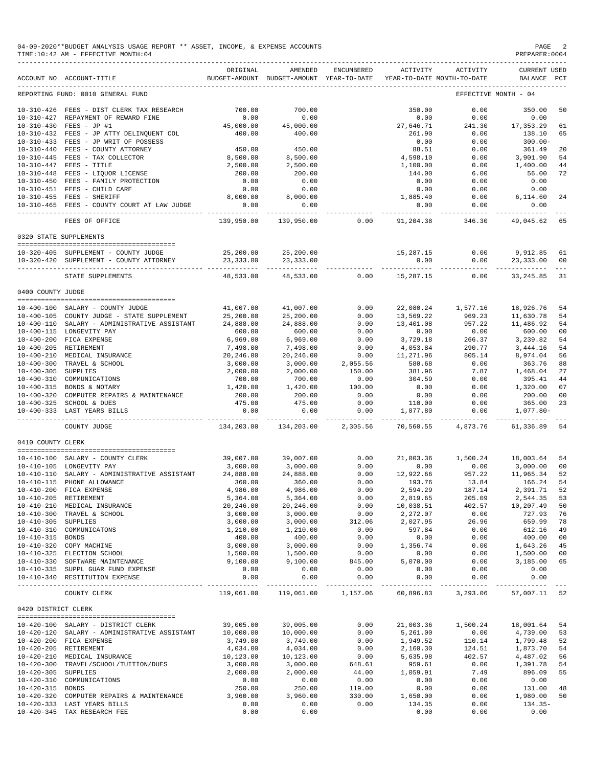|                     | 04-09-2020**BUDGET ANALYSIS USAGE REPORT ** ASSET, INCOME, & EXPENSE ACCOUNTS<br>TIME: 10:42 AM - EFFECTIVE MONTH: 04<br>------------------------------ |                        |                                                     |                     |                    |                                        | PAGE<br>PREPARER: 0004         | $\overline{\phantom{0}}^2$ |
|---------------------|---------------------------------------------------------------------------------------------------------------------------------------------------------|------------------------|-----------------------------------------------------|---------------------|--------------------|----------------------------------------|--------------------------------|----------------------------|
|                     | ACCOUNT NO ACCOUNT-TITLE                                                                                                                                | ORIGINAL               | AMENDED<br>BUDGET-AMOUNT BUDGET-AMOUNT YEAR-TO-DATE | ENCUMBERED          | ACTIVITY           | ACTIVITY<br>YEAR-TO-DATE MONTH-TO-DATE | <b>CURRENT USED</b><br>BALANCE | PCT                        |
|                     | REPORTING FUND: 0010 GENERAL FUND                                                                                                                       |                        |                                                     |                     |                    |                                        | EFFECTIVE MONTH - 04           |                            |
|                     | 10-310-426 FEES - DIST CLERK TAX RESEARCH                                                                                                               | 700.00                 | 700.00                                              |                     | 350.00             | 0.00                                   | 350.00                         | 50                         |
|                     | 10-310-427 REPAYMENT OF REWARD FINE                                                                                                                     | 0.00                   | 0.00                                                |                     | 0.00               | 0.00                                   | 0.00                           |                            |
|                     | 10-310-430 FEES - JP #1                                                                                                                                 | 45,000.00              | 45,000.00                                           |                     | 27,646.71          | 241.30                                 | 17,353.29                      | 61                         |
|                     | 10-310-432 FEES - JP ATTY DELINQUENT COL                                                                                                                | 400.00                 | 400.00                                              |                     | 261.90             | 0.00                                   | 138.10                         | 65                         |
|                     | 10-310-433 FEES - JP WRIT OF POSSESS                                                                                                                    |                        |                                                     |                     | 0.00               | 0.00                                   | $300.00 -$                     |                            |
|                     | 10-310-440 FEES - COUNTY ATTORNEY                                                                                                                       | 450.00                 | 450.00                                              |                     | 88.51              | 0.00                                   | 361.49                         | 20                         |
|                     | 10-310-445 FEES - TAX COLLECTOR                                                                                                                         | 8,500.00               | 8,500.00                                            |                     | 4,598.10           | 0.00                                   | 3,901.90                       | 54                         |
|                     | 10-310-447 FEES - TITLE                                                                                                                                 | 2,500.00               | 2,500.00                                            |                     | 1,100.00           | 0.00                                   | 1,400.00                       | 44                         |
|                     | 10-310-448 FEES - LIQUOR LICENSE                                                                                                                        | 200.00                 | 200.00                                              |                     | 144.00             | 6.00                                   | 56.00                          | 72                         |
|                     | 10-310-450 FEES - FAMILY PROTECTION                                                                                                                     | 0.00                   | 0.00                                                |                     | 0.00               | 0.00                                   | 0.00                           |                            |
|                     | 10-310-451 FEES - CHILD CARE<br>10-310-455 FEES - SHERIFF                                                                                               | 0.00<br>8,000.00       | 0.00<br>8,000.00                                    |                     | 0.00<br>1,885.40   | 0.00<br>0.00                           | 0.00<br>6,114.60               | -24                        |
|                     | 10-310-465 FEES - COUNTY COURT AT LAW JUDGE                                                                                                             | 0.00                   | 0.00                                                |                     | 0.00               | 0.00                                   | 0.00                           |                            |
|                     |                                                                                                                                                         | ----------             | -----------                                         |                     | -----------        | ------------                           | ----------                     |                            |
|                     | FEES OF OFFICE                                                                                                                                          | 139,950.00             | 139,950.00                                          | 0.00                | 91,204.38          | 346.30                                 | 49,045.62                      | 65                         |
|                     | 0320 STATE SUPPLEMENTS                                                                                                                                  |                        |                                                     |                     |                    |                                        |                                |                            |
|                     | 10-320-405 SUPPLEMENT - COUNTY JUDGE                                                                                                                    | 25,200.00              | 25,200.00                                           |                     | 15,287.15          | 0.00                                   | 9,912.85                       | 61                         |
|                     | 10-320-420 SUPPLEMENT - COUNTY ATTORNEY                                                                                                                 | 23, 333.00             | 23, 333.00                                          |                     | 0.00               | 0.00                                   | 23,333.00                      | 00                         |
|                     | STATE SUPPLEMENTS                                                                                                                                       | _________<br>48,533.00 | ----------<br>48,533.00                             | 0.00                | 15,287.15          | ----------<br>0.00                     | ----------<br>33, 245.85       | 31                         |
| 0400 COUNTY JUDGE   |                                                                                                                                                         |                        |                                                     |                     |                    |                                        |                                |                            |
|                     |                                                                                                                                                         |                        |                                                     |                     |                    |                                        |                                |                            |
|                     | 10-400-100 SALARY - COUNTY JUDGE                                                                                                                        | 41,007.00              | 41,007.00                                           | 0.00                | 22,080.24          | 1,577.16                               | 18,926.76                      | -54                        |
|                     | 10-400-105 COUNTY JUDGE - STATE SUPPLEMENT                                                                                                              | 25,200.00              | 25,200.00                                           | 0.00                | 13,569.22          | 969.23                                 | 11,630.78                      | -54                        |
|                     | 10-400-110 SALARY - ADMINISTRATIVE ASSISTANT                                                                                                            | 24,888.00              | 24,888.00                                           | 0.00                | 13,401.08          | 957.22                                 | 11,486.92                      | 54                         |
|                     | 10-400-115 LONGEVITY PAY                                                                                                                                | 600.00                 | 600.00                                              | 0.00                | 0.00               | 0.00                                   | 600.00                         | 00                         |
|                     | 10-400-200 FICA EXPENSE                                                                                                                                 | 6,969.00               | 6,969.00                                            | 0.00                | 3,729.18           | 266.37                                 | 3,239.82                       | 54                         |
|                     | 10-400-205 RETIREMENT                                                                                                                                   | 7,498.00               | 7,498.00                                            | 0.00                | 4,053.84           | 290.77                                 | 3,444.16                       | 54                         |
|                     | 10-400-210 MEDICAL INSURANCE                                                                                                                            | 20,246.00              | 20,246.00                                           | 0.00                | 11,271.96          | 805.14                                 | 8,974.04                       | 56                         |
|                     | 10-400-300 TRAVEL & SCHOOL                                                                                                                              | 3,000.00               | 3,000.00                                            | 2,055.56            | 580.68             | 0.00                                   | 363.76                         | 88                         |
| 10-400-305 SUPPLIES |                                                                                                                                                         | 2,000.00               | 2,000.00                                            | 150.00              | 381.96             | 7.87                                   | 1,468.04                       | 27                         |
| 10-400-310          | COMMUNICATIONS                                                                                                                                          | 700.00                 | 700.00                                              | 0.00                | 304.59             | 0.00                                   | 395.41                         | 44                         |
|                     | 10-400-315 BONDS & NOTARY                                                                                                                               | 1,420.00               | 1,420.00                                            | 100.00              | 0.00               | 0.00                                   | 1,320.00                       | 07                         |
|                     | 10-400-320 COMPUTER REPAIRS & MAINTENANCE                                                                                                               | 200.00                 | 200.00                                              | 0.00                | 0.00               | 0.00                                   | 200.00                         | 00                         |
|                     | 10-400-325 SCHOOL & DUES                                                                                                                                | 475.00                 | 475.00                                              | 0.00                | 110.00             | 0.00                                   | 365.00                         | 23                         |
|                     | 10-400-333 LAST YEARS BILLS                                                                                                                             | 0.00<br>______________ | 0.00<br>------------                                | 0.00<br>----------- | 1,077.80           | 0.00<br>------------ -------------     | 1,077.80-                      |                            |
|                     | COUNTY JUDGE                                                                                                                                            | 134,203.00             | 134,203.00                                          | 2,305.56            | 70,560.55          | 4,873.76                               | 61,336.89                      | 54                         |
| 0410 COUNTY CLERK   |                                                                                                                                                         |                        |                                                     |                     |                    |                                        |                                |                            |
|                     |                                                                                                                                                         |                        |                                                     |                     |                    |                                        |                                |                            |
|                     | 10-410-100 SALARY - COUNTY CLERK                                                                                                                        | 39,007.00              | 39,007.00                                           | 0.00                | 21,003.36          | 1,500.24                               | 18,003.64                      | 54                         |
|                     | 10-410-105 LONGEVITY PAY<br>10-410-110 SALARY - ADMINISTRATIVE ASSISTANT                                                                                | 3,000.00               | 3,000.00                                            | 0.00                | 0.00<br>12,922.66  | 0.00<br>957.22                         | 3,000.00<br>11,965.34          | 00<br>52                   |
|                     | 10-410-115 PHONE ALLOWANCE                                                                                                                              | 24,888.00<br>360.00    | 24,888.00<br>360.00                                 | 0.00<br>0.00        | 193.76             | 13.84                                  | 166.24                         | 54                         |
|                     | 10-410-200 FICA EXPENSE                                                                                                                                 | 4,986.00               | 4,986.00                                            | 0.00                | 2,594.29           | 187.14                                 | 2,391.71                       | 52                         |
|                     | 10-410-205 RETIREMENT                                                                                                                                   | 5,364.00               | 5,364.00                                            | 0.00                | 2,819.65           | 205.09                                 | 2,544.35                       | 53                         |
|                     | 10-410-210 MEDICAL INSURANCE                                                                                                                            | 20,246.00              | 20,246.00                                           | 0.00                | 10,038.51          | 402.57                                 | 10,207.49                      | 50                         |
|                     | 10-410-300 TRAVEL & SCHOOL                                                                                                                              | 3,000.00               | 3,000.00                                            | 0.00                | 2,272.07           | 0.00                                   | 727.93                         | 76                         |
| 10-410-305 SUPPLIES |                                                                                                                                                         | 3,000.00               | 3,000.00                                            | 312.06              | 2,027.95           | 26.96                                  | 659.99                         | 78                         |
|                     | 10-410-310 COMMUNICATONS                                                                                                                                | 1,210.00               | 1,210.00                                            | 0.00                | 597.84             | 0.00                                   | 612.16                         | -49                        |
| 10-410-315 BONDS    |                                                                                                                                                         | 400.00                 | 400.00                                              | 0.00                | 0.00               | 0.00                                   | 400.00                         | 00                         |
|                     | 10-410-320 COPY MACHINE                                                                                                                                 | 3,000.00               | 3,000.00                                            | 0.00                | 1,356.74           | 0.00                                   | 1,643.26                       | 45                         |
|                     | 10-410-325 ELECTION SCHOOL                                                                                                                              | 1,500.00               | 1,500.00                                            | 0.00                | 0.00               | 0.00                                   | 1,500.00                       | 00                         |
|                     | 10-410-330 SOFTWARE MAINTENANCE                                                                                                                         | 9,100.00               | 9,100.00                                            | 845.00              | 5,070.00           | 0.00                                   | 3,185.00                       | 65                         |
|                     | 10-410-335 SUPPL GUAR FUND EXPENSE                                                                                                                      | 0.00                   | 0.00                                                | 0.00                | 0.00               | 0.00                                   | 0.00                           |                            |
|                     | 10-410-340 RESTITUTION EXPENSE                                                                                                                          | 0.00                   | 0.00<br>-------------                               | 0.00                | 0.00               | 0.00                                   | 0.00<br>-----------            |                            |
|                     | COUNTY CLERK                                                                                                                                            |                        | 119,061.00 119,061.00 1,157.06 60,896.83 3,293.06   |                     |                    |                                        | 57,007.11 52                   |                            |
| 0420 DISTRICT CLERK |                                                                                                                                                         |                        |                                                     |                     |                    |                                        |                                |                            |
|                     |                                                                                                                                                         |                        |                                                     |                     |                    |                                        |                                |                            |
|                     | 10-420-100 SALARY - DISTRICT CLERK                                                                                                                      | 39,005.00              | 39,005.00                                           | 0.00                | 21,003.36          | 1,500.24                               | 18,001.64 54                   |                            |
|                     | 10-420-120 SALARY - ADMINISTRATIVE ASSISTANT                                                                                                            | 10,000.00              | 10,000.00                                           | 0.00                | 5,261.00           | 0.00                                   | 4,739.00                       | 53                         |
|                     | 10-420-200 FICA EXPENSE                                                                                                                                 | 3,749.00               | 3,749.00                                            | 0.00                | 1,949.52           | 110.14<br>124.51                       | 1,799.48                       | 52                         |
|                     | 10-420-205 RETIREMENT                                                                                                                                   | 4,034.00               | 4,034.00                                            | 0.00                | 2,160.30           |                                        | 1,873.70                       | 54                         |
|                     | 10-420-210 MEDICAL INSURANCE                                                                                                                            | 10,123.00              | 10,123.00                                           | 0.00                | 5,635.98           | 402.57                                 | 4,487.02                       | 56                         |
|                     | 10-420-300 TRAVEL/SCHOOL/TUITION/DUES                                                                                                                   | 3,000.00               | 3,000.00                                            | 648.61              | 959.61             | 0.00                                   | 1,391.78                       | 54                         |
| 10-420-305 SUPPLIES |                                                                                                                                                         | 2,000.00               | 2,000.00                                            | 44.00               | 1,059.91           | 7.49                                   | 896.09                         | 55                         |
|                     | 10-420-310 COMMUNICATIONS                                                                                                                               | 0.00                   | 0.00                                                | 0.00                | 0.00               | 0.00                                   | 0.00                           |                            |
| 10-420-315 BONDS    | 10-420-320 COMPUTER REPAIRS & MAINTENANCE                                                                                                               | 250.00<br>3,960.00     | 250.00<br>3,960.00                                  | 119.00<br>330.00    | 0.00               | 0.00                                   | 131.00<br>1,980.00             | 48<br>50                   |
|                     | 10-420-333 LAST YEARS BILLS                                                                                                                             | 0.00                   | 0.00                                                | 0.00                | 1,650.00<br>134.35 | 0.00<br>0.00                           | 134.35-                        |                            |
|                     | 10-420-345 TAX RESEARCH FEE                                                                                                                             | 0.00                   | 0.00                                                |                     | 0.00               | 0.00                                   | 0.00                           |                            |
|                     |                                                                                                                                                         |                        |                                                     |                     |                    |                                        |                                |                            |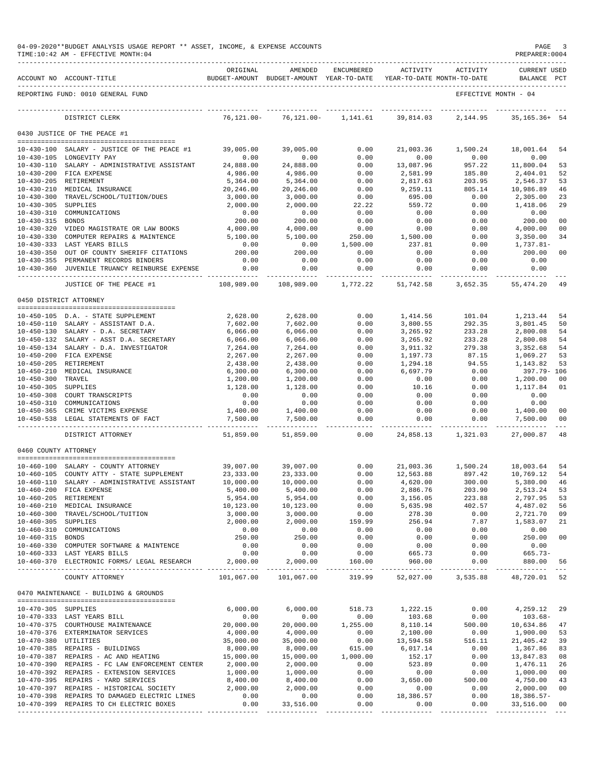|                      | 04-09-2020**BUDGET ANALYSIS USAGE REPORT ** ASSET, INCOME, & EXPENSE ACCOUNTS<br>TIME:10:42 AM - EFFECTIVE MONTH:04 |                           |                                                     |                        |                                        |                    | PAGE<br>PREPARER: 0004             | 3                    |
|----------------------|---------------------------------------------------------------------------------------------------------------------|---------------------------|-----------------------------------------------------|------------------------|----------------------------------------|--------------------|------------------------------------|----------------------|
|                      | ACCOUNT NO ACCOUNT-TITLE                                                                                            | ORIGINAL                  | AMENDED<br>BUDGET-AMOUNT BUDGET-AMOUNT YEAR-TO-DATE | ENCUMBERED             | ACTIVITY<br>YEAR-TO-DATE MONTH-TO-DATE | ACTIVITY           | <b>CURRENT USED</b><br>BALANCE PCT |                      |
|                      | REPORTING FUND: 0010 GENERAL FUND                                                                                   |                           |                                                     |                        |                                        |                    | EFFECTIVE MONTH - 04               |                      |
|                      | DISTRICT CLERK                                                                                                      | $76, 121.00 -$            | 76,121.00-                                          | 1,141.61               | 39,814.03                              | 2,144.95           | $35, 165.36+54$                    |                      |
|                      | 0430 JUSTICE OF THE PEACE #1                                                                                        |                           |                                                     |                        |                                        |                    |                                    |                      |
|                      | 10-430-100 SALARY - JUSTICE OF THE PEACE #1                                                                         | 39,005.00                 | 39,005.00                                           | 0.00                   | 21,003.36                              | 1,500.24           | 18,001.64                          | 54                   |
|                      | 10-430-105 LONGEVITY PAY                                                                                            | 0.00                      | 0.00                                                | 0.00                   | 0.00                                   | 0.00               | 0.00                               |                      |
|                      | 10-430-110 SALARY - ADMINISTRATIVE ASSISTANT                                                                        | 24,888.00                 | 24,888.00                                           | 0.00                   | 13,087.96                              | 957.22             | 11,800.04                          | 53                   |
|                      | 10-430-200 FICA EXPENSE                                                                                             | 4,986.00                  | 4,986.00                                            | 0.00                   | 2,581.99                               | 185.80             | 2,404.01                           | 52                   |
|                      | 10-430-205 RETIREMENT                                                                                               | 5,364.00                  | 5,364.00                                            | 0.00                   | 2,817.63                               | 203.95             | 2,546.37                           | 53                   |
| $10 - 430 - 210$     | MEDICAL INSURANCE<br>10-430-300 TRAVEL/SCHOOL/TUITION/DUES                                                          | 20,246.00<br>3,000.00     | 20,246.00<br>3,000.00                               | 0.00<br>0.00           | 9,259.11<br>695.00                     | 805.14<br>0.00     | 10,986.89<br>2,305.00              | 46<br>23             |
| $10 - 430 - 305$     | SUPPLIES                                                                                                            | 2,000.00                  | 2,000.00                                            | 22.22                  | 559.72                                 | 0.00               | 1,418.06                           | 29                   |
|                      | 10-430-310 COMMUNICATIONS                                                                                           | 0.00                      | 0.00                                                | 0.00                   | 0.00                                   | 0.00               | 0.00                               |                      |
| 10-430-315 BONDS     |                                                                                                                     | 200.00                    | 200.00                                              | 0.00                   | 0.00                                   | 0.00               | 200.00                             | 00                   |
|                      | 10-430-320 VIDEO MAGISTRATE OR LAW BOOKS                                                                            | 4,000.00                  | 4,000.00                                            | 0.00                   | 0.00                                   | 0.00               | 4,000.00                           | 00                   |
| $10 - 430 - 330$     | COMPUTER REPAIRS & MAINTENCE                                                                                        | 5,100.00                  | 5,100.00                                            | 250.00                 | 1,500.00                               | 0.00               | 3,350.00                           | 34                   |
|                      | 10-430-333 LAST YEARS BILLS                                                                                         | 0.00<br>200.00            | 0.00                                                | 1,500.00               | 237.81                                 | 0.00               | 1,737.81-                          |                      |
|                      | 10-430-350 OUT OF COUNTY SHERIFF CITATIONS<br>10-430-355 PERMANENT RECORDS BINDERS                                  | 0.00                      | 200.00<br>0.00                                      | 0.00<br>0.00           | 0.00<br>0.00                           | 0.00<br>0.00       | 200.00<br>0.00                     | 00                   |
|                      | 10-430-360 JUVENILE TRUANCY REINBURSE EXPENSE                                                                       | 0.00                      | 0.00                                                | 0.00                   | 0.00                                   | 0.00               | 0.00                               |                      |
|                      | _________________________________<br>JUSTICE OF THE PEACE #1                                                        | -----------<br>108,989.00 | 108,989.00                                          | ----------<br>1,772.22 | ----------<br>51,742.58                | -----<br>3,652.35  | ----------<br>55,474.20            | 49                   |
|                      | 0450 DISTRICT ATTORNEY                                                                                              |                           |                                                     |                        |                                        |                    |                                    |                      |
|                      |                                                                                                                     |                           |                                                     |                        |                                        |                    |                                    |                      |
|                      | 10-450-105 D.A. - STATE SUPPLEMENT                                                                                  | 2,628.00                  | 2,628.00                                            | 0.00                   | 1,414.56                               | 101.04             | 1,213.44                           | 54                   |
|                      | 10-450-110 SALARY - ASSISTANT D.A.                                                                                  | 7,602.00                  | 7,602.00                                            | 0.00                   | 3,800.55                               | 292.35             | 3,801.45                           | 50                   |
|                      | 10-450-130 SALARY - D.A. SECRETARY                                                                                  | 6,066.00                  | 6,066.00                                            | 0.00                   | 3,265.92                               | 233.28             | 2,800.08                           | 54                   |
|                      | 10-450-132 SALARY - ASST D.A. SECRETARY                                                                             | 6,066.00                  | 6,066.00                                            | 0.00                   | 3,265.92                               | 233.28             | 2,800.08                           | 54                   |
|                      | 10-450-134 SALARY - D.A. INVESTIGATOR                                                                               | 7,264.00                  | 7,264.00                                            | 0.00                   | 3,911.32                               | 279.38             | 3,352.68                           | 54                   |
|                      | 10-450-200 FICA EXPENSE                                                                                             | 2,267.00                  | 2,267.00                                            | 0.00                   | 1,197.73                               | 87.15              | 1,069.27                           | 53                   |
| $10 - 450 - 205$     | RETIREMENT<br>10-450-210 MEDICAL INSURANCE                                                                          | 2,438.00<br>6,300.00      | 2,438.00                                            | 0.00<br>0.00           | 1,294.18<br>6,697.79                   | 94.55<br>0.00      | 1,143.82<br>397.79- 106            | 53                   |
| 10-450-300 TRAVEL    |                                                                                                                     | 1,200.00                  | 6,300.00<br>1,200.00                                | 0.00                   | 0.00                                   | 0.00               | 1,200.00                           | 00                   |
| $10 - 450 - 305$     | SUPPLIES                                                                                                            | 1,128.00                  | 1,128.00                                            | 0.00                   | 10.16                                  | 0.00               | 1,117.84                           | 01                   |
|                      | 10-450-308 COURT TRANSCRIPTS                                                                                        | 0.00                      | 0.00                                                | 0.00                   | 0.00                                   | 0.00               | 0.00                               |                      |
| 10-450-310           | COMMUNICATIONS                                                                                                      | 0.00                      | 0.00                                                | 0.00                   | 0.00                                   | 0.00               | 0.00                               |                      |
|                      | 10-450-365 CRIME VICTIMS EXPENSE                                                                                    | 1,400.00                  | 1,400.00                                            | 0.00                   | 0.00                                   | 0.00               | 1,400.00                           | 00                   |
|                      | 10-450-538 LEGAL STATEMENTS OF FACT                                                                                 | 7,500.00<br>----------    | 7,500.00<br>-----------                             | 0.00<br>-------        | 0.00<br>-------                        | 0.00<br>. <u>.</u> | 7,500.00<br>-----------            | 00<br>$\sim$ $ \sim$ |
|                      | DISTRICT ATTORNEY                                                                                                   | 51,859.00                 | 51,859.00                                           | 0.00                   | 24,858.13                              | 1,321.03           | 27,000.87                          | 48                   |
| 0460 COUNTY ATTORNEY |                                                                                                                     |                           |                                                     |                        |                                        |                    |                                    |                      |
|                      | 10-460-100 SALARY - COUNTY ATTORNEY                                                                                 | 39,007.00                 | 39,007.00                                           | 0.00                   | 21,003.36                              | 1,500.24           | 18,003.64                          | 54                   |
|                      | 10-460-105 COUNTY ATTY - STATE SUPPLEMENT                                                                           | 23, 333.00                | 23, 333.00                                          | 0.00                   | 12,563.88                              | 897.42             | 10,769.12                          | 54                   |
| $10 - 460 - 110$     | SALARY - ADMINISTRATIVE ASSISTANT                                                                                   | 10,000.00                 | 10,000.00                                           | 0.00                   | 4,620.00                               | 300.00             | 5,380.00                           | 46                   |
|                      | 10-460-200 FICA EXPENSE                                                                                             | 5,400.00                  | 5,400.00                                            | 0.00                   | 2,886.76                               | 203.90             | 2,513.24                           | 53                   |
|                      | 10-460-205 RETIREMENT                                                                                               | 5,954.00                  | 5,954.00                                            | 0.00                   | 3,156.05                               | 223.88             | 2,797.95                           | 53                   |
|                      | 10-460-210 MEDICAL INSURANCE<br>10-460-300 TRAVEL/SCHOOL/TUITION                                                    | 10,123.00<br>3,000.00     | 10,123.00<br>3,000.00                               | 0.00<br>0.00           | 5,635.98<br>278.30                     | 402.57<br>0.00     | 4,487.02<br>2,721.70               | 56<br>09             |
| 10-460-305 SUPPLIES  |                                                                                                                     | 2,000.00                  | 2,000.00                                            | 159.99                 | 256.94                                 | 7.87               | 1,583.07                           | 21                   |
|                      | 10-460-310 COMMUNICATIONS                                                                                           | 0.00                      | 0.00                                                | 0.00                   | 0.00                                   | 0.00               | 0.00                               |                      |
| 10-460-315 BONDS     |                                                                                                                     | 250.00                    | 250.00                                              | 0.00                   | 0.00                                   | 0.00               | 250.00                             | 00                   |
|                      | 10-460-330 COMPUTER SOFTWARE & MAINTENCE                                                                            | 0.00                      | 0.00                                                | 0.00                   | 0.00                                   | 0.00               | 0.00                               |                      |
|                      | 10-460-333 LAST YEARS BILLS                                                                                         | 0.00                      | 0.00                                                | 0.00                   | 665.73                                 | 0.00               | 665.73-                            |                      |
|                      | 10-460-370 ELECTRONIC FORMS/ LEGAL RESEARCH 2,000.00                                                                |                           | 2,000.00                                            | 160.00                 | 960.00                                 | 0.00               | 880.00<br>______________           | 56<br>$\sim$ $ -$    |
|                      | COUNTY ATTORNEY                                                                                                     | 101,067.00                | 101,067.00                                          | 319.99                 |                                        | 52,027.00 3,535.88 | 48,720.01                          | 52                   |
|                      | 0470 MAINTENANCE - BUILDING & GROUNDS                                                                               |                           |                                                     |                        |                                        |                    |                                    |                      |
|                      | --------------------------------------                                                                              |                           |                                                     |                        |                                        |                    |                                    |                      |
| 10-470-305 SUPPLIES  | 10-470-333 LAST YEARS BILL                                                                                          | 6,000.00<br>0.00          | 6,000.00<br>0.00                                    | 518.73<br>0.00         | 1,222.15<br>103.68                     | 0.00<br>0.00       | 4,259.12<br>$103.68 -$             | 29                   |
|                      | 10-470-375 COURTHOUSE MAINTENANCE                                                                                   | 20,000.00                 | 20,000.00                                           | 1,255.00               | 8,110.14                               | 500.00             | 10,634.86                          | 47                   |
|                      | 10-470-376 EXTERMINATOR SERVICES                                                                                    | 4,000.00                  | 4,000.00                                            | 0.00                   | 2,100.00                               | 0.00               | 1,900.00                           | 53                   |
| 10-470-380 UTILITIES |                                                                                                                     | 35,000.00                 | 35,000.00                                           | 0.00                   | 13,594.58                              | 516.11             | 21,405.42                          | 39                   |
|                      | 10-470-385 REPAIRS - BUILDINGS                                                                                      | 8,000.00                  | 8,000.00                                            | 615.00                 | 6,017.14                               | 0.00               | 1,367.86                           | 83                   |
|                      | 10-470-387 REPAIRS - AC AND HEATING                                                                                 | 15,000.00                 | 15,000.00                                           | 1,000.00               | 152.17                                 | 0.00               | 13,847.83                          | 08                   |
|                      | 10-470-390 REPAIRS - FC LAW ENFORCEMENT CENTER                                                                      | 2,000.00                  | 2,000.00                                            | 0.00                   | 523.89                                 | 0.00               | 1,476.11                           | 26                   |
|                      | 10-470-392 REPAIRS - EXTENSION SERVICES                                                                             | 1,000.00                  | 1,000.00                                            | 0.00                   | 0.00                                   | 0.00               | 1,000.00                           | 00                   |
|                      | 10-470-395 REPAIRS - YARD SERVICES<br>10-470-397 REPAIRS - HISTORICAL SOCIETY                                       | 8,400.00<br>2,000.00      | 8,400.00<br>2,000.00                                | 0.00<br>0.00           | 3,650.00<br>0.00                       | 500.00<br>0.00     | 4,750.00<br>2,000.00               | 43<br>00             |
|                      | 10-470-398 REPAIRS TO DAMAGED ELECTRIC LINES                                                                        | 0.00                      | 0.00                                                | 0.00                   | 18,386.57                              | 0.00               | 18,386.57-                         |                      |
|                      | 10-470-399 REPAIRS TO CH ELECTRIC BOXES                                                                             | 0.00                      | 33,516.00                                           | 0.00                   | 0.00                                   | 0.00               | 33,516.00                          | 00                   |
|                      |                                                                                                                     |                           |                                                     |                        |                                        |                    |                                    |                      |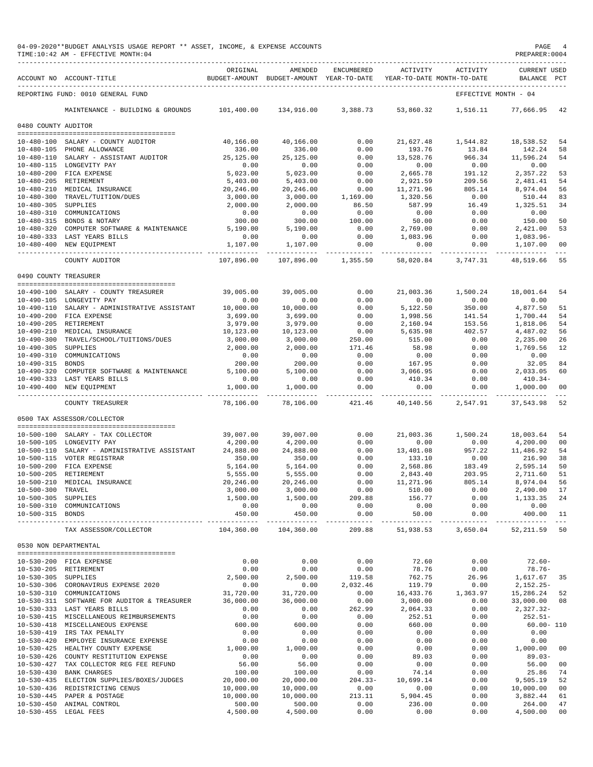|                                         | 04-09-2020**BUDGET ANALYSIS USAGE REPORT ** ASSET, INCOME, & EXPENSE ACCOUNTS<br>TIME:10:42 AM - EFFECTIVE MONTH:04 |                           |                                                     |                       |                       |                                        | PAGE<br>PREPARER: 0004             |                     |
|-----------------------------------------|---------------------------------------------------------------------------------------------------------------------|---------------------------|-----------------------------------------------------|-----------------------|-----------------------|----------------------------------------|------------------------------------|---------------------|
|                                         | ACCOUNT NO ACCOUNT-TITLE                                                                                            | ORIGINAL                  | AMENDED<br>BUDGET-AMOUNT BUDGET-AMOUNT YEAR-TO-DATE | ENCUMBERED            | ACTIVITY              | ACTIVITY<br>YEAR-TO-DATE MONTH-TO-DATE | <b>CURRENT USED</b><br>BALANCE PCT |                     |
|                                         | REPORTING FUND: 0010 GENERAL FUND                                                                                   |                           |                                                     |                       |                       |                                        | EFFECTIVE MONTH - 04               |                     |
|                                         | MAINTENANCE - BUILDING & GROUNDS                                                                                    | 101,400.00                | 134,916.00                                          | 3,388.73              | 53,860.32             | 1,516.11                               | 77,666.95                          | 42                  |
| 0480 COUNTY AUDITOR                     |                                                                                                                     |                           |                                                     |                       |                       |                                        |                                    |                     |
|                                         |                                                                                                                     |                           |                                                     |                       |                       |                                        |                                    |                     |
|                                         | 10-480-100 SALARY - COUNTY AUDITOR<br>10-480-105 PHONE ALLOWANCE                                                    | 40,166.00<br>336.00       | 40,166.00<br>336.00                                 | 0.00<br>0.00          | 21,627.48<br>193.76   | 1,544.82<br>13.84                      | 18,538.52<br>142.24                | 54<br>58            |
|                                         | 10-480-110 SALARY - ASSISTANT AUDITOR                                                                               | 25,125.00                 | 25,125.00                                           | 0.00                  | 13,528.76             | 966.34                                 | 11,596.24                          | 54                  |
|                                         | 10-480-115 LONGEVITY PAY                                                                                            | 0.00                      | 0.00                                                | 0.00                  | 0.00                  | 0.00                                   | 0.00                               |                     |
|                                         | 10-480-200 FICA EXPENSE                                                                                             | 5,023.00                  | 5,023.00                                            | 0.00                  | 2,665.78              | 191.12                                 | 2,357.22                           | 53                  |
|                                         | 10-480-205 RETIREMENT                                                                                               | 5,403.00                  | 5,403.00                                            | 0.00                  | 2,921.59              | 209.56                                 | 2,481.41                           | 54                  |
|                                         | 10-480-210 MEDICAL INSURANCE                                                                                        | 20,246.00                 | 20,246.00                                           | 0.00                  | 11,271.96             | 805.14                                 | 8,974.04                           | 56                  |
| 10-480-305 SUPPLIES                     | 10-480-300 TRAVEL/TUITION/DUES                                                                                      | 3,000.00<br>2,000.00      | 3,000.00<br>2,000.00                                | 1,169.00<br>86.50     | 1,320.56<br>587.99    | 0.00<br>16.49                          | 510.44<br>1,325.51                 | 83<br>34            |
|                                         | 10-480-310 COMMUNICATIONS                                                                                           | 0.00                      | 0.00                                                | 0.00                  | 0.00                  | 0.00                                   | 0.00                               |                     |
|                                         | 10-480-315 BONDS & NOTARY                                                                                           | 300.00                    | 300.00                                              | 100.00                | 50.00                 | 0.00                                   | 150.00                             | 50                  |
|                                         | 10-480-320 COMPUTER SOFTWARE & MAINTENANCE                                                                          | 5,190.00                  | 5,190.00                                            | 0.00                  | 2,769.00              | 0.00                                   | 2,421.00                           | 53                  |
|                                         | 10-480-333 LAST YEARS BILLS                                                                                         | 0.00                      | 0.00                                                | 0.00                  | 1,083.96              | 0.00                                   | $1,083.96-$                        |                     |
|                                         | 10-480-400 NEW EQUIPMENT                                                                                            | 1,107.00<br>------------- | 1,107.00<br>--------------                          | 0.00<br>_____________ | 0.00                  | 0.00                                   | 1,107.00                           | 00                  |
|                                         | COUNTY AUDITOR                                                                                                      | 107,896.00                | 107,896.00                                          | 1,355.50              | 58,020.84             | 3,747.31                               | 48,519.66                          | 55                  |
| 0490 COUNTY TREASURER                   |                                                                                                                     |                           |                                                     |                       |                       |                                        |                                    |                     |
|                                         | 10-490-100 SALARY - COUNTY TREASURER                                                                                | 39,005.00                 | 39,005.00                                           | 0.00                  | 21,003.36             | 1,500.24                               | 18,001.64                          | 54                  |
|                                         | 10-490-105 LONGEVITY PAY                                                                                            | 0.00                      | 0.00                                                | 0.00                  | 0.00                  | 0.00                                   | 0.00                               |                     |
|                                         | 10-490-110 SALARY - ADMINISTRATIVE ASSISTANT                                                                        | 10,000.00                 | 10,000.00                                           | 0.00                  | 5,122.50              | 350.00                                 | 4,877.50                           | 51                  |
|                                         | 10-490-200 FICA EXPENSE                                                                                             | 3,699.00                  | 3,699.00                                            | 0.00                  | 1,998.56              | 141.54                                 | 1,700.44                           | 54                  |
|                                         | 10-490-205 RETIREMENT                                                                                               | 3,979.00                  | 3,979.00                                            | 0.00                  | 2,160.94              | 153.56                                 | 1,818.06                           | 54                  |
|                                         | 10-490-210 MEDICAL INSURANCE                                                                                        | 10,123.00                 | 10,123.00                                           | 0.00                  | 5,635.98              | 402.57                                 | 4,487.02                           | 56                  |
|                                         | 10-490-300 TRAVEL/SCHOOL/TUITIONS/DUES                                                                              | 3,000.00<br>2,000.00      | 3,000.00                                            | 250.00                | 515.00                | 0.00                                   | 2,235.00                           | 26                  |
| 10-490-305 SUPPLIES                     | 10-490-310 COMMUNICATIONS                                                                                           | 0.00                      | 2,000.00<br>0.00                                    | 171.46<br>0.00        | 58.98<br>0.00         | 0.00<br>0.00                           | 1,769.56<br>0.00                   | 12                  |
| 10-490-315 BONDS                        |                                                                                                                     | 200.00                    | 200.00                                              | 0.00                  | 167.95                | 0.00                                   | 32.05                              | 84                  |
|                                         | 10-490-320 COMPUTER SOFTWARE & MAINTENANCE                                                                          | 5,100.00                  | 5,100.00                                            | 0.00                  | 3,066.95              | 0.00                                   | 2,033.05                           | 60                  |
|                                         | 10-490-333 LAST YEARS BILLS                                                                                         | 0.00                      | 0.00                                                | 0.00                  | 410.34                | 0.00                                   | $410.34-$                          |                     |
|                                         | 10-490-400 NEW EQUIPMENT                                                                                            | 1,000.00<br>------------- | 1,000.00<br>-----------                             | 0.00<br>-----------   | 0.00<br>----------- - | 0.00                                   | 1,000.00                           | 00                  |
|                                         | COUNTY TREASURER                                                                                                    | 78,106.00                 | 78,106.00                                           | 421.46                | 40,140.56             | 2,547.91                               | 37,543.98                          | 52                  |
|                                         | 0500 TAX ASSESSOR/COLLECTOR                                                                                         |                           |                                                     |                       |                       |                                        |                                    |                     |
|                                         | 10-500-100 SALARY - TAX COLLECTOR                                                                                   | 39,007.00                 | 39,007.00                                           | 0.00                  | 21,003.36             | 1,500.24                               | 18,003.64                          | 54                  |
|                                         | 10-500-105 LONGEVITY PAY                                                                                            | 4,200.00                  | 4,200.00                                            | 0.00                  | 0.00                  | 0.00                                   | 4,200.00                           | 00                  |
|                                         | 10-500-110 SALARY - ADMINISTRATIVE ASSISTANT                                                                        | 24,888.00                 | 24,888.00                                           | 0.00                  | 13,401.08             | 957.22                                 | 11,486.92                          | 54                  |
|                                         | 10-500-115 VOTER REGISTRAR                                                                                          | 350.00                    | 350.00                                              | 0.00                  | 133.10                | 0.00                                   | 216.90                             | 38                  |
|                                         | 10-500-200 FICA EXPENSE                                                                                             | 5,164.00                  | 5,164.00                                            | 0.00                  | 2,568.86              | 183.49                                 | 2,595.14                           | 50                  |
|                                         | 10-500-205 RETIREMENT                                                                                               | 5,555.00<br>20,246.00     | 5,555.00<br>20,246.00                               | 0.00                  | 2,843.40              | 203.95                                 | 2,711.60                           | 51                  |
| 10-500-300 TRAVEL                       | 10-500-210 MEDICAL INSURANCE                                                                                        | 3,000.00                  | 3,000.00                                            | 0.00<br>0.00          | 11,271.96<br>510.00   | 805.14<br>0.00                         | 8,974.04<br>2,490.00               | 56<br>17            |
| 10-500-305 SUPPLIES                     |                                                                                                                     | 1,500.00                  | 1,500.00                                            | 209.88                | 156.77                | 0.00                                   | 1,133.35                           | 24                  |
|                                         | 10-500-310 COMMUNICATIONS                                                                                           | 0.00                      | 0.00                                                | 0.00                  | 0.00                  | 0.00                                   | 0.00                               |                     |
| 10-500-315 BONDS<br>___________________ |                                                                                                                     | 450.00                    | 450.00<br>-----------                               | 0.00<br>------        | 50.00<br>----------   | 0.00<br>$- - - - - - -$                | 400.00<br>-----------              | 11<br>$\frac{1}{2}$ |
|                                         | TAX ASSESSOR/COLLECTOR                                                                                              | 104,360.00                | 104,360.00                                          | 209.88                | 51,938.53             | 3,650.04                               | 52, 211.59 50                      |                     |
| 0530 NON DEPARTMENTAL                   | ,,,,,,,,,,,,,,,,,,,,,,,,,,,,,,,,,,,,                                                                                |                           |                                                     |                       |                       |                                        |                                    |                     |
|                                         | 10-530-200 FICA EXPENSE                                                                                             | 0.00                      | 0.00                                                | 0.00                  | 72.60                 | 0.00                                   | $72.60 -$                          |                     |
|                                         | 10-530-205 RETIREMENT                                                                                               | 0.00                      | 0.00                                                | 0.00                  | 78.76                 | 0.00                                   | $78.76 -$                          |                     |
| 10-530-305 SUPPLIES                     |                                                                                                                     | 2,500.00                  | 2,500.00                                            | 119.58                | 762.75                | 26.96                                  | 1,617.67                           | 35                  |
|                                         | 10-530-306 CORONAVIRUS EXPENSE 2020                                                                                 | 0.00                      | 0.00                                                | 2,032.46              | 119.79                | 0.00                                   | $2,152.25-$                        |                     |
|                                         | 10-530-310 COMMUNICATIONS                                                                                           | 31,720.00                 | 31,720.00                                           | 0.00                  | 16,433.76             | 1,363.97                               | 15,286.24                          | 52                  |
|                                         | 10-530-311 SOFTWARE FOR AUDITOR & TREASURER<br>10-530-333 LAST YEARS BILLS                                          | 36,000.00<br>0.00         | 36,000.00<br>0.00                                   | 0.00                  | 3,000.00<br>2,064.33  | 0.00                                   | 33,000.00                          | 08                  |
|                                         | 10-530-415 MISCELLANEOUS REIMBURSEMENTS                                                                             | 0.00                      | 0.00                                                | 262.99<br>0.00        | 252.51                | 0.00<br>0.00                           | $2,327.32-$<br>$252.51-$           |                     |
| $10 - 530 - 418$                        | MISCELLANEOUS EXPENSE                                                                                               | 600.00                    | 600.00                                              | 0.00                  | 660.00                | 0.00                                   | $60.00 - 110$                      |                     |
| $10 - 530 - 419$                        | IRS TAX PENALTY                                                                                                     | 0.00                      | 0.00                                                | 0.00                  | 0.00                  | 0.00                                   | 0.00                               |                     |
| $10 - 530 - 420$                        | EMPLOYEE INSURANCE EXPENSE                                                                                          | 0.00                      | 0.00                                                | 0.00                  | 0.00                  | 0.00                                   | 0.00                               |                     |
| $10 - 530 - 425$                        | HEALTHY COUNTY EXPENSE                                                                                              | 1,000.00                  | 1,000.00                                            | 0.00                  | 0.00                  | 0.00                                   | 1,000.00                           | 00                  |
| $10 - 530 - 426$                        | COUNTY RESTITUTION EXPENSE                                                                                          | 0.00                      | 0.00                                                | 0.00                  | 89.03                 | 0.00                                   | $89.03 -$                          |                     |
| $10 - 530 - 427$<br>$10 - 530 - 430$    | TAX COLLECTOR REG FEE REFUND<br><b>BANK CHARGES</b>                                                                 | 56.00<br>100.00           | 56.00<br>100.00                                     | 0.00<br>0.00          | 0.00<br>74.14         | 0.00<br>0.00                           | 56.00<br>25.86                     | 00<br>74            |
| $10 - 530 - 435$                        | ELECTION SUPPLIES/BOXES/JUDGES                                                                                      | 20,000.00                 | 20,000.00                                           | $204.33-$             | 10,699.14             | 0.00                                   | 9,505.19                           | 52                  |
| $10 - 530 - 436$                        | REDISTRICTING CENUS                                                                                                 | 10,000.00                 | 10,000.00                                           | 0.00                  | 0.00                  | 0.00                                   | 10,000.00                          | 0 <sub>0</sub>      |
| $10 - 530 - 445$                        | PAPER & POSTAGE                                                                                                     | 10,000.00                 | 10,000.00                                           | 213.11                | 5,904.45              | 0.00                                   | 3,882.44                           | 61                  |
| $10 - 530 - 450$                        | ANIMAL CONTROL                                                                                                      | 500.00                    | 500.00                                              | 0.00                  | 236.00                | 0.00                                   | 264.00                             | 47                  |
| $10 - 530 - 455$                        | LEGAL FEES                                                                                                          | 4,500.00                  | 4,500.00                                            | 0.00                  | 0.00                  | 0.00                                   | 4,500.00                           | 0 <sub>0</sub>      |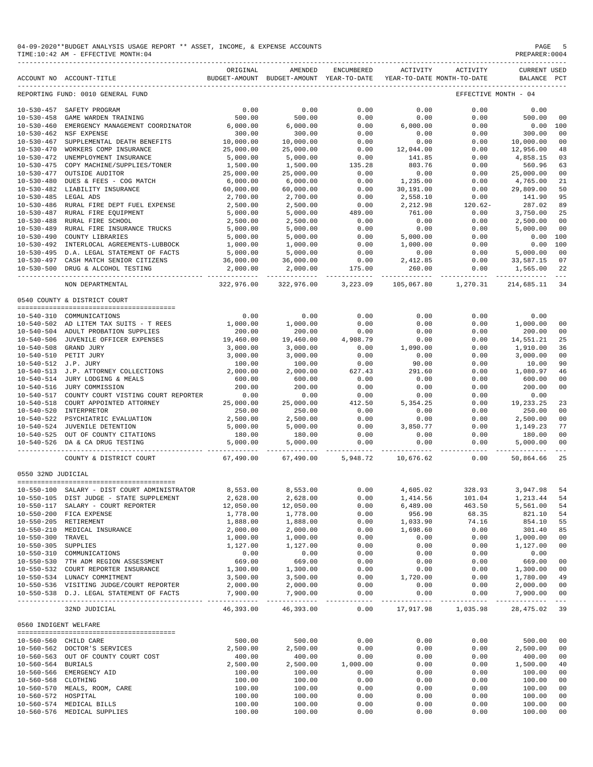| 04-09-2020**BUDGET ANALYSIS USAGE REPORT ** ASSET, INCOME, & EXPENSE ACCOUNTS | PAGE          |
|-------------------------------------------------------------------------------|---------------|
| TIME: 10:42 AM - EFFECTIVE MONTH: 04                                          | PREPARER:0004 |

|                                      | ACCOUNT NO ACCOUNT-TITLE                                 | ORIGINAL           | AMENDED<br>BUDGET-AMOUNT BUDGET-AMOUNT YEAR-TO-DATE | ENCUMBERED                                                                                                                                                                                                                                                                                                                                                                                           | ACTIVITY         | ACTIVITY<br>YEAR-TO-DATE MONTH-TO-DATE | <b>CURRENT USED</b>             | PCT               |
|--------------------------------------|----------------------------------------------------------|--------------------|-----------------------------------------------------|------------------------------------------------------------------------------------------------------------------------------------------------------------------------------------------------------------------------------------------------------------------------------------------------------------------------------------------------------------------------------------------------------|------------------|----------------------------------------|---------------------------------|-------------------|
|                                      | REPORTING FUND: 0010 GENERAL FUND                        |                    |                                                     |                                                                                                                                                                                                                                                                                                                                                                                                      |                  |                                        | BALANCE<br>EFFECTIVE MONTH - 04 |                   |
|                                      |                                                          |                    |                                                     |                                                                                                                                                                                                                                                                                                                                                                                                      |                  |                                        |                                 |                   |
| $10 - 530 - 457$                     | SAFETY PROGRAM                                           | 0.00               | 0.00                                                | 0.00                                                                                                                                                                                                                                                                                                                                                                                                 | 0.00             | 0.00                                   | 0.00                            |                   |
| $10 - 530 - 458$<br>$10 - 530 - 460$ | GAME WARDEN TRAINING<br>EMERGENCY MANAGEMENT COORDINATOR | 500.00<br>6,000.00 | 500.00<br>6,000.00                                  | 0.00<br>0.00                                                                                                                                                                                                                                                                                                                                                                                         | 0.00<br>6.000.00 | 0.00<br>0.00                           | 500.00<br>0.00                  | 00<br>100         |
| $10 - 530 - 462$                     | NSF EXPENSE                                              | 300.00             | 300.00                                              | 0.00                                                                                                                                                                                                                                                                                                                                                                                                 | 0.00             | 0.00                                   | 300.00                          | 00                |
| $10 - 530 - 467$                     | SUPPLEMENTAL DEATH BENEFITS                              | 10,000.00          | 10,000.00                                           | 0.00                                                                                                                                                                                                                                                                                                                                                                                                 | 0.00             | 0.00                                   | 10,000.00                       | 00                |
| $10 - 530 - 470$                     | WORKERS COMP INSURANCE                                   | 25,000.00          | 25,000.00                                           | 0.00                                                                                                                                                                                                                                                                                                                                                                                                 | 12,044.00        | 0.00                                   | 12,956.00                       | 48                |
| $10 - 530 - 472$                     | UNEMPLOYMENT INSURANCE                                   | 5,000.00           | 5,000.00                                            | 0.00                                                                                                                                                                                                                                                                                                                                                                                                 | 141.85           | 0.00                                   | 4,858.15                        | 03                |
| $10 - 530 - 475$                     | COPY MACHINE/SUPPLIES/TONER                              | 1,500.00           | 1,500.00                                            | 135.28                                                                                                                                                                                                                                                                                                                                                                                               | 803.76           | 0.00                                   | 560.96                          | 63                |
| $10 - 530 - 477$                     | OUTSIDE AUDITOR                                          | 25,000.00          | 25,000.00                                           | 0.00                                                                                                                                                                                                                                                                                                                                                                                                 | 0.00             | 0.00                                   | 25,000.00                       | 00                |
| $10 - 530 - 480$                     | DUES & FEES - COG MATCH                                  | 6,000.00           | 6,000.00                                            | 0.00                                                                                                                                                                                                                                                                                                                                                                                                 | 1,235.00         | 0.00                                   | 4,765.00                        | 21                |
| $10 - 530 - 482$                     | LIABILITY INSURANCE                                      | 60,000.00          | 60,000.00                                           | 0.00                                                                                                                                                                                                                                                                                                                                                                                                 | 30,191.00        | 0.00                                   | 29,809.00                       | 50                |
| $10 - 530 - 485$                     | LEGAL ADS                                                | 2,700.00           | 2,700.00                                            | 0.00                                                                                                                                                                                                                                                                                                                                                                                                 | 2,558.10         | 0.00                                   | 141.90                          | 95                |
| $10 - 530 - 486$                     | RURAL FIRE DEPT FUEL EXPENSE                             | 2,500.00           | 2,500.00                                            | 0.00                                                                                                                                                                                                                                                                                                                                                                                                 | 2,212.98         | $120.62-$                              | 287.02                          | 89                |
| $10 - 530 - 487$                     | RURAL FIRE EQUIPMENT                                     | 5,000.00           | 5,000.00                                            | 489.00                                                                                                                                                                                                                                                                                                                                                                                               | 761.00           | 0.00                                   | 3,750.00                        | 25                |
| $10 - 530 - 488$                     | RURAL FIRE SCHOOL                                        | 2,500.00           | 2,500.00                                            | 0.00                                                                                                                                                                                                                                                                                                                                                                                                 | 0.00             | 0.00                                   | 2,500.00                        | 00                |
| $10 - 530 - 489$                     | RURAL FIRE INSURANCE TRUCKS                              | 5,000.00           | 5,000.00                                            | 0.00                                                                                                                                                                                                                                                                                                                                                                                                 | 0.00             | 0.00                                   | 5,000.00                        | 00                |
| $10 - 530 - 490$                     | COUNTY LIBRARIES                                         | 5,000.00           | 5,000.00                                            | 0.00                                                                                                                                                                                                                                                                                                                                                                                                 | 5,000.00         | 0.00                                   | 0.00                            | 100               |
| $10 - 530 - 492$                     | INTERLOCAL AGREEMENTS-LUBBOCK                            | 1,000.00           | 1,000.00                                            | 0.00                                                                                                                                                                                                                                                                                                                                                                                                 | 1,000.00         | 0.00                                   | 0.00                            | 100               |
| $10 - 530 - 495$                     | D.A. LEGAL STATEMENT OF FACTS                            | 5,000.00           | 5,000.00                                            | 0.00                                                                                                                                                                                                                                                                                                                                                                                                 | 0.00             | 0.00                                   | 5,000.00                        | 00                |
| $10 - 530 - 497$                     | CASH MATCH SENIOR CITIZENS                               | 36,000.00          | 36,000.00                                           | 0.00                                                                                                                                                                                                                                                                                                                                                                                                 | 2,412.85         | 0.00                                   | 33,587.15                       | 07                |
| $10 - 530 - 500$                     | DRUG & ALCOHOL TESTING                                   | 2,000.00           | 2,000.00                                            | 175.00                                                                                                                                                                                                                                                                                                                                                                                               | 260.00           | 0.00                                   | 1,565.00                        | 22                |
|                                      | NON DEPARTMENTAL                                         | 322,976.00         | 322,976.00                                          | 3,223.09                                                                                                                                                                                                                                                                                                                                                                                             | 105,067.80       | 1,270.31                               | 214,685.11                      | $- - -$<br>34     |
|                                      | 0540 COUNTY & DISTRICT COURT                             |                    |                                                     |                                                                                                                                                                                                                                                                                                                                                                                                      |                  |                                        |                                 |                   |
|                                      |                                                          |                    |                                                     |                                                                                                                                                                                                                                                                                                                                                                                                      |                  |                                        |                                 |                   |
| $10 - 540 - 310$                     | COMMUNICATIONS                                           | 0.00               | 0.00                                                | 0.00                                                                                                                                                                                                                                                                                                                                                                                                 | 0.00             | 0.00                                   | 0.00                            |                   |
|                                      | 10-540-502 AD LITEM TAX SUITS - T REES                   | 1,000.00           | 1,000.00                                            | 0.00                                                                                                                                                                                                                                                                                                                                                                                                 | 0.00             | 0.00                                   | 1,000.00                        | 00                |
|                                      | 10-540-504 ADULT PROBATION SUPPLIES                      | 200.00             | 200.00                                              | 0.00                                                                                                                                                                                                                                                                                                                                                                                                 | 0.00             | 0.00                                   | 200.00                          | 00                |
| $10 - 540 - 506$                     | JUVENILE OFFICER EXPENSES                                | 19,460.00          | 19,460.00                                           | 4,908.79                                                                                                                                                                                                                                                                                                                                                                                             | 0.00             | 0.00                                   | 14,551.21                       | 25                |
| $10 - 540 - 508$                     | GRAND JURY                                               | 3,000.00           | 3,000.00                                            | 0.00                                                                                                                                                                                                                                                                                                                                                                                                 | 1,090.00         | 0.00                                   | 1,910.00                        | 36                |
| $10 - 540 - 510$                     | PETIT JURY                                               | 3,000.00           | 3,000.00                                            | 0.00                                                                                                                                                                                                                                                                                                                                                                                                 | 0.00             | 0.00                                   | 3,000.00                        | 00                |
| 10-540-512 J.P. JURY                 |                                                          | 100.00             | 100.00                                              | 0.00                                                                                                                                                                                                                                                                                                                                                                                                 | 90.00            | 0.00                                   | 10.00                           | 90                |
| $10 - 540 - 513$                     | J.P. ATTORNEY COLLECTIONS                                | 2,000.00           | 2,000.00                                            | 627.43                                                                                                                                                                                                                                                                                                                                                                                               | 291.60           | 0.00                                   | 1,080.97                        | 46                |
| $10 - 540 - 514$                     | JURY LODGING & MEALS                                     | 600.00             | 600.00                                              | 0.00                                                                                                                                                                                                                                                                                                                                                                                                 | 0.00             | 0.00                                   | 600.00                          | 00                |
| $10 - 540 - 516$                     | JURY COMMISSION                                          | 200.00             | 200.00                                              | 0.00                                                                                                                                                                                                                                                                                                                                                                                                 | 0.00             | 0.00                                   | 200.00                          | 00                |
| $10 - 540 - 517$                     | COUNTY COURT VISTING COURT REPORTER                      | 0.00               | 0.00                                                | 0.00                                                                                                                                                                                                                                                                                                                                                                                                 | 0.00             | 0.00                                   | 0.00                            |                   |
| $10 - 540 - 518$                     | COURT APPOINTED ATTORNEY                                 | 25,000.00          | 25,000.00                                           | 412.50                                                                                                                                                                                                                                                                                                                                                                                               | 5, 354.25        | 0.00                                   | 19, 233. 25                     | 23                |
| $10 - 540 - 520$                     | INTERPRETOR                                              | 250.00             | 250.00                                              | 0.00                                                                                                                                                                                                                                                                                                                                                                                                 | 0.00             | 0.00                                   | 250.00                          | 00                |
| 10-540-522                           | PSYCHIATRIC EVALUATION                                   | 2,500.00           | 2,500.00                                            | 0.00                                                                                                                                                                                                                                                                                                                                                                                                 | 0.00             | 0.00                                   | 2,500.00                        | 00                |
| 10-540-524                           | JUVENILE DETENTION                                       | 5,000.00           | 5,000.00                                            | 0.00                                                                                                                                                                                                                                                                                                                                                                                                 | 3,850.77         | 0.00                                   | 1,149.23                        | 77                |
| $10 - 540 - 525$                     | OUT OF COUNTY CITATIONS                                  | 180.00             | 180.00                                              | 0.00                                                                                                                                                                                                                                                                                                                                                                                                 | 0.00             | 0.00                                   | 180.00                          | 00                |
|                                      | 10-540-526 DA & CA DRUG TESTING                          | 5,000.00           | 5.000.00                                            | 0.00                                                                                                                                                                                                                                                                                                                                                                                                 | 0.00             | 0.00                                   | 5,000.00                        | 00<br>$- - -$     |
|                                      | COUNTY & DISTRICT COURT                                  | 67,490.00          | 67,490.00                                           | 5,948.72                                                                                                                                                                                                                                                                                                                                                                                             | 10,676.62        | 0.00                                   | 50,864.66                       | 25                |
| 0550 32ND JUDICIAL                   |                                                          |                    |                                                     |                                                                                                                                                                                                                                                                                                                                                                                                      |                  |                                        |                                 |                   |
|                                      | 10-550-100 SALARY - DIST COURT ADMINISTRATOR             | 8,553.00           | 8,553.00                                            | 0.00                                                                                                                                                                                                                                                                                                                                                                                                 | 4,605.02         | 328.93                                 | 3,947.98                        | 54                |
|                                      | 10-550-105 DIST JUDGE - STATE SUPPLEMENT                 | 2,628.00           | 2,628.00                                            | 0.00                                                                                                                                                                                                                                                                                                                                                                                                 | 1,414.56         | 101.04                                 | 1,213.44                        | 54                |
|                                      | 10-550-117 SALARY - COURT REPORTER                       | 12,050.00          | 12,050.00                                           | 0.00                                                                                                                                                                                                                                                                                                                                                                                                 | 6,489.00         | 463.50                                 | 5,561.00                        | 54                |
|                                      | 10-550-200 FICA EXPENSE                                  | 1,778.00           | 1,778.00                                            | 0.00                                                                                                                                                                                                                                                                                                                                                                                                 | 956.90           | 68.35                                  | 821.10                          | 54                |
|                                      | 10-550-205 RETIREMENT                                    | 1,888.00           | 1,888.00                                            | 0.00                                                                                                                                                                                                                                                                                                                                                                                                 | 1,033.90         | 74.16                                  | 854.10                          | 55                |
|                                      | 10-550-210 MEDICAL INSURANCE                             | 2,000.00           | 2,000.00                                            | 0.00                                                                                                                                                                                                                                                                                                                                                                                                 | 1,698.60         | 0.00                                   | 301.40                          | 85                |
| 10-550-300 TRAVEL                    |                                                          | 1,000.00           | 1,000.00                                            | 0.00                                                                                                                                                                                                                                                                                                                                                                                                 | 0.00             | 0.00                                   | 1,000.00                        | 00                |
| 10-550-305 SUPPLIES                  |                                                          | 1,127.00           | 1,127.00                                            | 0.00                                                                                                                                                                                                                                                                                                                                                                                                 | 0.00             | 0.00                                   | 1,127.00                        | 00                |
|                                      | 10-550-310 COMMUNICATIONS                                | 0.00               | 0.00                                                | 0.00                                                                                                                                                                                                                                                                                                                                                                                                 | 0.00             | 0.00                                   | 0.00                            |                   |
|                                      | 10-550-530 7TH ADM REGION ASSESSMENT                     | 669.00             | 669.00                                              | 0.00                                                                                                                                                                                                                                                                                                                                                                                                 | 0.00             | 0.00                                   | 669.00                          | 00                |
|                                      | 10-550-532 COURT REPORTER INSURANCE                      | 1,300.00           | 1,300.00                                            | 0.00                                                                                                                                                                                                                                                                                                                                                                                                 | 0.00             | 0.00                                   | 1,300.00                        | 00                |
|                                      | 10-550-534 LUNACY COMMITMENT                             | 3,500.00           | 3,500.00                                            | 0.00                                                                                                                                                                                                                                                                                                                                                                                                 | 1,720.00         | 0.00                                   | 1,780.00                        | 49                |
|                                      | 10-550-536 VISITING JUDGE/COURT REPORTER                 | 2,000.00           | 2,000.00                                            | 0.00                                                                                                                                                                                                                                                                                                                                                                                                 | 0.00             | 0.00                                   | 2,000.00                        | 00                |
|                                      | 10-550-538 D.J. LEGAL STATEMENT OF FACTS                 | 7,900.00           | 7,900.00                                            | 0.00<br>$\frac{1}{2} \frac{1}{2} \frac{1}{2} \frac{1}{2} \frac{1}{2} \frac{1}{2} \frac{1}{2} \frac{1}{2} \frac{1}{2} \frac{1}{2} \frac{1}{2} \frac{1}{2} \frac{1}{2} \frac{1}{2} \frac{1}{2} \frac{1}{2} \frac{1}{2} \frac{1}{2} \frac{1}{2} \frac{1}{2} \frac{1}{2} \frac{1}{2} \frac{1}{2} \frac{1}{2} \frac{1}{2} \frac{1}{2} \frac{1}{2} \frac{1}{2} \frac{1}{2} \frac{1}{2} \frac{1}{2} \frac{$ | 0.00             | 0.00<br>------------ -------------     | 7,900.00                        | 00<br>$\sim$ $ -$ |
|                                      | 32ND JUDICIAL                                            | 46,393.00          | 46,393.00                                           | 0.00                                                                                                                                                                                                                                                                                                                                                                                                 | 17,917.98        | 1,035.98                               | 28, 475.02                      | 39                |
| 0560 INDIGENT WELFARE                |                                                          |                    |                                                     |                                                                                                                                                                                                                                                                                                                                                                                                      |                  |                                        |                                 |                   |
|                                      |                                                          |                    |                                                     |                                                                                                                                                                                                                                                                                                                                                                                                      |                  |                                        |                                 |                   |
|                                      | 10-560-560 CHILD CARE                                    | 500.00             | 500.00                                              | 0.00                                                                                                                                                                                                                                                                                                                                                                                                 | 0.00             | 0.00                                   | 500.00                          | 00                |
|                                      | 10-560-562 DOCTOR'S SERVICES                             | 2,500.00           | 2,500.00                                            | 0.00                                                                                                                                                                                                                                                                                                                                                                                                 | 0.00             | 0.00                                   | 2,500.00                        | 00                |
|                                      | 10-560-563 OUT OF COUNTY COURT COST                      | 400.00             | 400.00                                              | 0.00                                                                                                                                                                                                                                                                                                                                                                                                 | 0.00             | 0.00                                   | 400.00                          | 00                |
| 10-560-564 BURIALS                   |                                                          | 2,500.00           | 2,500.00                                            | 1,000.00                                                                                                                                                                                                                                                                                                                                                                                             | 0.00             | 0.00                                   | 1,500.00                        | 40                |
|                                      | 10-560-566 EMERGENCY AID                                 | 100.00             | 100.00                                              | 0.00                                                                                                                                                                                                                                                                                                                                                                                                 | 0.00             | 0.00                                   | 100.00                          | 00                |
| 10-560-568 CLOTHING                  |                                                          | 100.00             | 100.00                                              | 0.00                                                                                                                                                                                                                                                                                                                                                                                                 | 0.00             | 0.00                                   | 100.00                          | 00<br>00          |
| 10-560-572 HOSPITAL                  | 10-560-570 MEALS, ROOM, CARE                             | 100.00<br>100.00   | 100.00<br>100.00                                    | 0.00<br>0.00                                                                                                                                                                                                                                                                                                                                                                                         | 0.00<br>0.00     | 0.00<br>0.00                           | 100.00<br>100.00                | 00                |
|                                      | 10-560-574 MEDICAL BILLS                                 | 100.00             | 100.00                                              | 0.00                                                                                                                                                                                                                                                                                                                                                                                                 | 0.00             | 0.00                                   | 100.00                          | 00                |
|                                      | 10-560-576 MEDICAL SUPPLIES                              | 100.00             | 100.00                                              | 0.00                                                                                                                                                                                                                                                                                                                                                                                                 | 0.00             | 0.00                                   | 100.00                          | 00                |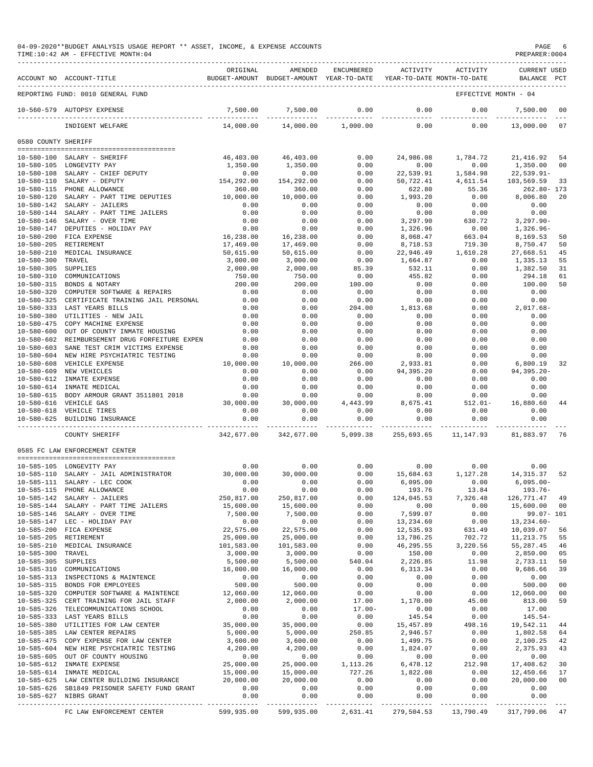|                                         | 04-09-2020**BUDGET ANALYSIS USAGE REPORT ** ASSET, INCOME, & EXPENSE ACCOUNTS<br>TIME:10:42 AM - EFFECTIVE MONTH:04 |                         |                                                                                |                    |                      |                      | PAGE<br>PREPARER: 0004             | 6         |
|-----------------------------------------|---------------------------------------------------------------------------------------------------------------------|-------------------------|--------------------------------------------------------------------------------|--------------------|----------------------|----------------------|------------------------------------|-----------|
|                                         | ACCOUNT NO ACCOUNT-TITLE                                                                                            | ORIGINAL                | AMENDED<br>BUDGET-AMOUNT BUDGET-AMOUNT YEAR-TO-DATE YEAR-TO-DATE MONTH-TO-DATE | ENCUMBERED         | ACTIVITY             | ACTIVITY             | <b>CURRENT USED</b><br>BALANCE PCT |           |
|                                         | REPORTING FUND: 0010 GENERAL FUND                                                                                   |                         |                                                                                |                    |                      |                      | EFFECTIVE MONTH - 04               |           |
|                                         | 10-560-579 AUTOPSY EXPENSE                                                                                          | 7,500.00                | 7,500.00                                                                       | 0.00               | 0.00                 | 0.00                 | 7,500.00                           | 00        |
|                                         | INDIGENT WELFARE                                                                                                    | 14,000.00               | ______________<br>14,000.00                                                    | 1,000.00           | ___________<br>0.00  | 0.00                 | 13,000.00                          | 07        |
| 0580 COUNTY SHERIFF                     |                                                                                                                     |                         |                                                                                |                    |                      |                      |                                    |           |
|                                         |                                                                                                                     |                         |                                                                                |                    |                      |                      |                                    |           |
|                                         | 10-580-100 SALARY - SHERIFF<br>10-580-105 LONGEVITY PAY                                                             | 46,403.00<br>1,350.00   | 46,403.00<br>1,350.00                                                          | 0.00<br>0.00       | 24,986.08<br>0.00    | 1,784.72<br>0.00     | 21,416.92<br>1,350.00              | -54<br>00 |
|                                         | 10-580-108 SALARY - CHIEF DEPUTY                                                                                    | 0.00                    | 0.00                                                                           | 0.00               | 22,539.91            | 1,584.98             | $22,539.91 -$                      |           |
| 10-580-110                              | SALARY - DEPUTY                                                                                                     | 154, 292.00             | 154,292.00                                                                     | 0.00               | 50,722.41            | 4,611.54             | 103,569.59                         | 33        |
|                                         | 10-580-115 PHONE ALLOWANCE                                                                                          | 360.00                  | 360.00                                                                         | 0.00               | 622.80               | 55.36                | $262.80 - 173$                     |           |
|                                         | 10-580-120 SALARY - PART TIME DEPUTIES                                                                              | 10,000.00               | 10,000.00                                                                      | 0.00               | 1,993.20             | 0.00                 | 8,006.80                           | 20        |
| 10-580-142                              | SALARY - JAILERS<br>10-580-144 SALARY - PART TIME JAILERS                                                           | 0.00<br>0.00            | 0.00<br>0.00                                                                   | 0.00<br>0.00       | 0.00<br>0.00         | 0.00<br>0.00         | 0.00<br>0.00                       |           |
|                                         | 10-580-146 SALARY - OVER TIME                                                                                       | 0.00                    | 0.00                                                                           | 0.00               | 3,297.90             | 630.72               | $3,297.90 -$                       |           |
| 10-580-147                              | DEPUTIES - HOLIDAY PAY                                                                                              | 0.00                    | 0.00                                                                           | 0.00               | 1,326.96             | 0.00                 | $1,326.96-$                        |           |
|                                         | 10-580-200 FICA EXPENSE                                                                                             | 16,238.00               | 16,238.00                                                                      | 0.00               | 8,068.47             | 663.04               | 8,169.53                           | 50        |
| $10 - 580 - 205$                        | RETIREMENT                                                                                                          | 17,469.00               | 17,469.00                                                                      | 0.00               | 8,718.53             | 719.30               | 8,750.47                           | 50        |
| $10 - 580 - 210$<br>$10 - 580 - 300$    | MEDICAL INSURANCE<br>TRAVEL                                                                                         | 50,615.00<br>3,000.00   | 50,615.00                                                                      | 0.00               | 22,946.49            | 1,610.28             | 27,668.51                          | 45<br>55  |
| $10 - 580 - 305$                        | SUPPLIES                                                                                                            | 2,000.00                | 3,000.00<br>2,000.00                                                           | 0.00<br>85.39      | 1,664.87<br>532.11   | 0.00<br>0.00         | 1,335.13<br>1,382.50               | 31        |
| $10 - 580 - 310$                        | COMMUNICATIONS                                                                                                      | 750.00                  | 750.00                                                                         | 0.00               | 455.82               | 0.00                 | 294.18                             | 61        |
| $10 - 580 - 315$                        | BONDS & NOTARY                                                                                                      | 200.00                  | 200.00                                                                         | 100.00             | 0.00                 | 0.00                 | 100.00                             | 50        |
| $10 - 580 - 320$                        | COMPUTER SOFTWARE & REPAIRS                                                                                         | 0.00                    | 0.00                                                                           | 0.00               | 0.00                 | 0.00                 | 0.00                               |           |
| $10 - 580 - 325$                        | CERTIFICATE TRAINING JAIL PERSONAL                                                                                  | 0.00                    | 0.00                                                                           | 0.00               | 0.00                 | 0.00                 | 0.00                               |           |
| $10 - 580 - 380$                        | 10-580-333 LAST YEARS BILLS                                                                                         | 0.00                    | 0.00                                                                           | 204.00             | 1,813.68             | 0.00                 | $2,017.68-$                        |           |
| $10 - 580 - 475$                        | UTILITIES - NEW JAIL<br>COPY MACHINE EXPENSE                                                                        | 0.00<br>0.00            | 0.00<br>0.00                                                                   | 0.00<br>0.00       | 0.00<br>0.00         | 0.00<br>0.00         | 0.00<br>0.00                       |           |
| $10 - 580 - 600$                        | OUT OF COUNTY INMATE HOUSING                                                                                        | 0.00                    | 0.00                                                                           | 0.00               | 0.00                 | 0.00                 | 0.00                               |           |
| $10 - 580 - 602$                        | REIMBURSEMENT DRUG FORFEITURE EXPEN                                                                                 | 0.00                    | 0.00                                                                           | 0.00               | 0.00                 | 0.00                 | 0.00                               |           |
| $10 - 580 - 603$                        | SANE TEST CRIM VICTIMS EXPENSE                                                                                      | 0.00                    | 0.00                                                                           | 0.00               | 0.00                 | 0.00                 | 0.00                               |           |
|                                         | 10-580-604 NEW HIRE PSYCHIATRIC TESTING                                                                             | 0.00                    | 0.00                                                                           | 0.00               | 0.00                 | 0.00                 | 0.00                               |           |
| $10 - 580 - 608$<br>$10 - 580 - 609$    | VEHICLE EXPENSE<br>NEW VEHICLES                                                                                     | 10,000.00<br>0.00       | 10,000.00<br>0.00                                                              | 266.00             | 2,933.81             | 0.00                 | 6,800.19                           | 32        |
|                                         | 10-580-612 INMATE EXPENSE                                                                                           | 0.00                    | 0.00                                                                           | 0.00<br>0.00       | 94,395.20<br>0.00    | 0.00<br>0.00         | $94, 395.20 -$<br>0.00             |           |
|                                         | 10-580-614 INMATE MEDICAL                                                                                           | 0.00                    | 0.00                                                                           | 0.00               | 0.00                 | 0.00                 | 0.00                               |           |
|                                         | 10-580-615 BODY ARMOUR GRANT 3511801 2018                                                                           | 0.00                    | 0.00                                                                           | 0.00               | 0.00                 | 0.00                 | 0.00                               |           |
|                                         | 10-580-616 VEHICLE GAS                                                                                              | 30,000.00               | 30,000.00                                                                      | 4,443.99           | 8,675.41             | $512.01 -$           | 16,880.60                          | 44        |
|                                         | 10-580-618 VEHICLE TIRES                                                                                            | 0.00                    | 0.00                                                                           | 0.00               | 0.00                 | 0.00                 | 0.00                               |           |
|                                         | 10-580-625 BUILDING INSURANCE                                                                                       | 0.00<br>--------------  | 0.00                                                                           | 0.00<br>.          | 0.00                 | 0.00                 | 0.00<br>-----------                |           |
|                                         | COUNTY SHERIFF                                                                                                      | 342,677.00              | 342,677.00                                                                     | 5,099.38           | 255,693.65           | 11,147.93            | 81,883.97<br>76                    |           |
|                                         | 0585 FC LAW ENFORCEMENT CENTER                                                                                      |                         |                                                                                |                    |                      |                      |                                    |           |
|                                         | 10-585-105 LONGEVITY PAY                                                                                            | 0.00                    | 0.00                                                                           | 0.00               | 0.00                 | 0.00                 | 0.00                               |           |
|                                         | 10-585-110 SALARY - JAIL ADMINISTRATOR                                                                              | 30,000.00               | 30,000.00                                                                      | 0.00               | 15,684.63            | 1,127.28             | 14, 315.37                         | 52        |
|                                         | 10-585-111 SALARY - LEC COOK                                                                                        | 0.00                    | 0.00                                                                           | 0.00               | 6,095.00             | 0.00                 | $6,095.00 -$                       |           |
|                                         | 10-585-115 PHONE ALLOWANCE                                                                                          | 0.00                    | 0.00                                                                           | 0.00               | 193.76               | 13.84                | 193.76-                            |           |
|                                         | 10-585-142 SALARY - JAILERS<br>10-585-144 SALARY - PART TIME JAILERS                                                | 250,817.00<br>15,600.00 | 250,817.00<br>15,600.00                                                        | 0.00<br>0.00       | 124,045.53<br>0.00   | 7,326.48<br>0.00     | 126, 771. 47 49<br>15,600.00 00    |           |
|                                         | 10-585-146 SALARY - OVER TIME                                                                                       | 7,500.00                | 7,500.00                                                                       | 0.00               | 7,599.07             | 0.00                 | 99.07- 101                         |           |
|                                         | 10-585-147 LEC - HOLIDAY PAY                                                                                        | 0.00                    | 0.00                                                                           | 0.00               | 13,234.60            | 0.00                 | $13, 234.60 -$                     |           |
|                                         | 10-585-200 FICA EXPENSE                                                                                             | 22,575.00               | 22,575.00                                                                      | 0.00               | 12,535.93            | 631.49               | 10,039.07                          | 56        |
| $10 - 585 - 205$                        | RETIREMENT                                                                                                          | 25,000.00               | 25,000.00                                                                      | 0.00               | 13,786.25            | 702.72               | 11, 213.75                         | 55        |
|                                         | 10-585-210 MEDICAL INSURANCE<br>TRAVEL                                                                              | 101,583.00<br>3,000.00  | 101,583.00<br>3,000.00                                                         | 0.00<br>0.00       | 46,295.55<br>150.00  | 3,220.56<br>0.00     | 55,287.45<br>2,850.00              | 46<br>05  |
| $10 - 585 - 300$<br>10-585-305 SUPPLIES |                                                                                                                     | 5,500.00                | 5,500.00                                                                       | 540.04             | 2,226.85             | 11.98                | 2,733.11                           | 50        |
|                                         | 10-585-310 COMMUNICATIONS                                                                                           | 16,000.00               | 16,000.00                                                                      | 0.00               | 6,313.34             | 0.00                 | 9,686.66                           | 39        |
|                                         | 10-585-313 INSPECTIONS & MAINTENCE                                                                                  |                         | 0.00                                                                           | 0.00               | 0.00                 | 0.00                 | 0.00                               |           |
|                                         | 10-585-315 BONDS FOR EMPLOYEES                                                                                      | $0.00$<br>500.00        | 500.00                                                                         | 0.00               | 0.00                 | 0.00                 | 500.00                             | 00        |
|                                         | 10-585-320 COMPUTER SOFTWARE & MAINTENCE                                                                            | 12,060.00               | 12,060.00                                                                      | 0.00               | 0.00                 | 0.00                 | 12,060.00                          | 00        |
|                                         | 10-585-325 CERT TRAINING FOR JAIL STAFF                                                                             | 2,000.00                | 2,000.00                                                                       | 17.00              | 1,170.00             | 45.00                | 813.00                             | 59        |
|                                         | 10-585-326 TELECOMMUNICATIONS SCHOOL<br>10-585-333 LAST YEARS BILLS                                                 | 0.00<br>0.00            | 0.00<br>0.00                                                                   | $17.00 -$<br>0.00  | 0.00<br>145.54       | 0.00<br>0.00         | 17.00<br>$145.54-$                 |           |
|                                         | 10-585-380 UTILITIES FOR LAW CENTER 35,000.00                                                                       |                         | 35,000.00                                                                      | 0.00               | 15,457.89            | 498.16               | 19,542.11                          | 44        |
|                                         | 10-585-385 LAW CENTER REPAIRS                                                                                       | 5,000.00                | 5,000.00                                                                       | 250.85             | 2,946.57             | 0.00                 | 1,802.58                           | 64        |
|                                         | 10-585-475 COPY EXPENSE FOR LAW CENTER                                                                              | 3,600.00                | 3,600.00                                                                       | 0.00               | 1,499.75             | 0.00                 | 2,100.25                           | 42        |
|                                         | 10-585-604 NEW HIRE PSYCHIATRIC TESTING                                                                             | 4,200.00                | 4,200.00                                                                       | 0.00               | 1,824.07             | 0.00                 | 2,375.93                           | 43        |
|                                         | 10-585-605 OUT OF COUNTY HOUSING                                                                                    | 0.00<br>25,000.00       | 0.00                                                                           | 0.00               | 0.00                 | 0.00                 | 0.00                               |           |
|                                         | 10-585-612 INMATE EXPENSE<br>10-585-614 INMATE MEDICAL                                                              | 15,000.00               | 25,000.00<br>15,000.00                                                         | 1,113.26<br>727.26 | 6,478.12<br>1,822.08 | 212.98<br>0.00       | 17,408.62<br>12,450.66             | 30<br>17  |
|                                         | 10-585-625 LAW CENTER BUILDING INSURANCE                                                                            | 20,000.00               | 20,000.00                                                                      | 0.00               | 0.00                 | 0.00                 | 20,000.00                          | 00        |
|                                         | 10-585-626 SB1849 PRISONER SAFETY FUND GRANT                                                                        | 0.00                    | 0.00                                                                           | 0.00               | 0.00                 | 0.00                 | 0.00                               |           |
|                                         | 10-585-627 NIBRS GRANT                                                                                              | 0.00                    | 0.00                                                                           | 0.00               | 0.00                 | 0.00                 | 0.00                               |           |
|                                         | FC LAW ENFORCEMENT CENTER                                                                                           | 599,935.00              | 599,935.00 2,631.41                                                            |                    |                      | 279,504.53 13,790.49 | 317,799.06 47                      |           |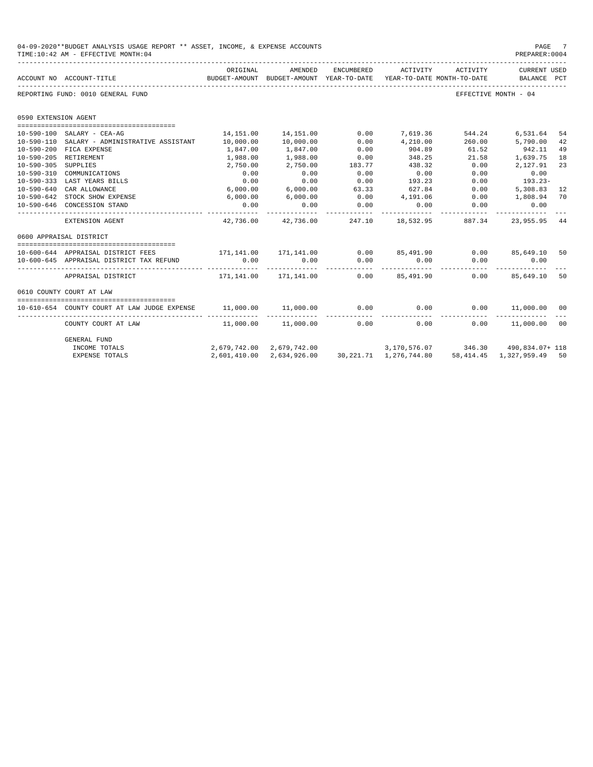|                      | 04-09-2020**BUDGET ANALYSIS USAGE REPORT ** ASSET, INCOME, & EXPENSE ACCOUNTS<br>TIME: 10:42 AM - EFFECTIVE MONTH: 04 |                                                                                             |                           |                       |                                                                                           |                      | PAGE<br>PREPARER: 0004                  | - 7 |
|----------------------|-----------------------------------------------------------------------------------------------------------------------|---------------------------------------------------------------------------------------------|---------------------------|-----------------------|-------------------------------------------------------------------------------------------|----------------------|-----------------------------------------|-----|
|                      | ACCOUNT NO ACCOUNT-TITLE                                                                                              | ORIGINAL<br>BUDGET-AMOUNT BUDGET-AMOUNT YEAR-TO-DATE YEAR-TO-DATE MONTH-TO-DATE BALANCE PCT | AMENDED                   | ENCUMBERED            | ACTIVITY                                                                                  | ACTIVITY             | CURRENT USED<br>----------------------- |     |
|                      | REPORTING FUND: 0010 GENERAL FUND                                                                                     |                                                                                             |                           |                       |                                                                                           |                      | EFFECTIVE MONTH - 04                    |     |
| 0590 EXTENSION AGENT |                                                                                                                       |                                                                                             |                           |                       |                                                                                           |                      |                                         |     |
|                      |                                                                                                                       |                                                                                             |                           |                       |                                                                                           |                      |                                         |     |
|                      | 10-590-100 SALARY - CEA-AG                                                                                            |                                                                                             | 14, 151.00 14, 151.00     | 0.00                  |                                                                                           | 7,619.36 544.24      | 6,531.64                                | 54  |
|                      | 10-590-110 SALARY - ADMINISTRATIVE ASSISTANT                                                                          | 10,000.00                                                                                   | 10,000.00                 | 0.00                  | 4,210.00                                                                                  |                      | 260.00 5,790.00                         | 42  |
|                      | 10-590-200 FICA EXPENSE                                                                                               | 1,847.00                                                                                    | 1,847.00                  | 0.00                  | 904.89                                                                                    | 61.52                | 942.11                                  | 49  |
| $10 - 590 - 205$     | RETIREMENT                                                                                                            | 1,988.00                                                                                    | 1,988.00                  | 0.00                  | 348.25                                                                                    | 21.58                | 1,639.75                                | 18  |
| $10 - 590 - 305$     | SUPPLIES                                                                                                              | 2,750.00                                                                                    | 2,750.00                  | 183.77                | 438.32                                                                                    | 0.00                 | 2,127.91                                | 23  |
|                      | 10-590-310 COMMUNICATIONS                                                                                             | 0.00                                                                                        | 0.00                      | 0.00                  | 0.00                                                                                      | 0.00                 | 0.00                                    |     |
|                      | 10-590-333 LAST YEARS BILLS                                                                                           | 0.00                                                                                        | 0.00                      | 0.00                  | 193.23                                                                                    | 0.00                 | 193.23-                                 |     |
|                      | 10-590-640 CAR ALLOWANCE                                                                                              | 6,000.00                                                                                    | 6,000.00                  | 63.33                 | 627.84                                                                                    | 0.00                 | 5,308.83                                | 12  |
|                      | 10-590-642 STOCK SHOW EXPENSE                                                                                         | 6,000.00                                                                                    | 6,000.00                  | 0.00                  | 4,191.06                                                                                  | 0.00                 | 1,808.94 70                             |     |
|                      | 10-590-646 CONCESSION STAND                                                                                           | 0.00<br>-----------                                                                         | 0.00                      | 0.00<br>------------  | 0.00<br>. <u>.</u>                                                                        | 0.00<br>------------ | 0.00<br>------------                    |     |
|                      | EXTENSION AGENT                                                                                                       |                                                                                             | 42,736.00 42,736.00       |                       | 247.10 18.532.95 887.34                                                                   |                      | 23,955.95                               | 44  |
|                      | 0600 APPRAISAL DISTRICT                                                                                               |                                                                                             |                           |                       |                                                                                           |                      |                                         |     |
|                      |                                                                                                                       |                                                                                             |                           |                       |                                                                                           |                      |                                         |     |
|                      | 10-600-644 APPRAISAL DISTRICT FEES                                                                                    |                                                                                             |                           |                       | 171,141.00 171,141.00        0.00        85,491.90        0.00        85,649.10        50 |                      |                                         |     |
|                      | 10-600-645 APPRAISAL DISTRICT TAX REFUND                                                                              | 0.00                                                                                        | 0.00<br>------------      | 0.00<br>------------- | 0.00<br>___________                                                                       | 0.00<br>------------ | 0.00<br>------------                    |     |
|                      | APPRAISAL DISTRICT                                                                                                    |                                                                                             |                           |                       | 171,141.00 171,141.00 0.00 85,491.90                                                      |                      | $0.00$ 85,649.10                        | 50  |
|                      | 0610 COUNTY COURT AT LAW                                                                                              |                                                                                             |                           |                       |                                                                                           |                      |                                         |     |
|                      |                                                                                                                       |                                                                                             |                           |                       |                                                                                           |                      |                                         |     |
|                      | 10-610-654 COUNTY COURT AT LAW JUDGE EXPENSE                                                                          | 11,000.00 11,000.00                                                                         |                           |                       | $0.00$ 0.00                                                                               |                      | $0.00$ 11,000.00 00                     |     |
|                      | COUNTY COURT AT LAW                                                                                                   |                                                                                             | 11,000.00 11,000.00       |                       | $0.00$ 0.00                                                                               |                      | $0.00$ 11,000.00 00                     |     |
|                      | GENERAL FUND                                                                                                          |                                                                                             |                           |                       |                                                                                           |                      |                                         |     |
|                      | INCOME TOTALS                                                                                                         |                                                                                             |                           |                       | 2,679,742.00 2,679,742.00 3,170,576.07 346.30 490,834.07+ 118                             |                      |                                         |     |
|                      | <b>EXPENSE TOTALS</b>                                                                                                 |                                                                                             | 2,601,410.00 2,634,926.00 |                       | 30, 221. 71 1, 276, 744. 80                                                               |                      | 58, 414. 45 1, 327, 959. 49 50          |     |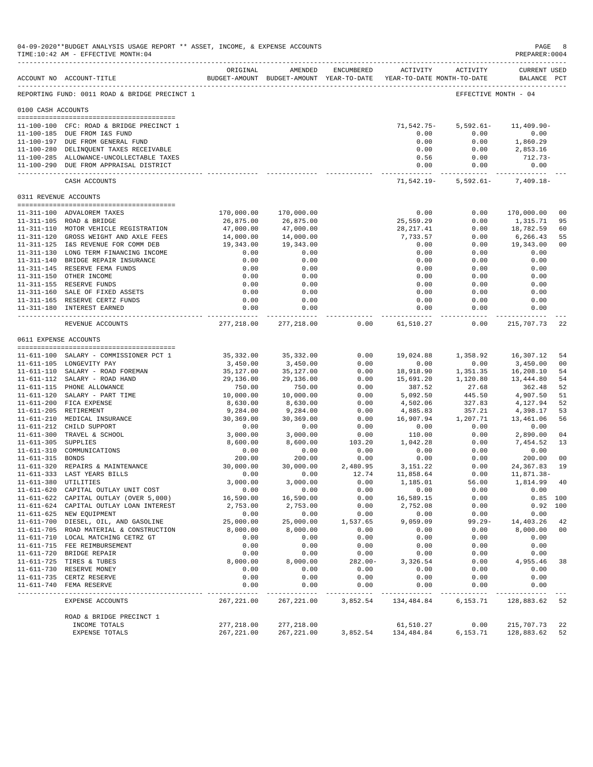|                     | 04-09-2020**BUDGET ANALYSIS USAGE REPORT ** ASSET, INCOME, & EXPENSE ACCOUNTS<br>TIME:10:42 AM - EFFECTIVE MONTH:04 |                           |                           |                         |                                                                                 |                                   | PAGE<br>PREPARER: 0004             | 8                      |
|---------------------|---------------------------------------------------------------------------------------------------------------------|---------------------------|---------------------------|-------------------------|---------------------------------------------------------------------------------|-----------------------------------|------------------------------------|------------------------|
|                     | ACCOUNT NO ACCOUNT-TITLE                                                                                            | ORIGINAL                  | AMENDED                   | ENCUMBERED              | ACTIVITY<br>BUDGET-AMOUNT BUDGET-AMOUNT YEAR-TO-DATE YEAR-TO-DATE MONTH-TO-DATE | ACTIVITY                          | <b>CURRENT USED</b><br>BALANCE PCT |                        |
|                     | REPORTING FUND: 0011 ROAD & BRIDGE PRECINCT 1                                                                       |                           |                           |                         |                                                                                 |                                   | EFFECTIVE MONTH - 04               |                        |
| 0100 CASH ACCOUNTS  |                                                                                                                     |                           |                           |                         |                                                                                 |                                   |                                    |                        |
|                     |                                                                                                                     |                           |                           |                         |                                                                                 |                                   |                                    |                        |
|                     | 11-100-100 CFC: ROAD & BRIDGE PRECINCT 1                                                                            |                           |                           |                         | 71,542.75-<br>0.00                                                              | $5,592.61-$<br>0.00               | $11,409.90 -$                      |                        |
|                     | 11-100-185 DUE FROM I&S FUND<br>11-100-197 DUE FROM GENERAL FUND                                                    |                           |                           |                         | 0.00                                                                            | 0.00                              | 0.00<br>1,860.29                   |                        |
|                     | 11-100-280 DELINQUENT TAXES RECEIVABLE                                                                              |                           |                           |                         | 0.00                                                                            | 0.00                              | 2,853.16                           |                        |
|                     | 11-100-285 ALLOWANCE-UNCOLLECTABLE TAXES                                                                            |                           |                           |                         | 0.56                                                                            | 0.00                              | 712.73-                            |                        |
|                     | 11-100-290 DUE FROM APPRAISAL DISTRICT                                                                              |                           |                           |                         | 0.00<br>------------- ------------                                              | 0.00                              | 0.00<br>--------------             |                        |
|                     | CASH ACCOUNTS                                                                                                       |                           |                           |                         |                                                                                 | 71,542.19 - 5,592.61 - 7,409.18 - |                                    |                        |
|                     | 0311 REVENUE ACCOUNTS                                                                                               |                           |                           |                         |                                                                                 |                                   |                                    |                        |
|                     |                                                                                                                     |                           |                           |                         |                                                                                 |                                   |                                    |                        |
|                     | 11-311-100 ADVALOREM TAXES<br>11-311-105 ROAD & BRIDGE                                                              | 170,000.00<br>26,875.00   | 170,000.00<br>26,875.00   |                         | 0.00<br>25,559.29                                                               | 0.00<br>0.00                      | 170,000.00<br>1,315.71             | 0 <sub>0</sub><br>95   |
|                     | 11-311-110 MOTOR VEHICLE REGISTRATION                                                                               | 47,000.00                 | 47,000.00                 |                         | 28, 217.41                                                                      | 0.00                              | 18,782.59                          | 60                     |
|                     | 11-311-120 GROSS WEIGHT AND AXLE FEES                                                                               | 14,000.00                 | 14,000.00                 |                         | 7,733.57                                                                        | 0.00                              | 6,266.43                           | 55                     |
|                     | 11-311-125 I&S REVENUE FOR COMM DEB                                                                                 | 19,343.00                 | 19,343.00                 |                         | 0.00                                                                            | 0.00                              | 19,343.00                          | 0 <sub>0</sub>         |
|                     | 11-311-130 LONG TERM FINANCING INCOME                                                                               | 0.00                      | 0.00                      |                         | 0.00                                                                            | 0.00                              | 0.00                               |                        |
|                     | 11-311-140 BRIDGE REPAIR INSURANCE                                                                                  | 0.00                      | 0.00                      |                         | 0.00                                                                            | 0.00                              | 0.00                               |                        |
|                     | 11-311-145 RESERVE FEMA FUNDS                                                                                       | 0.00                      | 0.00                      |                         | 0.00                                                                            | 0.00                              | 0.00                               |                        |
|                     | 11-311-150 OTHER INCOME                                                                                             | 0.00                      | 0.00                      |                         | 0.00                                                                            | 0.00                              | 0.00                               |                        |
|                     | 11-311-155 RESERVE FUNDS                                                                                            | 0.00                      | 0.00                      |                         | 0.00                                                                            | 0.00                              | 0.00                               |                        |
|                     | 11-311-160 SALE OF FIXED ASSETS<br>11-311-165 RESERVE CERTZ FUNDS                                                   | 0.00<br>0.00              | 0.00<br>0.00              |                         | 0.00<br>0.00                                                                    | 0.00<br>0.00                      | 0.00<br>0.00                       |                        |
|                     | 11-311-180 INTEREST EARNED                                                                                          | 0.00                      | 0.00                      |                         | 0.00                                                                            | 0.00                              | 0.00                               |                        |
|                     |                                                                                                                     |                           | .                         |                         | ------------                                                                    | -----                             | $\frac{1}{2}$                      |                        |
|                     | REVENUE ACCOUNTS                                                                                                    | 277,218.00                | 277,218.00                | 0.00                    | 61,510.27                                                                       | 0.00                              | 215,707.73                         | 22                     |
|                     | 0611 EXPENSE ACCOUNTS                                                                                               |                           |                           |                         |                                                                                 |                                   |                                    |                        |
|                     | 11-611-100 SALARY - COMMISSIONER PCT 1                                                                              | 35,332.00                 | 35,332.00                 | 0.00                    | 19,024.88                                                                       | 1,358.92                          | 16,307.12                          | 54                     |
|                     | 11-611-105 LONGEVITY PAY                                                                                            | 3,450.00                  | 3,450.00                  | 0.00                    | 0.00                                                                            | 0.00                              | 3,450.00                           | 0 <sub>0</sub>         |
|                     | 11-611-110 SALARY - ROAD FOREMAN                                                                                    | 35,127.00                 | 35,127.00                 | 0.00                    | 18,918.90                                                                       | 1,351.35                          | 16,208.10                          | 54                     |
|                     | 11-611-112 SALARY - ROAD HAND                                                                                       | 29,136.00                 | 29,136.00                 | 0.00                    | 15,691.20                                                                       | 1,120.80                          | 13,444.80                          | 54                     |
|                     | 11-611-115 PHONE ALLOWANCE                                                                                          | 750.00                    | 750.00                    | 0.00                    | 387.52                                                                          | 27.68                             | 362.48                             | 52                     |
|                     | 11-611-120 SALARY - PART TIME                                                                                       | 10,000.00                 | 10,000.00                 | 0.00                    | 5,092.50                                                                        | 445.50                            | 4,907.50                           | 51                     |
|                     | 11-611-200 FICA EXPENSE                                                                                             | 8,630.00                  | 8,630.00                  | 0.00                    | 4,502.06                                                                        | 327.83                            | 4,127.94                           | 52                     |
|                     | 11-611-205 RETIREMENT                                                                                               | 9,284.00                  | 9,284.00                  | 0.00                    | 4,885.83                                                                        | 357.21                            | 4,398.17                           | 53                     |
|                     | 11-611-210 MEDICAL INSURANCE<br>11-611-212 CHILD SUPPORT                                                            | 30,369.00<br>0.00         | 30,369.00<br>0.00         | 0.00<br>0.00            | 16,907.94<br>0.00                                                               | 1,207.71<br>0.00                  | 13,461.06<br>0.00                  | 56                     |
|                     | 11-611-300 TRAVEL & SCHOOL                                                                                          | 3,000.00                  | 3,000.00                  | 0.00                    | 110.00                                                                          | 0.00                              | 2,890.00                           | 04                     |
| 11-611-305 SUPPLIES |                                                                                                                     | 8,600.00                  | 8,600.00                  | 103.20                  | 1,042.28                                                                        | 0.00                              | 7,454.52                           | 13                     |
|                     | 11-611-310 COMMUNICATIONS                                                                                           | 0.00                      | 0.00                      | 0.00                    | 0.00                                                                            | 0.00                              | 0.00                               |                        |
| 11-611-315 BONDS    |                                                                                                                     | 200.00                    | 200.00                    | 0.00                    | 0.00                                                                            | 0.00                              | 200.00                             | 0 <sub>0</sub>         |
|                     | 11-611-320 REPAIRS & MAINTENANCE                                                                                    | 30,000.00                 | 30,000.00                 | 2,480.95                | 3,151.22                                                                        | 0.00                              | 24, 367.83                         | 19                     |
|                     | 11-611-333 LAST YEARS BILLS                                                                                         | 0.00                      | 0.00                      | 12.74                   | 11,858.64                                                                       | 0.00                              | 11,871.38-                         |                        |
|                     | 11-611-380 UTILITIES                                                                                                | 3,000.00                  | 3,000.00                  | 0.00                    | 1,185.01                                                                        | 56.00                             | 1,814.99 40                        |                        |
|                     | 11-611-620 CAPITAL OUTLAY UNIT COST                                                                                 | 0.00                      | 0.00                      | 0.00                    | 0.00                                                                            | 0.00                              | 0.00                               |                        |
|                     | 11-611-622 CAPITAL OUTLAY (OVER 5,000)<br>11-611-624 CAPITAL OUTLAY LOAN INTEREST                                   | 16,590.00<br>2,753.00     | 16,590.00<br>2,753.00     | 0.00<br>0.00            | 16,589.15<br>2,752.08                                                           | 0.00<br>0.00                      |                                    | $0.85$ 100<br>0.92 100 |
|                     | 11-611-625 NEW EQUIPMENT                                                                                            | 0.00                      | 0.00                      | 0.00                    | 0.00                                                                            | 0.00                              | 0.00                               |                        |
|                     | 11-611-700 DIESEL, OIL, AND GASOLINE                                                                                | 25,000.00                 | 25,000.00                 | 1,537.65                | 9,059.09                                                                        | $99.29 -$                         | 14,403.26                          | 42                     |
|                     | 11-611-705 ROAD MATERIAL & CONSTRUCTION                                                                             | 8,000.00                  | 8,000.00                  | 0.00                    | 0.00                                                                            | 0.00                              | 8,000.00                           | 00                     |
|                     | 11-611-710 LOCAL MATCHING CETRZ GT                                                                                  | 0.00                      | 0.00                      | 0.00                    | 0.00                                                                            | 0.00                              | 0.00                               |                        |
|                     | 11-611-715 FEE REIMBURSEMENT                                                                                        | 0.00                      | 0.00                      | 0.00                    | 0.00                                                                            | 0.00                              | 0.00                               |                        |
|                     | 11-611-720 BRIDGE REPAIR                                                                                            | 0.00                      | 0.00                      | 0.00                    | 0.00                                                                            | 0.00                              | 0.00                               |                        |
|                     | 11-611-725 TIRES & TUBES                                                                                            | 8,000.00                  | 8,000.00                  | $282.00 -$              | 3,326.54                                                                        | 0.00                              | 4,955.46                           | 38                     |
|                     | 11-611-730 RESERVE MONEY                                                                                            | 0.00                      | 0.00                      | 0.00                    | 0.00                                                                            | 0.00                              | 0.00                               |                        |
|                     | 11-611-735 CERTZ RESERVE                                                                                            | 0.00                      | 0.00                      | 0.00                    | 0.00                                                                            | 0.00                              | 0.00                               |                        |
|                     | 11-611-740 FEMA RESERVE                                                                                             | 0.00<br>___________       | 0.00<br>-------           | 0.00<br>$- - - - - - -$ | 0.00<br>--------                                                                | 0.00<br>-----                     | 0.00<br>---------                  |                        |
|                     | EXPENSE ACCOUNTS                                                                                                    | 267, 221.00               | 267,221.00                | 3,852.54                | 134,484.84                                                                      | 6,153.71                          | 128,883.62                         | 52                     |
|                     | ROAD & BRIDGE PRECINCT 1                                                                                            |                           |                           |                         |                                                                                 |                                   |                                    |                        |
|                     | INCOME TOTALS<br>EXPENSE TOTALS                                                                                     | 277,218.00<br>267, 221.00 | 277,218.00<br>267, 221.00 | 3,852.54                | 61,510.27<br>134,484.84                                                         | 0.00<br>6,153.71                  | 215,707.73<br>128,883.62           | 22<br>52               |
|                     |                                                                                                                     |                           |                           |                         |                                                                                 |                                   |                                    |                        |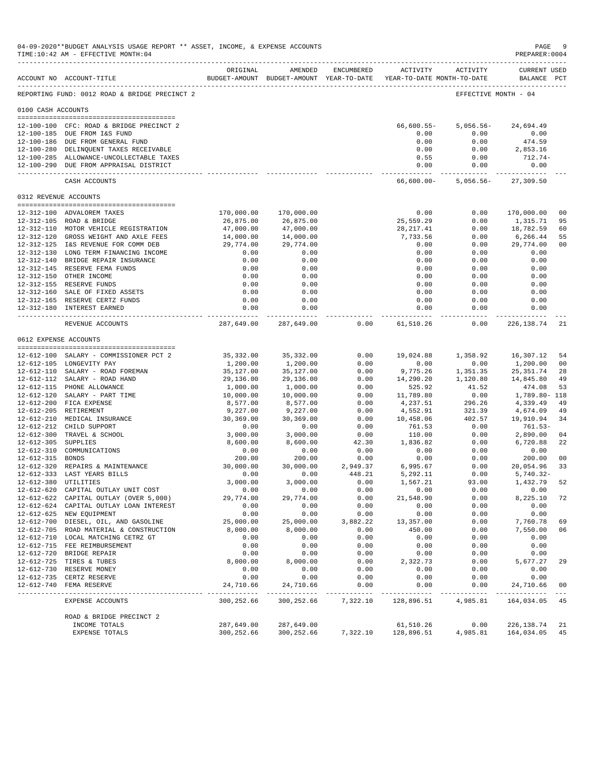|                       | 04-09-2020**BUDGET ANALYSIS USAGE REPORT ** ASSET, INCOME, & EXPENSE ACCOUNTS<br>TIME:10:42 AM - EFFECTIVE MONTH:04<br>------------------------------------ |                                |                                                                                |                  |                                       |                                     | PAGE<br>PREPARER: 0004                  | -9                        |
|-----------------------|-------------------------------------------------------------------------------------------------------------------------------------------------------------|--------------------------------|--------------------------------------------------------------------------------|------------------|---------------------------------------|-------------------------------------|-----------------------------------------|---------------------------|
|                       | ACCOUNT NO ACCOUNT-TITLE                                                                                                                                    | ORIGINAL                       | AMENDED<br>BUDGET-AMOUNT BUDGET-AMOUNT YEAR-TO-DATE YEAR-TO-DATE MONTH-TO-DATE | ENCUMBERED       | ACTIVITY                              | ACTIVITY                            | <b>CURRENT USED</b><br>BALANCE PCT      |                           |
|                       | REPORTING FUND: 0012 ROAD & BRIDGE PRECINCT 2                                                                                                               |                                |                                                                                |                  |                                       | EFFECTIVE MONTH - 04                |                                         |                           |
| 0100 CASH ACCOUNTS    |                                                                                                                                                             |                                |                                                                                |                  |                                       |                                     |                                         |                           |
|                       | 12-100-100 CFC: ROAD & BRIDGE PRECINCT 2<br>12-100-185 DUE FROM I&S FUND<br>12-100-186 DUE FROM GENERAL FUND<br>12-100-280 DELINQUENT TAXES RECEIVABLE      |                                |                                                                                |                  | $66,600.55 -$<br>0.00<br>0.00<br>0.00 | $5,056.56-$<br>0.00<br>0.00<br>0.00 | 24,694.49<br>0.00<br>474.59<br>2,853.16 |                           |
|                       | 12-100-285 ALLOWANCE-UNCOLLECTABLE TAXES<br>12-100-290 DUE FROM APPRAISAL DISTRICT                                                                          |                                |                                                                                |                  | 0.55<br>0.00<br>------------ -        | 0.00<br>0.00<br>------------        | 712.74-<br>0.00<br>-------------        |                           |
|                       | CASH ACCOUNTS                                                                                                                                               |                                |                                                                                |                  | 66,600.00-                            | 5,056.56-                           | 27,309.50                               |                           |
| 0312 REVENUE ACCOUNTS |                                                                                                                                                             |                                |                                                                                |                  |                                       |                                     |                                         |                           |
|                       | 12-312-100 ADVALOREM TAXES                                                                                                                                  | 170,000.00                     | 170,000.00                                                                     |                  | 0.00                                  | 0.00                                | 170,000.00                              | 0 <sub>0</sub>            |
|                       | 12-312-105 ROAD & BRIDGE                                                                                                                                    | 26,875.00                      | 26,875.00                                                                      |                  | 25,559.29                             | 0.00                                | 1,315.71                                | 95                        |
|                       | 12-312-110 MOTOR VEHICLE REGISTRATION                                                                                                                       | 47,000.00                      | 47,000.00                                                                      |                  | 28, 217.41                            | 0.00                                | 18,782.59                               | 60                        |
|                       | 12-312-120 GROSS WEIGHT AND AXLE FEES                                                                                                                       | 14,000.00                      | 14,000.00                                                                      |                  | 7,733.56                              | 0.00                                | 6,266.44                                | 55                        |
|                       | 12-312-125 I&S REVENUE FOR COMM DEB                                                                                                                         | 29,774.00                      | 29,774.00                                                                      |                  | 0.00                                  | 0.00                                | 29,774.00                               | 0 <sub>0</sub>            |
|                       | 12-312-130 LONG TERM FINANCING INCOME                                                                                                                       | 0.00                           | 0.00                                                                           |                  | 0.00                                  | 0.00                                | 0.00                                    |                           |
|                       | 12-312-140 BRIDGE REPAIR INSURANCE                                                                                                                          | 0.00                           | 0.00                                                                           |                  | 0.00                                  | 0.00                                | 0.00                                    |                           |
|                       | 12-312-145 RESERVE FEMA FUNDS                                                                                                                               | 0.00                           | 0.00                                                                           |                  | 0.00                                  | 0.00                                | 0.00                                    |                           |
|                       | 12-312-150 OTHER INCOME<br>12-312-155 RESERVE FUNDS                                                                                                         | 0.00<br>0.00                   | 0.00<br>0.00                                                                   |                  | 0.00<br>0.00                          | 0.00<br>0.00                        | 0.00<br>0.00                            |                           |
|                       | 12-312-160 SALE OF FIXED ASSETS                                                                                                                             | 0.00                           | 0.00                                                                           |                  | 0.00                                  | 0.00                                | 0.00                                    |                           |
|                       | 12-312-165 RESERVE CERTZ FUNDS                                                                                                                              | 0.00                           | 0.00                                                                           |                  | 0.00                                  | 0.00                                | 0.00                                    |                           |
|                       | 12-312-180 INTEREST EARNED                                                                                                                                  | 0.00                           | 0.00                                                                           |                  | 0.00                                  | 0.00                                | 0.00                                    |                           |
|                       | REVENUE ACCOUNTS                                                                                                                                            | 287,649.00                     | ------------<br>287,649.00                                                     | 0.00             | ------------<br>61,510.26             | $- - - - -$<br>0.00                 | - - - - - - - - - - -<br>226, 138.74    | 21                        |
| 0612 EXPENSE ACCOUNTS |                                                                                                                                                             |                                |                                                                                |                  |                                       |                                     |                                         |                           |
|                       |                                                                                                                                                             |                                |                                                                                |                  |                                       |                                     |                                         |                           |
|                       | 12-612-100 SALARY - COMMISSIONER PCT 2                                                                                                                      | 35,332.00                      | 35, 332.00                                                                     | 0.00             | 19,024.88                             | 1,358.92                            | 16,307.12                               | 54                        |
|                       | 12-612-105 LONGEVITY PAY                                                                                                                                    | 1,200.00                       | 1,200.00                                                                       | 0.00             | 0.00                                  | 0.00                                | 1,200.00                                | 0 <sub>0</sub>            |
|                       | 12-612-110 SALARY - ROAD FOREMAN                                                                                                                            | 35,127.00                      | 35,127.00                                                                      | 0.00             | 9,775.26                              | 1,351.35                            | 25, 351.74                              | 28<br>49                  |
|                       | 12-612-112 SALARY - ROAD HAND<br>12-612-115 PHONE ALLOWANCE                                                                                                 | 29,136.00<br>1,000.00          | 29,136.00<br>1,000.00                                                          | 0.00<br>0.00     | 14,290.20<br>525.92                   | 1,120.80<br>41.52                   | 14,845.80<br>474.08                     | 53                        |
|                       | 12-612-120 SALARY - PART TIME                                                                                                                               | 10,000.00                      | 10,000.00                                                                      | 0.00             | 11,789.80                             | 0.00                                | 1,789.80- 118                           |                           |
|                       | 12-612-200 FICA EXPENSE                                                                                                                                     | 8,577.00                       | 8,577.00                                                                       | 0.00             | 4,237.51                              | 296.26                              | 4,339.49                                | 49                        |
|                       | 12-612-205 RETIREMENT                                                                                                                                       | 9,227.00                       | 9,227.00                                                                       | 0.00             | 4,552.91                              | 321.39                              | 4,674.09                                | 49                        |
|                       | 12-612-210 MEDICAL INSURANCE                                                                                                                                | 30,369.00                      | 30,369.00                                                                      | 0.00             | 10,458.06                             | 402.57                              | 19,910.94                               | 34                        |
|                       | 12-612-212 CHILD SUPPORT                                                                                                                                    | 0.00                           | 0.00                                                                           | 0.00             | 761.53                                | 0.00                                | 761.53-                                 |                           |
|                       | 12-612-300 TRAVEL & SCHOOL                                                                                                                                  | 3,000.00                       | 3,000.00                                                                       | 0.00             | 110.00                                | 0.00                                | 2,890.00                                | 04                        |
| 12-612-305 SUPPLIES   |                                                                                                                                                             | 8,600.00                       | 8,600.00                                                                       | 42.30            | 1,836.82                              | 0.00                                | 6,720.88                                | 22                        |
| 12-612-315 BONDS      | 12-612-310 COMMUNICATIONS                                                                                                                                   | 0.00<br>200.00                 | 0.00<br>200.00                                                                 | 0.00<br>0.00     | 0.00<br>0.00                          | 0.00<br>0.00                        | 0.00<br>200.00                          | 0 <sub>0</sub>            |
|                       | 12-612-320 REPAIRS & MAINTENANCE                                                                                                                            | 30,000.00                      | 30,000.00                                                                      | 2,949.37         | 6,995.67                              | 0.00                                | 20,054.96                               | 33                        |
|                       | 12-612-333 LAST YEARS BILLS                                                                                                                                 | 0.00                           | 0.00                                                                           | 448.21           | 5,292.11                              | 0.00                                | $5,740.32 -$                            |                           |
| 12-612-380 UTILITIES  |                                                                                                                                                             | 3,000.00                       | 3,000.00                                                                       | 0.00             | 1,567.21                              | 93.00                               | 1,432.79                                | 52                        |
|                       | 12-612-620 CAPITAL OUTLAY UNIT COST                                                                                                                         | 0.00                           | 0.00                                                                           | 0.00             | 0.00                                  | 0.00                                | 0.00                                    |                           |
|                       | 12-612-622 CAPITAL OUTLAY (OVER 5,000)                                                                                                                      | 29,774.00                      | 29,774.00                                                                      | 0.00             | 21,548.90                             | 0.00                                | 8,225.10                                | 72                        |
|                       | 12-612-624 CAPITAL OUTLAY LOAN INTEREST                                                                                                                     | 0.00                           | 0.00                                                                           | 0.00             | 0.00                                  | 0.00                                | 0.00                                    |                           |
|                       | 12-612-625 NEW EQUIPMENT<br>12-612-700 DIESEL, OIL, AND GASOLINE                                                                                            | 0.00<br>25,000.00              | 0.00<br>25,000.00                                                              | 0.00<br>3,882.22 | 0.00<br>13,357.00                     | 0.00<br>0.00                        | 0.00<br>7,760.78                        | 69                        |
|                       | 12-612-705 ROAD MATERIAL & CONSTRUCTION                                                                                                                     | 8,000.00                       | 8,000.00                                                                       | 0.00             | 450.00                                | 0.00                                | 7,550.00                                | 06                        |
|                       | 12-612-710 LOCAL MATCHING CETRZ GT                                                                                                                          | 0.00                           | 0.00                                                                           | 0.00             | 0.00                                  | 0.00                                | 0.00                                    |                           |
|                       | 12-612-715 FEE REIMBURSEMENT                                                                                                                                | 0.00                           | 0.00                                                                           | 0.00             | 0.00                                  | 0.00                                | 0.00                                    |                           |
|                       | 12-612-720 BRIDGE REPAIR                                                                                                                                    | 0.00                           | 0.00                                                                           | 0.00             | 0.00                                  | 0.00                                | 0.00                                    |                           |
|                       | 12-612-725 TIRES & TUBES                                                                                                                                    | 8,000.00                       | 8,000.00                                                                       | 0.00             | 2,322.73                              | 0.00                                | 5,677.27                                | 29                        |
|                       | 12-612-730 RESERVE MONEY                                                                                                                                    | 0.00                           | 0.00                                                                           | 0.00             | 0.00                                  | 0.00                                | 0.00                                    |                           |
|                       | 12-612-735 CERTZ RESERVE                                                                                                                                    | 0.00                           | 0.00                                                                           | 0.00             | 0.00                                  | 0.00                                | 0.00                                    |                           |
|                       | 12-612-740 FEMA RESERVE                                                                                                                                     | 24,710.66<br><u>__________</u> | 24,710.66<br>-------------                                                     | 0.00<br>-------  | 0.00<br>---------                     | 0.00<br>-----                       | 24,710.66                               | 0 <sub>0</sub><br>$- - -$ |
|                       | EXPENSE ACCOUNTS                                                                                                                                            | 300,252.66                     | 300,252.66                                                                     | 7,322.10         | 128,896.51                            | 4,985.81                            | 164,034.05                              | 45                        |
|                       | ROAD & BRIDGE PRECINCT 2                                                                                                                                    |                                |                                                                                |                  |                                       |                                     |                                         |                           |
|                       | INCOME TOTALS<br>EXPENSE TOTALS                                                                                                                             | 287,649.00<br>300,252.66       | 287,649.00<br>300,252.66                                                       | 7,322.10         | 61,510.26<br>128,896.51               | 0.00<br>4,985.81                    | 226,138.74<br>164,034.05                | 21<br>45                  |
|                       |                                                                                                                                                             |                                |                                                                                |                  |                                       |                                     |                                         |                           |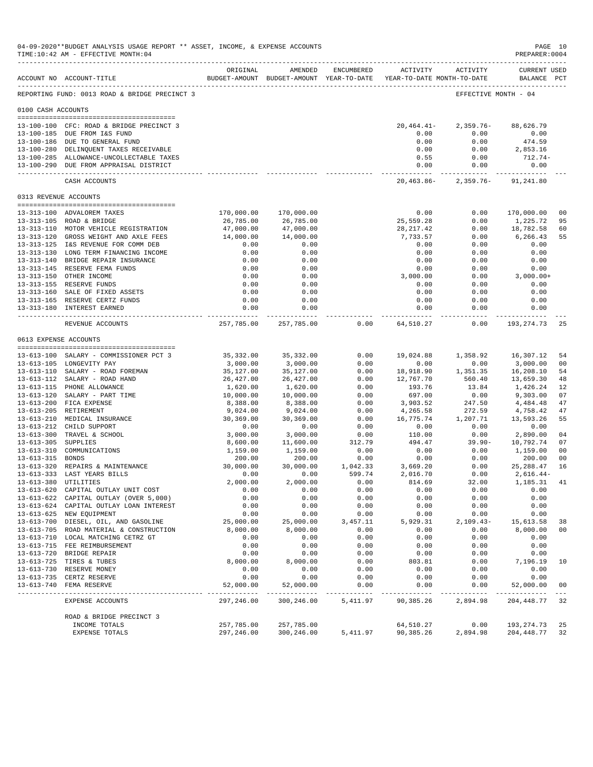|                       | 04-09-2020**BUDGET ANALYSIS USAGE REPORT ** ASSET, INCOME, & EXPENSE ACCOUNTS<br>TIME:10:42 AM - EFFECTIVE MONTH:04<br>------------------------------------ |                       |                                |                  |                                                                     |                                     | PAGE 10<br>PREPARER: 0004               |                                  |
|-----------------------|-------------------------------------------------------------------------------------------------------------------------------------------------------------|-----------------------|--------------------------------|------------------|---------------------------------------------------------------------|-------------------------------------|-----------------------------------------|----------------------------------|
|                       | ACCOUNT NO ACCOUNT-TITLE                                                                                                                                    | ORIGINAL              | AMENDED                        | ENCUMBERED       | BUDGET-AMOUNT BUDGET-AMOUNT YEAR-TO-DATE YEAR-TO-DATE MONTH-TO-DATE | ACTIVITY ACTIVITY                   | <b>CURRENT USED</b><br>BALANCE PCT      |                                  |
|                       | REPORTING FUND: 0013 ROAD & BRIDGE PRECINCT 3                                                                                                               |                       |                                |                  |                                                                     | EFFECTIVE MONTH - 04                |                                         |                                  |
| 0100 CASH ACCOUNTS    |                                                                                                                                                             |                       |                                |                  |                                                                     |                                     |                                         |                                  |
|                       | 13-100-100 CFC: ROAD & BRIDGE PRECINCT 3<br>13-100-185 DUE FROM I&S FUND<br>13-100-186 DUE TO GENERAL FUND<br>13-100-280 DELINQUENT TAXES RECEIVABLE        |                       |                                |                  | $20,464.41-$<br>0.00<br>0.00<br>0.00                                | $2,359.76-$<br>0.00<br>0.00<br>0.00 | 88,626.79<br>0.00<br>474.59<br>2,853.16 |                                  |
|                       | 13-100-285 ALLOWANCE-UNCOLLECTABLE TAXES<br>13-100-290 DUE FROM APPRAISAL DISTRICT                                                                          |                       |                                |                  | 0.55<br>0.00<br>------------ -                                      | 0.00<br>0.00<br>------------        | $712.74-$<br>0.00                       |                                  |
|                       | CASH ACCOUNTS                                                                                                                                               |                       |                                |                  | 20,463.86-                                                          | 2,359.76-                           | 91,241.80                               |                                  |
| 0313 REVENUE ACCOUNTS |                                                                                                                                                             |                       |                                |                  |                                                                     |                                     |                                         |                                  |
|                       | 13-313-100 ADVALOREM TAXES                                                                                                                                  | 170,000.00            | 170,000.00                     |                  | 0.00                                                                | 0.00                                | 170,000.00                              | 0 <sub>0</sub>                   |
|                       | 13-313-105 ROAD & BRIDGE                                                                                                                                    | 26,785.00             | 26,785.00                      |                  | 25,559.28                                                           | 0.00                                | 1,225.72                                | 95                               |
|                       | 13-313-110 MOTOR VEHICLE REGISTRATION                                                                                                                       | 47,000.00             | 47,000.00                      |                  | 28, 217.42                                                          | 0.00                                | 18,782.58                               | 60                               |
|                       | 13-313-120 GROSS WEIGHT AND AXLE FEES                                                                                                                       | 14,000.00             | 14,000.00                      |                  | 7,733.57                                                            | 0.00                                | 6,266.43                                | 55                               |
|                       | 13-313-125 I&S REVENUE FOR COMM DEB                                                                                                                         | 0.00                  | 0.00                           |                  | 0.00                                                                | 0.00                                | 0.00                                    |                                  |
|                       | 13-313-130 LONG TERM FINANCING INCOME                                                                                                                       | 0.00                  | 0.00                           |                  | 0.00                                                                | 0.00                                | 0.00                                    |                                  |
|                       | 13-313-140 BRIDGE REPAIR INSURANCE                                                                                                                          | 0.00                  | 0.00                           |                  | 0.00                                                                | 0.00                                | 0.00                                    |                                  |
|                       | 13-313-145 RESERVE FEMA FUNDS                                                                                                                               | 0.00                  | 0.00                           |                  | 0.00                                                                | 0.00                                | 0.00                                    |                                  |
|                       | 13-313-150 OTHER INCOME<br>13-313-155 RESERVE FUNDS                                                                                                         | 0.00<br>0.00          | 0.00<br>0.00                   |                  | 3,000.00<br>0.00                                                    | 0.00<br>0.00                        | $3,000.00+$<br>0.00                     |                                  |
|                       | 13-313-160 SALE OF FIXED ASSETS                                                                                                                             | 0.00                  | 0.00                           |                  | 0.00                                                                | 0.00                                | 0.00                                    |                                  |
|                       | 13-313-165 RESERVE CERTZ FUNDS                                                                                                                              | 0.00                  | 0.00                           |                  | 0.00                                                                | 0.00                                | 0.00                                    |                                  |
|                       | 13-313-180 INTEREST EARNED                                                                                                                                  | 0.00                  | 0.00                           |                  | 0.00                                                                | 0.00                                | 0.00                                    |                                  |
|                       | REVENUE ACCOUNTS                                                                                                                                            | 257,785.00            | ------------<br>257,785.00     | 0.00             | ------------<br>64,510.27                                           | $- - - - -$<br>0.00                 | -----------<br>193,274.73               | 25                               |
| 0613 EXPENSE ACCOUNTS |                                                                                                                                                             |                       |                                |                  |                                                                     |                                     |                                         |                                  |
|                       |                                                                                                                                                             |                       |                                |                  |                                                                     |                                     |                                         |                                  |
|                       | 13-613-100 SALARY - COMMISSIONER PCT 3                                                                                                                      | 35,332.00             | 35, 332.00                     | 0.00             | 19,024.88                                                           | 1,358.92                            | 16,307.12                               | 54                               |
|                       | 13-613-105 LONGEVITY PAY                                                                                                                                    | 3,000.00              | 3,000.00                       | 0.00             | 0.00                                                                | 0.00                                | 3,000.00                                | 0 <sub>0</sub>                   |
|                       | 13-613-110 SALARY - ROAD FOREMAN                                                                                                                            | 35,127.00             | 35,127.00                      | 0.00             | 18,918.90                                                           | 1,351.35                            | 16,208.10                               | 54                               |
|                       | 13-613-112 SALARY - ROAD HAND                                                                                                                               | 26,427.00             | 26, 427.00                     | 0.00             | 12,767.70                                                           | 560.40                              | 13,659.30                               | 48                               |
|                       | 13-613-115 PHONE ALLOWANCE<br>13-613-120 SALARY - PART TIME                                                                                                 | 1,620.00<br>10,000.00 | 1,620.00<br>10,000.00          | 0.00<br>0.00     | 193.76<br>697.00                                                    | 13.84<br>0.00                       | 1,426.24<br>9,303.00                    | 12<br>07                         |
|                       | 13-613-200 FICA EXPENSE                                                                                                                                     | 8,388.00              | 8,388.00                       | 0.00             | 3,903.52                                                            | 247.50                              | 4,484.48                                | 47                               |
|                       | 13-613-205 RETIREMENT                                                                                                                                       | 9,024.00              | 9,024.00                       | 0.00             | 4,265.58                                                            | 272.59                              | 4,758.42                                | 47                               |
|                       | 13-613-210 MEDICAL INSURANCE                                                                                                                                | 30,369.00             | 30,369.00                      | 0.00             | 16,775.74                                                           | 1,207.71                            | 13,593.26                               | 55                               |
|                       | 13-613-212 CHILD SUPPORT                                                                                                                                    | 0.00                  | 0.00                           | 0.00             | 0.00                                                                | 0.00                                | 0.00                                    |                                  |
|                       | 13-613-300 TRAVEL & SCHOOL                                                                                                                                  | 3,000.00              | 3,000.00                       | 0.00             | 110.00                                                              | 0.00                                | 2,890.00                                | 04                               |
| 13-613-305 SUPPLIES   |                                                                                                                                                             | 8,600.00              | 11,600.00                      | 312.79           | 494.47                                                              | $39.90 -$                           | 10,792.74                               | 07                               |
| 13-613-315 BONDS      | 13-613-310 COMMUNICATIONS                                                                                                                                   | 1,159.00<br>200.00    | 1,159.00<br>200.00             | 0.00<br>0.00     | 0.00<br>0.00                                                        | 0.00<br>0.00                        | 1,159.00<br>200.00                      | 0 <sub>0</sub><br>0 <sub>0</sub> |
|                       | 13-613-320 REPAIRS & MAINTENANCE                                                                                                                            | 30,000.00             | 30,000.00                      | 1,042.33         | 3,669.20                                                            | 0.00                                | 25, 288.47                              | 16                               |
|                       | 13-613-333 LAST YEARS BILLS                                                                                                                                 | 0.00                  | 0.00                           | 599.74           | 2,016.70                                                            | 0.00                                | $2,616.44-$                             |                                  |
|                       | 13-613-380 UTILITIES                                                                                                                                        | 2,000.00              | 2,000.00                       | 0.00             | 814.69                                                              | 32.00                               | 1,185.31                                | 41                               |
|                       | 13-613-620 CAPITAL OUTLAY UNIT COST                                                                                                                         | 0.00                  | 0.00                           | 0.00             | 0.00                                                                | 0.00                                | 0.00                                    |                                  |
|                       | 13-613-622 CAPITAL OUTLAY (OVER 5,000)                                                                                                                      | 0.00                  | 0.00                           | 0.00             | 0.00                                                                | 0.00                                | 0.00                                    |                                  |
|                       | 13-613-624 CAPITAL OUTLAY LOAN INTEREST                                                                                                                     | 0.00                  | 0.00                           | 0.00             | 0.00                                                                | 0.00                                | 0.00                                    |                                  |
|                       | 13-613-625 NEW EQUIPMENT                                                                                                                                    | 0.00                  | 0.00                           | 0.00             | 0.00                                                                | 0.00                                | 0.00                                    |                                  |
|                       | 13-613-700 DIESEL, OIL, AND GASOLINE<br>13-613-705 ROAD MATERIAL & CONSTRUCTION                                                                             | 25,000.00<br>8,000.00 | 25,000.00<br>8,000.00          | 3,457.11<br>0.00 | 5,929.31<br>0.00                                                    | $2,109.43-$<br>0.00                 | 15,613.58<br>8,000.00                   | 38<br>0 <sub>0</sub>             |
|                       | 13-613-710 LOCAL MATCHING CETRZ GT                                                                                                                          | 0.00                  | 0.00                           | 0.00             | 0.00                                                                | 0.00                                | 0.00                                    |                                  |
|                       | 13-613-715 FEE REIMBURSEMENT                                                                                                                                | 0.00                  | 0.00                           | 0.00             | 0.00                                                                | 0.00                                | 0.00                                    |                                  |
|                       | 13-613-720 BRIDGE REPAIR                                                                                                                                    | 0.00                  | 0.00                           | 0.00             | 0.00                                                                | 0.00                                | 0.00                                    |                                  |
|                       | 13-613-725 TIRES & TUBES                                                                                                                                    | 8,000.00              | 8,000.00                       | 0.00             | 803.81                                                              | 0.00                                | 7,196.19                                | 10                               |
|                       | 13-613-730 RESERVE MONEY                                                                                                                                    | 0.00                  | 0.00                           | 0.00             | 0.00                                                                | 0.00                                | 0.00                                    |                                  |
| $13 - 613 - 735$      | CERTZ RESERVE                                                                                                                                               | 0.00                  | 0.00                           | 0.00             | 0.00                                                                | 0.00                                | 0.00                                    |                                  |
|                       | 13-613-740 FEMA RESERVE                                                                                                                                     | 52,000.00             | 52,000.00<br>بالمربوب بالمربوب | 0.00             | 0.00                                                                | 0.00                                | 52,000.00                               | 0 <sub>0</sub>                   |
|                       | EXPENSE ACCOUNTS                                                                                                                                            | 297,246.00            | 300,246.00                     | 5,411.97         | 90,385.26                                                           | 2,894.98                            | 204, 448.77                             | 32                               |
|                       | ROAD & BRIDGE PRECINCT 3                                                                                                                                    |                       |                                |                  |                                                                     |                                     |                                         |                                  |
|                       | INCOME TOTALS                                                                                                                                               | 257,785.00            | 257,785.00                     |                  | 64,510.27                                                           | 0.00<br>2,894.98                    | 193, 274.73                             | 25                               |
|                       | EXPENSE TOTALS                                                                                                                                              | 297,246.00            | 300,246.00                     | 5,411.97         | 90,385.26                                                           |                                     | 204, 448.77                             | 32                               |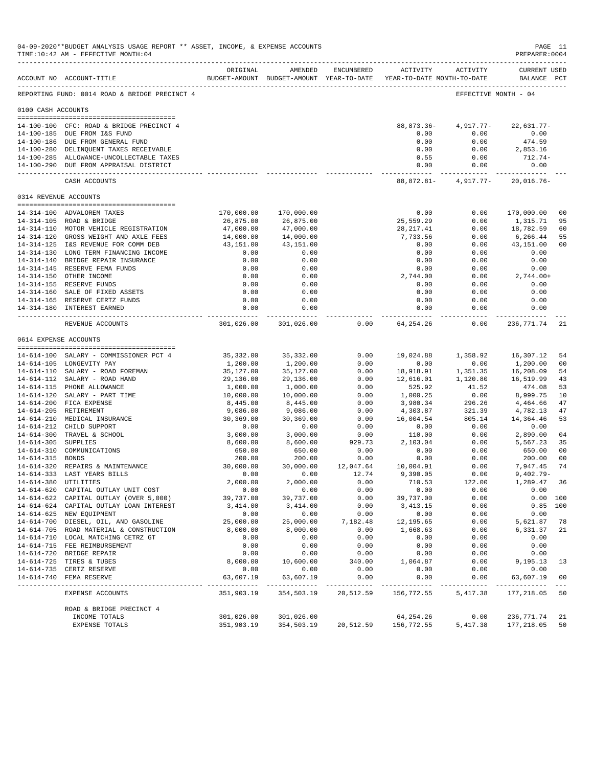|                       | 04-09-2020**BUDGET ANALYSIS USAGE REPORT ** ASSET, INCOME, & EXPENSE ACCOUNTS<br>TIME:10:42 AM - EFFECTIVE MONTH:04<br>____________________________________ |                                         |                                                                                |                      |                           |                        | PAGE 11<br>PREPARER: 0004          |                        |
|-----------------------|-------------------------------------------------------------------------------------------------------------------------------------------------------------|-----------------------------------------|--------------------------------------------------------------------------------|----------------------|---------------------------|------------------------|------------------------------------|------------------------|
|                       | ACCOUNT NO ACCOUNT-TITLE                                                                                                                                    | ORIGINAL                                | AMENDED<br>BUDGET-AMOUNT BUDGET-AMOUNT YEAR-TO-DATE YEAR-TO-DATE MONTH-TO-DATE | ENCUMBERED           |                           | ACTIVITY ACTIVITY      | <b>CURRENT USED</b><br>BALANCE PCT |                        |
|                       | REPORTING FUND: 0014 ROAD & BRIDGE PRECINCT 4                                                                                                               |                                         |                                                                                |                      |                           | EFFECTIVE MONTH - 04   |                                    |                        |
| 0100 CASH ACCOUNTS    |                                                                                                                                                             |                                         |                                                                                |                      |                           |                        |                                    |                        |
|                       | 14-100-100 CFC: ROAD & BRIDGE PRECINCT 4                                                                                                                    |                                         |                                                                                |                      | 88,873.36-                | 4,917.77-              | $22,631.77-$                       |                        |
|                       | 14-100-185 DUE FROM I&S FUND                                                                                                                                |                                         |                                                                                |                      | 0.00                      | 0.00                   | 0.00                               |                        |
|                       | 14-100-186 DUE FROM GENERAL FUND                                                                                                                            |                                         |                                                                                |                      | 0.00                      | 0.00                   | 474.59                             |                        |
|                       | 14-100-280 DELINQUENT TAXES RECEIVABLE                                                                                                                      |                                         |                                                                                |                      | 0.00                      | 0.00                   | 2,853.16                           |                        |
|                       | 14-100-285 ALLOWANCE-UNCOLLECTABLE TAXES                                                                                                                    |                                         |                                                                                |                      | 0.55                      | 0.00                   | $712.74-$                          |                        |
|                       | 14-100-290 DUE FROM APPRAISAL DISTRICT                                                                                                                      |                                         |                                                                                |                      | 0.00                      | 0.00                   | 0.00                               |                        |
|                       | CASH ACCOUNTS                                                                                                                                               |                                         |                                                                                |                      |                           | 88,872.81 - 4,917.77 - | 20,016.76-                         |                        |
| 0314 REVENUE ACCOUNTS |                                                                                                                                                             |                                         |                                                                                |                      |                           |                        |                                    |                        |
|                       | 14-314-100 ADVALOREM TAXES                                                                                                                                  | 170,000.00                              | 170,000.00                                                                     |                      | 0.00                      | 0.00                   | 170,000.00                         | 0 <sub>0</sub>         |
|                       | 14-314-105 ROAD & BRIDGE                                                                                                                                    | 26,875.00                               | 26,875.00                                                                      |                      | 25,559.29                 | 0.00                   | 1,315.71                           | 95                     |
|                       | 14-314-110 MOTOR VEHICLE REGISTRATION<br>14-314-120 GROSS WEIGHT AND AXLE FEES                                                                              | 47,000.00                               | 47,000.00<br>14,000.00                                                         |                      | 28, 217.41<br>7,733.56    | 0.00<br>0.00           | 18,782.59                          | 60<br>55               |
|                       | 14-314-125 I&S REVENUE FOR COMM DEB                                                                                                                         | 14,000.00<br>43,151.00                  | 43,151.00                                                                      |                      | 0.00                      | 0.00                   | 6,266.44<br>43,151.00              | 0 <sub>0</sub>         |
|                       | 14-314-130 LONG TERM FINANCING INCOME                                                                                                                       | 0.00                                    | 0.00                                                                           |                      | 0.00                      | 0.00                   | 0.00                               |                        |
|                       | 14-314-140 BRIDGE REPAIR INSURANCE                                                                                                                          | 0.00                                    | 0.00                                                                           |                      | 0.00                      | 0.00                   | 0.00                               |                        |
|                       | 14-314-145 RESERVE FEMA FUNDS                                                                                                                               | 0.00                                    | 0.00                                                                           |                      | 0.00                      | 0.00                   | 0.00                               |                        |
|                       | 14-314-150 OTHER INCOME                                                                                                                                     | 0.00                                    | 0.00                                                                           |                      | 2,744.00                  | 0.00                   | $2,744.00+$                        |                        |
|                       | 14-314-155 RESERVE FUNDS<br>14-314-160 SALE OF FIXED ASSETS                                                                                                 | 0.00<br>0.00                            | 0.00<br>0.00                                                                   |                      | 0.00<br>0.00              | 0.00<br>0.00           | 0.00<br>0.00                       |                        |
|                       | 14-314-165 RESERVE CERTZ FUNDS                                                                                                                              | 0.00                                    | 0.00                                                                           |                      | 0.00                      | 0.00                   | 0.00                               |                        |
|                       | 14-314-180 INTEREST EARNED                                                                                                                                  | 0.00                                    | 0.00                                                                           |                      | 0.00                      | 0.00                   | 0.00<br>-----------                |                        |
|                       | REVENUE ACCOUNTS                                                                                                                                            | . _ _ _ _ _ _ _ _ _ _ _ _<br>301,026.00 | ------------<br>301,026.00                                                     | 0.00                 | . <b>.</b><br>64, 254, 26 | -----------<br>0.00    | 236,771.74                         | 21                     |
| 0614 EXPENSE ACCOUNTS |                                                                                                                                                             |                                         |                                                                                |                      |                           |                        |                                    |                        |
|                       | 14-614-100 SALARY - COMMISSIONER PCT 4                                                                                                                      | 35,332.00                               | 35,332.00                                                                      | 0.00                 | 19,024.88                 | 1,358.92               | 16,307.12                          | 54                     |
|                       | 14-614-105 LONGEVITY PAY                                                                                                                                    | 1,200.00                                | 1,200.00                                                                       | 0.00                 | 0.00                      | 0.00                   | 1,200.00                           | 00                     |
|                       | 14-614-110 SALARY - ROAD FOREMAN                                                                                                                            | 35,127.00                               | 35,127.00                                                                      | 0.00                 | 18,918.91                 | 1,351.35               | 16,208.09                          | 54                     |
|                       | 14-614-112 SALARY - ROAD HAND                                                                                                                               | 29,136.00                               | 29,136.00                                                                      | 0.00                 | 12,616.01                 | 1,120.80               | 16,519.99                          | 43                     |
|                       | 14-614-115 PHONE ALLOWANCE                                                                                                                                  | 1,000.00                                | 1,000.00                                                                       | 0.00                 | 525.92                    | 41.52                  | 474.08                             | 53                     |
|                       | 14-614-120 SALARY - PART TIME<br>14-614-200 FICA EXPENSE                                                                                                    | 10,000.00<br>8,445.00                   | 10,000.00<br>8,445.00                                                          | 0.00<br>0.00         | 1,000.25<br>3,980.34      | 0.00<br>296.26         | 8,999.75<br>4,464.66               | 10<br>47               |
|                       | 14-614-205 RETIREMENT                                                                                                                                       | 9,086.00                                | 9,086.00                                                                       | 0.00                 | 4,303.87                  | 321.39                 | 4,782.13                           | 47                     |
|                       | 14-614-210 MEDICAL INSURANCE                                                                                                                                | 30,369.00                               | 30,369.00                                                                      | 0.00                 | 16,004.54                 | 805.14                 | 14,364.46                          | 53                     |
|                       | 14-614-212 CHILD SUPPORT                                                                                                                                    | 0.00                                    | 0.00                                                                           | 0.00                 | 0.00                      | 0.00                   | 0.00                               |                        |
|                       | 14-614-300 TRAVEL & SCHOOL                                                                                                                                  | 3,000.00                                | 3,000.00                                                                       | 0.00                 | 110.00                    | 0.00                   | 2,890.00                           | 04                     |
| 14-614-305 SUPPLIES   |                                                                                                                                                             | 8,600.00<br>650.00                      | 8,600.00                                                                       | 929.73               | 2,103.04                  | 0.00                   | 5,567.23                           | 35<br>00               |
| 14-614-315 BONDS      | 14-614-310 COMMUNICATIONS                                                                                                                                   | 200.00                                  | 650.00<br>200.00                                                               | 0.00<br>0.00         | 0.00<br>0.00              | 0.00<br>0.00           | 650.00<br>200.00                   | 0 <sub>0</sub>         |
|                       | 14-614-320 REPAIRS & MAINTENANCE                                                                                                                            | 30,000.00                               | 30,000.00                                                                      | 12,047.64            | 10,004.91                 | 0.00                   | 7,947.45                           | 74                     |
|                       | 14-614-333 LAST YEARS BILLS                                                                                                                                 | 0.00                                    | 0.00                                                                           | 12.74                | 9,390.05                  | 0.00                   | $9.402.79 -$                       |                        |
| 14-614-380 UTILITIES  |                                                                                                                                                             | 2,000.00                                | 2,000.00                                                                       | 0.00                 | 710.53                    | 122.00                 | 1,289.47 36                        |                        |
|                       | 14-614-620 CAPITAL OUTLAY UNIT COST                                                                                                                         | 0.00                                    | 0.00                                                                           | 0.00                 | 0.00                      | 0.00                   | 0.00                               |                        |
|                       | 14-614-622 CAPITAL OUTLAY (OVER 5,000)<br>14-614-624 CAPITAL OUTLAY LOAN INTEREST                                                                           | 39,737.00<br>3,414.00                   | 39,737.00<br>3,414.00                                                          | 0.00<br>0.00         | 39,737.00<br>3, 413.15    | 0.00<br>0.00           |                                    | 0.00 100<br>$0.85$ 100 |
|                       | 14-614-625 NEW EQUIPMENT                                                                                                                                    | 0.00                                    | 0.00                                                                           | 0.00                 | 0.00                      | 0.00                   | 0.00                               |                        |
|                       | 14-614-700 DIESEL, OIL, AND GASOLINE                                                                                                                        | 25,000.00                               | 25,000.00                                                                      | 7,182.48             | 12,195.65                 | 0.00                   | 5,621.87                           | 78                     |
|                       | 14-614-705 ROAD MATERIAL & CONSTRUCTION                                                                                                                     | 8,000.00                                | 8,000.00                                                                       | 0.00                 | 1,668.63                  | 0.00                   | 6,331.37                           | 21                     |
|                       | 14-614-710 LOCAL MATCHING CETRZ GT                                                                                                                          | 0.00                                    | 0.00                                                                           | 0.00                 | 0.00                      | 0.00                   | 0.00                               |                        |
|                       | 14-614-715 FEE REIMBURSEMENT                                                                                                                                | 0.00                                    | 0.00                                                                           | 0.00                 | 0.00                      | 0.00                   | 0.00                               |                        |
|                       | 14-614-720 BRIDGE REPAIR<br>14-614-725 TIRES & TUBES                                                                                                        | 0.00<br>8,000.00                        | 0.00<br>10,600.00                                                              | 0.00<br>340.00       | 0.00<br>1,064.87          | 0.00<br>0.00           | 0.00<br>9,195.13 13                |                        |
|                       | 14-614-735 CERTZ RESERVE                                                                                                                                    | 0.00                                    | 0.00                                                                           | 0.00                 | 0.00                      | 0.00                   | 0.00                               |                        |
|                       | 14-614-740 FEMA RESERVE                                                                                                                                     | 63,607.19<br>___________                | 63,607.19<br>-------------                                                     | 0.00<br>------------ | 0.00<br>-----------       | 0.00<br>-----------    | 63,607.19<br>--------------        | 00                     |
|                       | EXPENSE ACCOUNTS                                                                                                                                            | 351,903.19                              | 354,503.19                                                                     | 20,512.59            | 156,772.55                | 5,417.38               | 177,218.05                         | 50                     |
|                       | ROAD & BRIDGE PRECINCT 4                                                                                                                                    |                                         |                                                                                |                      |                           |                        |                                    |                        |
|                       | INCOME TOTALS                                                                                                                                               | 301,026.00                              | 301,026.00                                                                     |                      | 64,254.26                 | 0.00                   | 236,771.74                         | 21                     |
|                       | EXPENSE TOTALS                                                                                                                                              | 351,903.19                              | 354,503.19                                                                     | 20,512.59            | 156,772.55                | 5,417.38               | 177,218.05                         | 50                     |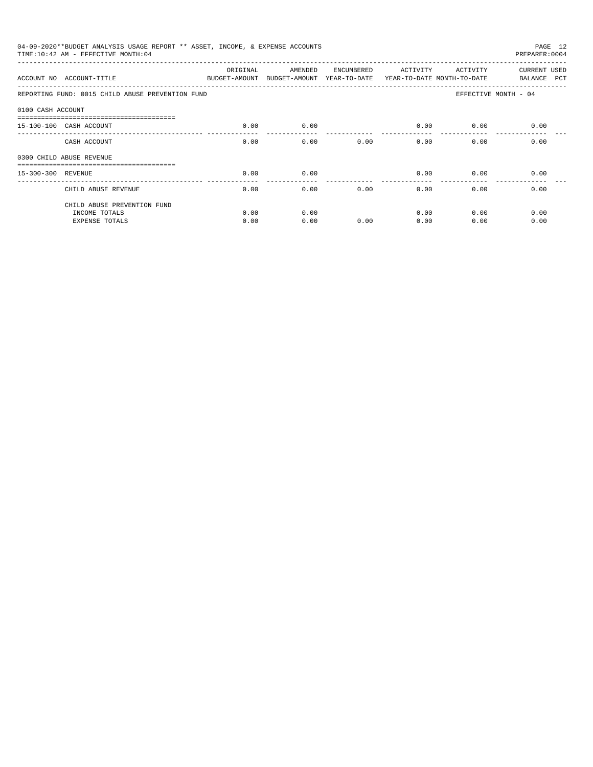|                    | 04-09-2020**BUDGET ANALYSIS USAGE REPORT ** ASSET, INCOME, & EXPENSE ACCOUNTS<br>TIME: 10:42 AM - EFFECTIVE MONTH: 04 |          |                                                                                |            |          |                           | PAGE 12<br>PREPARER: 0004   |
|--------------------|-----------------------------------------------------------------------------------------------------------------------|----------|--------------------------------------------------------------------------------|------------|----------|---------------------------|-----------------------------|
|                    | ACCOUNT NO ACCOUNT-TITLE                                                                                              | ORIGINAL | AMENDED<br>BUDGET-AMOUNT BUDGET-AMOUNT YEAR-TO-DATE YEAR-TO-DATE MONTH-TO-DATE | ENCUMBERED | ACTIVITY | ACTIVITY                  | CURRENT USED<br>BALANCE PCT |
|                    | REPORTING FUND: 0015 CHILD ABUSE PREVENTION FUND                                                                      |          |                                                                                |            |          |                           | EFFECTIVE MONTH - 04        |
| 0100 CASH ACCOUNT  |                                                                                                                       |          |                                                                                |            |          |                           |                             |
|                    | -----------------------------------<br>15-100-100 CASH ACCOUNT                                                        | 0.00     | 0.00                                                                           |            | 0.00     | 0.00                      | 0.00                        |
|                    | CASH ACCOUNT                                                                                                          | 0.00     | 0.00                                                                           | 0.00       |          | $0.00$ and $0.00$<br>0.00 | 0.00                        |
|                    | 0300 CHILD ABUSE REVENUE                                                                                              |          |                                                                                |            |          |                           |                             |
| 15-300-300 REVENUE |                                                                                                                       | 0.00     | 0.00                                                                           |            | 0.00     | 0.00                      | 0.00                        |
|                    | CHILD ABUSE REVENUE                                                                                                   | 0.00     | 0.00                                                                           | 0.00       | 0.00     | 0.00                      | 0.00                        |
|                    | CHILD ABUSE PREVENTION FUND                                                                                           |          |                                                                                |            |          |                           |                             |
|                    | INCOME TOTALS                                                                                                         | 0.00     | 0.00                                                                           |            | 0.00     | 0.00                      | 0.00                        |
|                    | <b>EXPENSE TOTALS</b>                                                                                                 | 0.00     | 0.00                                                                           | 0.00       | 0.00     | 0.00                      | 0.00                        |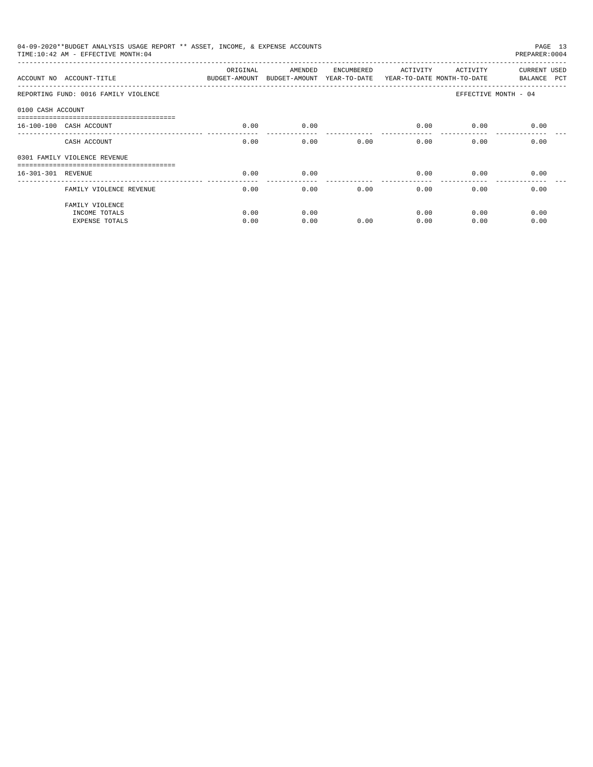|                    | 04-09-2020**BUDGET ANALYSIS USAGE REPORT ** ASSET, INCOME, & EXPENSE ACCOUNTS<br>TIME: 10:42 AM - EFFECTIVE MONTH: 04 |                                                                                 |              |            |                 |              | PAGE 13<br>PREPARER: 0004   |
|--------------------|-----------------------------------------------------------------------------------------------------------------------|---------------------------------------------------------------------------------|--------------|------------|-----------------|--------------|-----------------------------|
|                    | ACCOUNT NO ACCOUNT-TITLE                                                                                              | ORIGINAL<br>BUDGET-AMOUNT BUDGET-AMOUNT YEAR-TO-DATE YEAR-TO-DATE MONTH-TO-DATE | AMENDED      | ENCUMBERED | ACTIVITY        | ACTIVITY     | CURRENT USED<br>BALANCE PCT |
|                    | REPORTING FUND: 0016 FAMILY VIOLENCE                                                                                  |                                                                                 |              |            |                 |              | EFFECTIVE MONTH - 04        |
| 0100 CASH ACCOUNT  |                                                                                                                       |                                                                                 |              |            |                 |              |                             |
|                    | 16-100-100 CASH ACCOUNT                                                                                               | 0.00                                                                            | 0.00         |            | 0.00            | 0.00         | 0.00                        |
|                    | CASH ACCOUNT                                                                                                          | 0.00                                                                            | 0.00         | 0.00       | 0.00            | 0.00         | 0.00                        |
|                    | 0301 FAMILY VIOLENCE REVENUE                                                                                          |                                                                                 |              |            |                 |              |                             |
| 16-301-301 REVENUE |                                                                                                                       | 0.00                                                                            | 0.00         |            | 0.00            | 0.00         | 0.00                        |
|                    | FAMILY VIOLENCE REVENUE                                                                                               | 0.00                                                                            | 0.00         | 0.00       | -------<br>0.00 | 0.00         | 0.00                        |
|                    | FAMILY VIOLENCE<br>INCOME TOTALS<br><b>EXPENSE TOTALS</b>                                                             | 0.00<br>0.00                                                                    | 0.00<br>0.00 | 0.00       | 0.00<br>0.00    | 0.00<br>0.00 | 0.00<br>0.00                |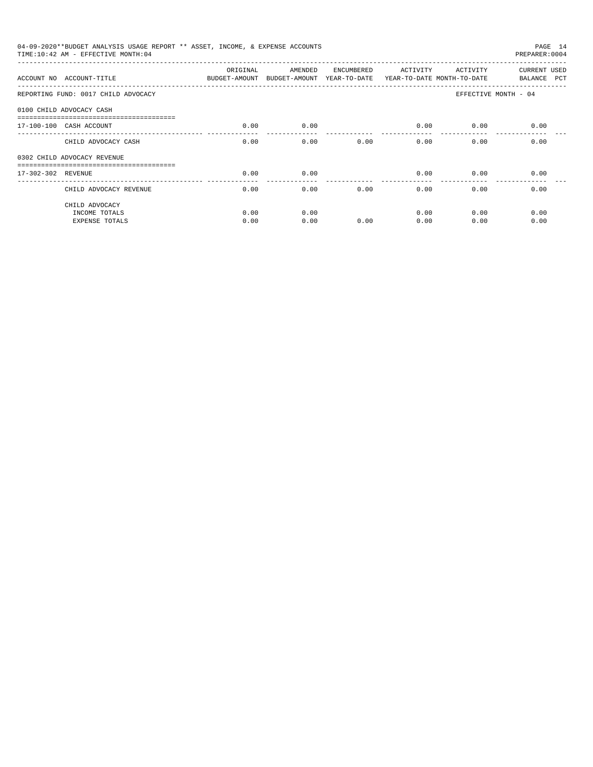|              |              |            |                                                                               |               | PAGE 14<br>PREPARER: 0004                                                                                                                                       |
|--------------|--------------|------------|-------------------------------------------------------------------------------|---------------|-----------------------------------------------------------------------------------------------------------------------------------------------------------------|
| ORIGINAL     | AMENDED      | ENCUMBERED |                                                                               |               | CURRENT USED<br>BALANCE PCT                                                                                                                                     |
|              |              |            |                                                                               |               | EFFECTIVE MONTH - 04                                                                                                                                            |
|              |              |            |                                                                               |               |                                                                                                                                                                 |
| 0.00         | 0.00         |            | 0.00                                                                          | 0.00          | 0.00                                                                                                                                                            |
| 0.00         | 0.00         | 0.00       |                                                                               | 0.00          | 0.00                                                                                                                                                            |
|              |              |            |                                                                               |               |                                                                                                                                                                 |
| 0.00         | 0.00         |            | 0.00                                                                          | 0.00          | 0.00                                                                                                                                                            |
| 0.00         | 0.00         | 0.00       |                                                                               | 0.00          | 0.00                                                                                                                                                            |
| 0.00<br>0.00 | 0.00<br>0.00 | 0.00       | 0.00<br>0.00                                                                  | 0.00<br>0.00  | 0.00<br>0.00                                                                                                                                                    |
|              |              |            | 04-09-2020**BUDGET ANALYSIS USAGE REPORT ** ASSET, INCOME, & EXPENSE ACCOUNTS | $- - - - - -$ | ACTIVITY<br>ACTIVITY<br>ACCOUNT NO ACCOUNT-TITLE COMPUT ANOUNT BUDGET-AMOUNT BUDGET-AMOUNT YEAR-TO-DATE YEAR-TO-DATE MONTH-TO-DATE<br>$0.00$ and $0.00$<br>0.00 |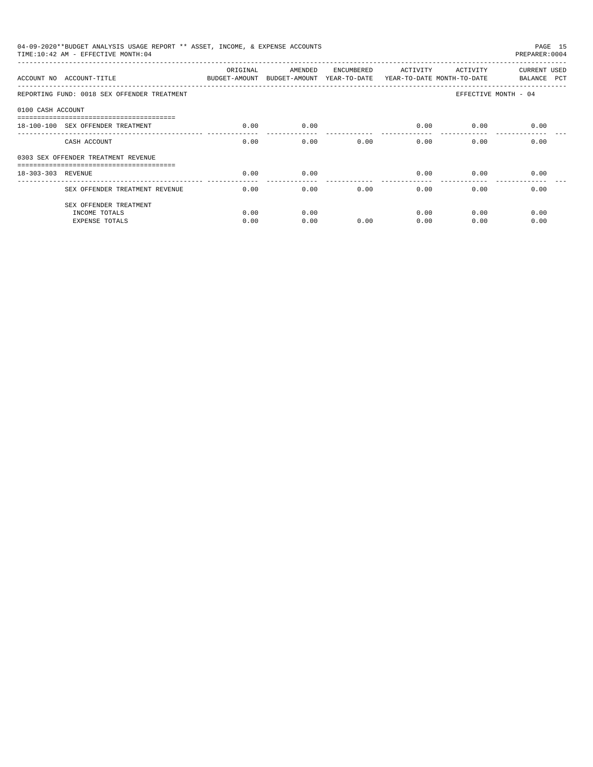|                    | 04-09-2020**BUDGET ANALYSIS USAGE REPORT ** ASSET, INCOME, & EXPENSE ACCOUNTS<br>TIME: 10:42 AM - EFFECTIVE MONTH: 04 |                           |                                                                  |            |                        |          | PAGE 15<br>PREPARER: 0004   |
|--------------------|-----------------------------------------------------------------------------------------------------------------------|---------------------------|------------------------------------------------------------------|------------|------------------------|----------|-----------------------------|
|                    | ACCOUNT NO ACCOUNT-TITLE                                                                                              | ORIGINAL<br>BUDGET-AMOUNT | AMENDED<br>BUDGET-AMOUNT YEAR-TO-DATE YEAR-TO-DATE MONTH-TO-DATE | ENCUMBERED | ACTIVITY               | ACTIVITY | CURRENT USED<br>BALANCE PCT |
|                    | REPORTING FUND: 0018 SEX OFFENDER TREATMENT                                                                           |                           |                                                                  |            |                        |          | EFFECTIVE MONTH - 04        |
| 0100 CASH ACCOUNT  |                                                                                                                       |                           |                                                                  |            |                        |          |                             |
|                    | 18-100-100 SEX OFFENDER TREATMENT                                                                                     | 0.00                      | 0.00                                                             |            | 0.00                   | 0.00     | 0.00                        |
|                    | CASH ACCOUNT                                                                                                          | 0.00                      | 0.00                                                             | 0.00       | 0.00                   | 0.00     | 0.00                        |
|                    | 0303 SEX OFFENDER TREATMENT REVENUE                                                                                   |                           |                                                                  |            |                        |          |                             |
| 18-303-303 REVENUE |                                                                                                                       | 0.00                      | 0.00                                                             |            | 0.00                   | 0.00     | 0.00                        |
|                    | SEX OFFENDER TREATMENT REVENUE                                                                                        | 0.00                      | 0.00                                                             | 0.00       | --------------<br>0.00 | 0.00     | 0.00                        |
|                    | SEX OFFENDER TREATMENT                                                                                                |                           |                                                                  |            |                        |          |                             |
|                    | INCOME TOTALS                                                                                                         | 0.00                      | 0.00                                                             |            | 0.00                   | 0.00     | 0.00                        |
|                    | <b>EXPENSE TOTALS</b>                                                                                                 | 0.00                      | 0.00                                                             | 0.00       | 0.00                   | 0.00     | 0.00                        |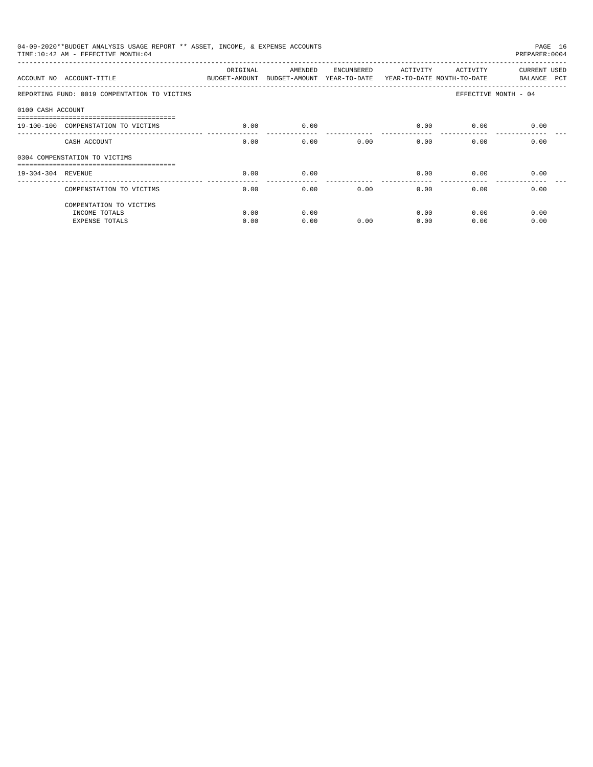|                    | 04-09-2020**BUDGET ANALYSIS USAGE REPORT ** ASSET, INCOME, & EXPENSE ACCOUNTS<br>TIME: 10:42 AM - EFFECTIVE MONTH: 04 |          |         |            |                       |          | PAGE 16<br>PREPARER: 0004   |
|--------------------|-----------------------------------------------------------------------------------------------------------------------|----------|---------|------------|-----------------------|----------|-----------------------------|
|                    | ACCOUNT NO ACCOUNT-TITLE THE STATE SUDGET-AMOUNT BUDGET-AMOUNT YEAR-TO-DATE YEAR-TO-DATE MONTH-TO-DATE                | ORIGINAL | AMENDED | ENCUMBERED | ACTIVITY              | ACTIVITY | CURRENT USED<br>BALANCE PCT |
|                    | REPORTING FUND: 0019 COMPENTATION TO VICTIMS                                                                          |          |         |            |                       |          | EFFECTIVE MONTH - 04        |
| 0100 CASH ACCOUNT  |                                                                                                                       |          |         |            |                       |          |                             |
|                    | 19-100-100 COMPENSTATION TO VICTIMS                                                                                   | 0.00     | 0.00    |            | 0.00                  | 0.00     | 0.00                        |
|                    | CASH ACCOUNT                                                                                                          | 0.00     | 0.00    | 0.00       | 0.00                  | 0.00     | 0.00                        |
|                    | 0304 COMPENSTATION TO VICTIMS                                                                                         |          |         |            |                       |          |                             |
| 19-304-304 REVENUE |                                                                                                                       | 0.00     | 0.00    |            | 0.00                  | 0.00     | 0.00                        |
|                    | COMPENSTATION TO VICTIMS                                                                                              | 0.00     | 0.00    | 0.00       | $- - - - - -$<br>0.00 | 0.00     | 0.00                        |
|                    | COMPENTATION TO VICTIMS                                                                                               |          |         |            |                       |          |                             |
|                    | INCOME TOTALS                                                                                                         | 0.00     | 0.00    |            | 0.00                  | 0.00     | 0.00                        |
|                    | <b>EXPENSE TOTALS</b>                                                                                                 | 0.00     | 0.00    | 0.00       | 0.00                  | 0.00     | 0.00                        |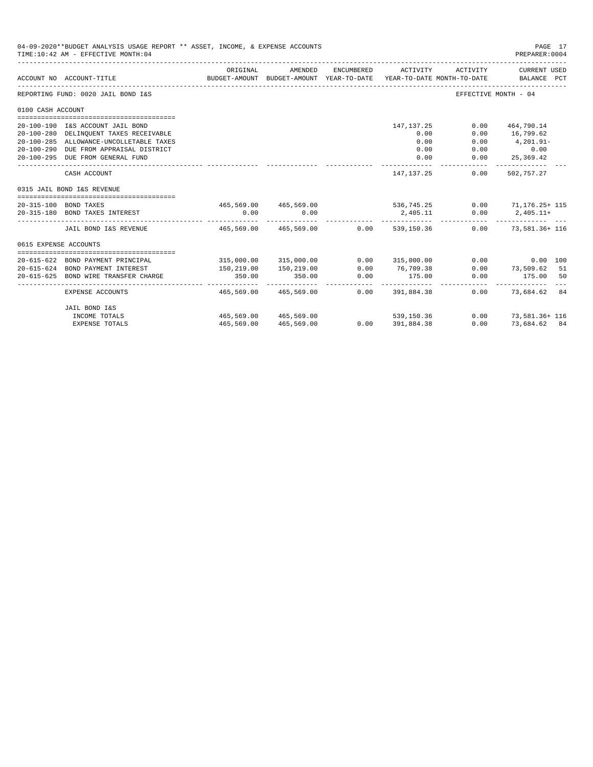|                       | 04-09-2020**BUDGET ANALYSIS USAGE REPORT ** ASSET, INCOME, & EXPENSE ACCOUNTS<br>TIME: 10:42 AM - EFFECTIVE MONTH: 04 |                        |                                                     |            |                                                     |          | PAGE 17<br>PREPARER: 0004   |    |
|-----------------------|-----------------------------------------------------------------------------------------------------------------------|------------------------|-----------------------------------------------------|------------|-----------------------------------------------------|----------|-----------------------------|----|
|                       | ACCOUNT NO ACCOUNT-TITLE                                                                                              | ORIGINAL               | AMENDED<br>BUDGET-AMOUNT BUDGET-AMOUNT YEAR-TO-DATE | ENCUMBERED | ACTIVITY<br>YEAR-TO-DATE MONTH-TO-DATE              | ACTIVITY | CURRENT USED<br>BALANCE PCT |    |
|                       | REPORTING FUND: 0020 JAIL BOND I&S                                                                                    |                        |                                                     |            |                                                     |          | EFFECTIVE MONTH - 04        |    |
| 0100 CASH ACCOUNT     |                                                                                                                       |                        |                                                     |            |                                                     |          |                             |    |
|                       |                                                                                                                       |                        |                                                     |            |                                                     |          |                             |    |
|                       | 20-100-190 I&S ACCOUNT JAIL BOND                                                                                      |                        |                                                     |            | 147,137.25                                          | 0.00     | 464,790.14                  |    |
|                       | 20-100-280 DELINQUENT TAXES RECEIVABLE                                                                                |                        |                                                     |            | 0.00                                                | 0.00     | 16,799.62                   |    |
|                       | 20-100-285 ALLOWANCE-UNCOLLETABLE TAXES                                                                               |                        |                                                     |            | 0.00                                                | 0.00     | $4,201.91-$                 |    |
|                       | 20-100-290 DUE FROM APPRAISAL DISTRICT                                                                                |                        |                                                     |            | 0.00                                                | 0.00     | 0.00                        |    |
|                       | 20-100-295 DUE FROM GENERAL FUND                                                                                      |                        |                                                     |            | 0.00                                                | 0.00     | 25,369.42                   |    |
|                       | CASH ACCOUNT                                                                                                          |                        |                                                     |            | 147.137.25                                          | 0.00     | 502,757.27                  |    |
|                       | 0315 JAIL BOND I&S REVENUE                                                                                            |                        |                                                     |            |                                                     |          |                             |    |
|                       |                                                                                                                       |                        |                                                     |            |                                                     |          |                             |    |
|                       | 20-315-100 BOND TAXES                                                                                                 |                        |                                                     |            | 465,569.00 465,569.00 536,745.25 0.00 71,176.25 115 |          |                             |    |
|                       | 20-315-180 BOND TAXES INTEREST                                                                                        | 0.00                   | 0.00                                                |            | 2,405.11                                            |          | $0.00$ 2,405.11+<br>.       |    |
|                       | JAIL BOND I&S REVENUE                                                                                                 | 465,569.00 465,569.00  |                                                     | 0.00       | 539,150.36                                          |          | $0.00$ 73,581.36+ 116       |    |
| 0615 EXPENSE ACCOUNTS |                                                                                                                       |                        |                                                     |            |                                                     |          |                             |    |
|                       |                                                                                                                       |                        |                                                     |            |                                                     |          |                             |    |
|                       | 20-615-622 BOND PAYMENT PRINCIPAL                                                                                     |                        | 315,000.00 315,000.00                               | 0.00       | 315,000.00                                          |          | 0.00<br>0.00 100            |    |
|                       | 20-615-624 BOND PAYMENT INTEREST                                                                                      | 150,219.00             | 150,219.00                                          | 0.00       | 76,709.38                                           | 0.00     | 73,509.62 51                |    |
| $20 - 615 - 625$      | BOND WIRE TRANSFER CHARGE                                                                                             | 350.00<br>------------ | 350.00<br>------------                              | 0.00       | 175.00                                              | 0.00     | 175.00<br>-------------     | 50 |
|                       | EXPENSE ACCOUNTS                                                                                                      | 465,569.00             | 465,569.00                                          | 0.00       | 391,884.38                                          | 0.00     | 73.684.62 84                |    |
|                       | JAIL BOND I&S                                                                                                         |                        |                                                     |            |                                                     |          |                             |    |
|                       | INCOME TOTALS                                                                                                         |                        | 465,569,00 465,569,00                               |            | 539, 150, 36                                        |          | $0.00$ 73.581.36+116        |    |
|                       | <b>EXPENSE TOTALS</b>                                                                                                 | 465,569.00             | 465,569.00                                          |            | $0.00$ 391,884.38                                   | 0.00     | 73.684.62 84                |    |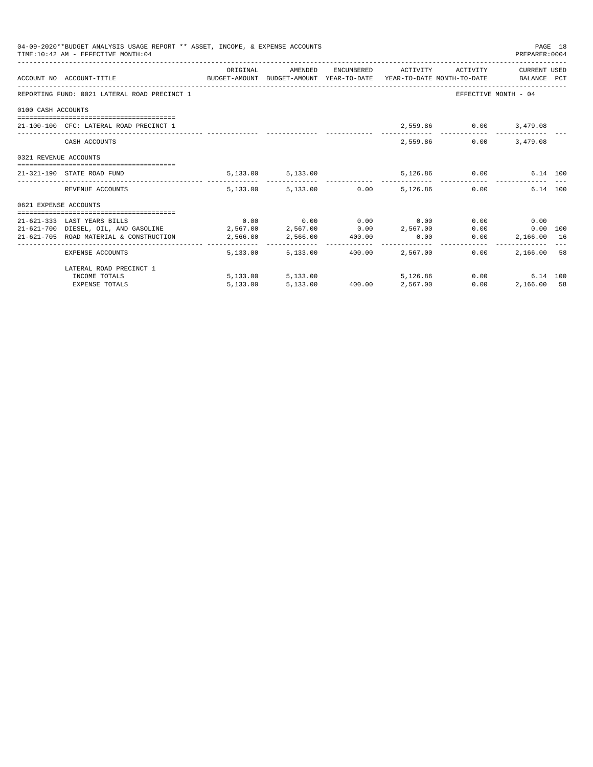|                       | 04-09-2020**BUDGET ANALYSIS USAGE REPORT ** ASSET, INCOME, & EXPENSE ACCOUNTS<br>TIME: 10:42 AM - EFFECTIVE MONTH: 04 |  |                                                                                                                                                  |               | PREPARER: 0004         | PAGE 18 |
|-----------------------|-----------------------------------------------------------------------------------------------------------------------|--|--------------------------------------------------------------------------------------------------------------------------------------------------|---------------|------------------------|---------|
|                       | ACCOUNT NO ACCOUNT-TITLE CONTROL BUDGET-AMOUNT BUDGET-AMOUNT YEAR-TO-DATE YEAR-TO-DATE MONTH-TO-DATE BALANCE PCT      |  | ORIGINAL AMENDED ENCUMBERED ACTIVITY ACTIVITY CURRENTUSED                                                                                        |               |                        |         |
|                       | REPORTING FUND: 0021 LATERAL ROAD PRECINCT 1                                                                          |  |                                                                                                                                                  |               | EFFECTIVE MONTH - 04   |         |
| 0100 CASH ACCOUNTS    |                                                                                                                       |  |                                                                                                                                                  |               |                        |         |
|                       | 21-100-100 CFC: LATERAL ROAD PRECINCT 1                                                                               |  |                                                                                                                                                  |               | 2,559.86 0.00 3,479.08 |         |
|                       | CASH ACCOUNTS                                                                                                         |  |                                                                                                                                                  | 2,559.86 0.00 | 3,479.08               |         |
| 0321 REVENUE ACCOUNTS |                                                                                                                       |  |                                                                                                                                                  |               |                        |         |
|                       | 21-321-190 STATE ROAD FUND                                                                                            |  | 5,133.00 5,133.00 5,126.86 0.00 6.14 100                                                                                                         |               |                        |         |
|                       | REVENUE ACCOUNTS                                                                                                      |  | 5,133.00 5,133.00 0.00 5,126.86 0.00                                                                                                             |               | 6.14 100               |         |
| 0621 EXPENSE ACCOUNTS |                                                                                                                       |  |                                                                                                                                                  |               |                        |         |
|                       |                                                                                                                       |  |                                                                                                                                                  |               |                        |         |
|                       | 21-621-333 LAST YEARS BILLS                                                                                           |  | $0.00$ $0.00$ $0.00$ $0.00$ $0.00$                                                                                                               |               | $0.00$ 0.00            |         |
|                       | $21-621-700$ DIESEL, OIL, AND GASOLINE $2,567.00$ $2,567.00$ $0.00$ $2,567.00$                                        |  |                                                                                                                                                  |               | 0.00<br>$0.00$ 100     |         |
|                       | 21-621-705 ROAD MATERIAL & CONSTRUCTION 2,566.00 2,566.00 400.00                                                      |  | 0.00                                                                                                                                             | 0.00          | 2,166.00 16            |         |
|                       | EXPENSE ACCOUNTS                                                                                                      |  | 5,133.00 5,133.00 400.00 2,567.00                                                                                                                | 0.00          | 2,166.00 58            |         |
|                       | LATERAL ROAD PRECINCT 1                                                                                               |  |                                                                                                                                                  |               |                        |         |
|                       | INCOME TOTALS                                                                                                         |  | $\begin{array}{cccccc} 5,13300 & & & & 5,13300 & & & & 5,126.86 \\ 5,13300 & & & & 5,13300 & & & 40000 & & & 2,56700 \\ \end{array}$<br>5,126,86 |               | 0.00<br>6.14 100       |         |
|                       | <b>EXPENSE TOTALS</b>                                                                                                 |  |                                                                                                                                                  | 0.00          | 2,166.00 58            |         |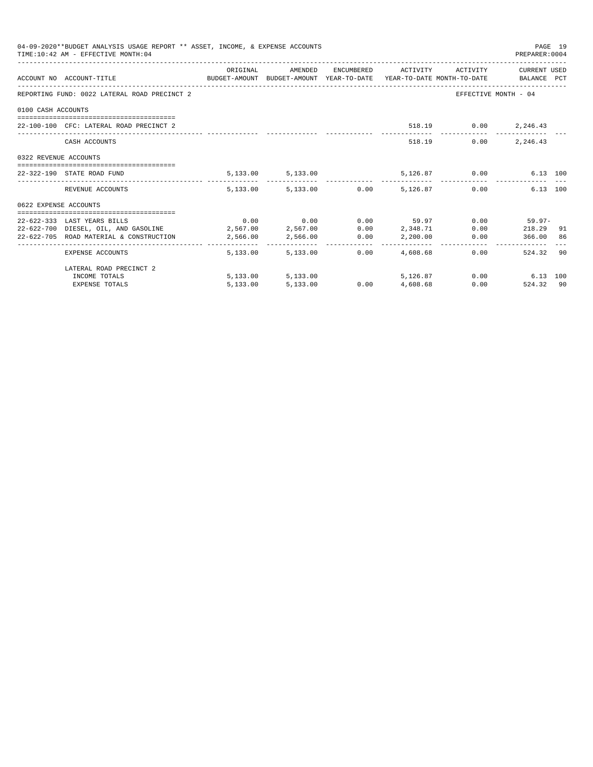|                       | 04-09-2020**BUDGET ANALYSIS USAGE REPORT ** ASSET, INCOME, & EXPENSE ACCOUNTS<br>TIME: 10:42 AM - EFFECTIVE MONTH: 04 |          |                                      |      |                                                   |                | PREPARER: 0004       | PAGE 19 |
|-----------------------|-----------------------------------------------------------------------------------------------------------------------|----------|--------------------------------------|------|---------------------------------------------------|----------------|----------------------|---------|
|                       | ACCOUNT NO ACCOUNT-TITLE CONTROL SUDGET-AMOUNT BUDGET-AMOUNT YEAR-TO-DATE YEAR-TO-DATE MONTH-TO-DATE BALANCE PCT      | ORIGINAL |                                      |      | AMENDED ENCUMBERED ACTIVITY ACTIVITY CURRENT USED |                |                      |         |
|                       | REPORTING FUND: 0022 LATERAL ROAD PRECINCT 2                                                                          |          |                                      |      |                                                   |                | EFFECTIVE MONTH - 04 |         |
| 0100 CASH ACCOUNTS    |                                                                                                                       |          |                                      |      |                                                   |                |                      |         |
|                       | 22-100-100 CFC: LATERAL ROAD PRECINCT 2                                                                               |          |                                      |      |                                                   |                | 518.19 0.00 2,246.43 |         |
|                       | CASH ACCOUNTS                                                                                                         |          |                                      |      |                                                   | 0.00<br>518.19 | 2,246.43             |         |
| 0322 REVENUE ACCOUNTS |                                                                                                                       |          |                                      |      |                                                   |                |                      |         |
|                       | 22-322-190 STATE ROAD FUND                                                                                            |          | 5,133.00 5,133.00 5,126.87 0.00      |      |                                                   |                | 6.13 100             |         |
|                       | REVENUE ACCOUNTS                                                                                                      |          | 5,133.00 5,133.00 0.00 5,126.87 0.00 |      |                                                   |                | 6.13 100             |         |
| 0622 EXPENSE ACCOUNTS |                                                                                                                       |          |                                      |      |                                                   |                |                      |         |
|                       | 22-622-333 LAST YEARS BILLS                                                                                           |          | $0.00$ $0.00$ $0.00$ $0.00$ $59.97$  |      |                                                   |                | $0.00$ 59.97-        |         |
|                       | 22-622-700 DIESEL, OIL, AND GASOLINE 2,567.00 2,567.00                                                                |          |                                      |      | $0.00$ 2,348.71                                   |                | $0.00$ 218.29 91     |         |
|                       | 22-622-705 ROAD MATERIAL & CONSTRUCTION                                                                               | 2,566.00 | 2,566.00 0.00 2,200.00               |      |                                                   |                | 0.00 366.00 86       |         |
|                       | EXPENSE ACCOUNTS                                                                                                      |          | 5,133,00 5,133,00                    | 0.00 | 4,608.68                                          |                | 524.32 90<br>0.00    |         |
|                       | LATERAL ROAD PRECINCT 2                                                                                               |          |                                      |      |                                                   |                |                      |         |
|                       | INCOME TOTALS                                                                                                         |          | 5,133.00 5,133.00                    |      | 5,126.87                                          |                | $0.00$ 6.13 100      |         |
|                       | <b>EXPENSE TOTALS</b>                                                                                                 | 5,133.00 | 5,133.00                             |      | $0.00$ $4,608.68$                                 |                | 0.00<br>524.32 90    |         |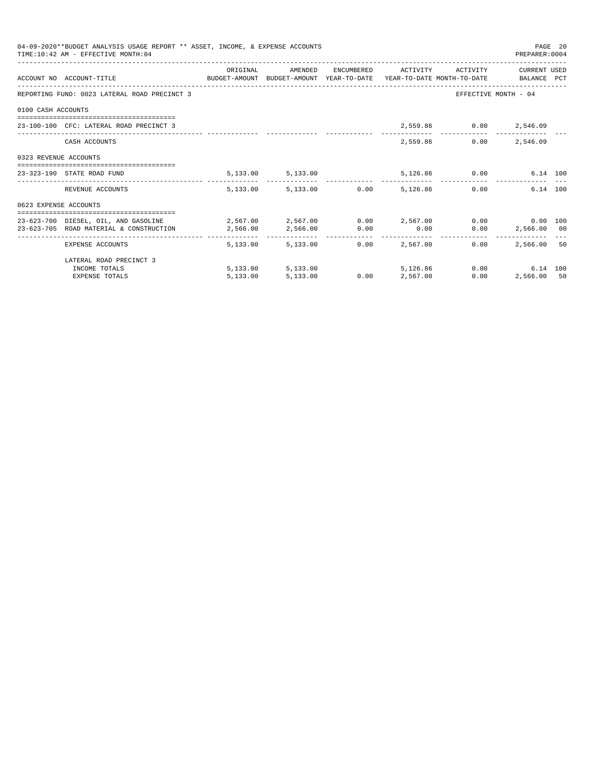|                       | 04-09-2020**BUDGET ANALYSIS USAGE REPORT ** ASSET, INCOME, & EXPENSE ACCOUNTS<br>TIME: 10:42 AM - EFFECTIVE MONTH: 04 |            |                        |                                   |                                 |                              | PREPARER: 0004       | PAGE 20 |
|-----------------------|-----------------------------------------------------------------------------------------------------------------------|------------|------------------------|-----------------------------------|---------------------------------|------------------------------|----------------------|---------|
|                       |                                                                                                                       | ORIGINAL   | AMENDED                |                                   |                                 | ENCUMBERED ACTIVITY ACTIVITY | CURRENT USED         |         |
|                       | ACCOUNT NO ACCOUNT-TITLE CONTROL SUDGET-AMOUNT BUDGET-AMOUNT YEAR-TO-DATE YEAR-TO-DATE MONTH-TO-DATE BALANCE PCT      |            |                        |                                   |                                 |                              |                      |         |
|                       | REPORTING FUND: 0023 LATERAL ROAD PRECINCT 3                                                                          |            |                        |                                   |                                 |                              | EFFECTIVE MONTH - 04 |         |
| 0100 CASH ACCOUNTS    |                                                                                                                       |            |                        |                                   |                                 |                              |                      |         |
|                       | 23-100-100 CFC: LATERAL ROAD PRECINCT 3                                                                               |            |                        |                                   |                                 | 2,559.86 0.00 2,546.09       |                      |         |
|                       | CASH ACCOUNTS                                                                                                         |            |                        |                                   | 2,559.86                        | 0.00                         | 2,546.09             |         |
| 0323 REVENUE ACCOUNTS |                                                                                                                       |            |                        |                                   |                                 |                              |                      |         |
|                       | 23-323-190 STATE ROAD FUND                                                                                            |            | 5, 133.00 5, 133.00    |                                   |                                 | 5,126.86 0.00                | 6.14 100             |         |
|                       | REVENUE ACCOUNTS                                                                                                      |            | 5,133.00 5,133.00 0.00 |                                   | 5,126.86                        |                              | 6.14 100<br>0.00     |         |
| 0623 EXPENSE ACCOUNTS |                                                                                                                       |            |                        |                                   |                                 |                              |                      |         |
|                       | 23-623-700 DIESEL, OIL, AND GASOLINE $2,567.00$ $2,567.00$ $0.00$ $2,567.00$ $0.00$ $0.00$ $0.00$ $0.00$              |            |                        |                                   |                                 |                              |                      |         |
|                       | 23-623-705 ROAD MATERIAL & CONSTRUCTION 2,566.00                                                                      |            | 2,566.00 0.00          |                                   | 0.00                            |                              | $0.00$ 2,566.00 00   |         |
|                       | EXPENSE ACCOUNTS                                                                                                      | -------- - | 5,133,00 5,133,00      | -------------      -------------- | ------------<br>$0.00$ 2.567.00 | 0.00                         | 2,566,00 50          |         |
|                       | LATERAL ROAD PRECINCT 3                                                                                               |            |                        |                                   |                                 |                              |                      |         |
|                       | INCOME TOTALS                                                                                                         |            | 5,133.00 5,133.00      |                                   | 5,126,86                        |                              | 0.00<br>6.14 100     |         |
|                       | <b>EXPENSE TOTALS</b>                                                                                                 | 5.133.00   | 5,133.00               | 0.00                              | 2,567.00                        | 0.00                         | 2,566.00 50          |         |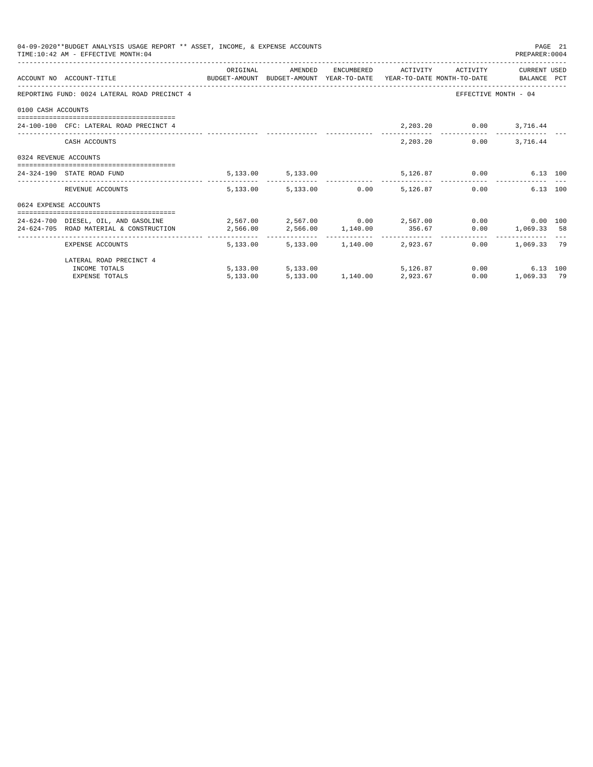|                       | 04-09-2020**BUDGET ANALYSIS USAGE REPORT ** ASSET, INCOME, & EXPENSE ACCOUNTS<br>TIME: 10:42 AM - EFFECTIVE MONTH: 04                                                                                                                                   |          |                                                   |  |                        | PREPARER: 0004                                          | PAGE 21 |
|-----------------------|---------------------------------------------------------------------------------------------------------------------------------------------------------------------------------------------------------------------------------------------------------|----------|---------------------------------------------------|--|------------------------|---------------------------------------------------------|---------|
|                       | ACCOUNT NO ACCOUNT-TITLE CONTROL PROTOCOLLY BUDGET-AMOUNT BUDGET-AMOUNT YEAR-TO-DATE YEAR-TO-DATE MONTH-TO-DATE                                                                                                                                         | ORIGINAL | AMENDED ENCUMBERED ACTIVITY ACTIVITY CURRENT_USED |  |                        |                                                         |         |
|                       | REPORTING FUND: 0024 LATERAL ROAD PRECINCT 4                                                                                                                                                                                                            |          |                                                   |  |                        | EFFECTIVE MONTH - 04                                    |         |
| 0100 CASH ACCOUNTS    |                                                                                                                                                                                                                                                         |          |                                                   |  |                        |                                                         |         |
|                       | 24-100-100 CFC: LATERAL ROAD PRECINCT 4                                                                                                                                                                                                                 |          |                                                   |  | 2,203.20 0.00 3,716.44 |                                                         |         |
|                       | CASH ACCOUNTS                                                                                                                                                                                                                                           |          |                                                   |  | 2,203.20               | $0.00$ 3, 716.44                                        |         |
| 0324 REVENUE ACCOUNTS |                                                                                                                                                                                                                                                         |          |                                                   |  |                        |                                                         |         |
|                       | 24-324-190 STATE ROAD FUND                                                                                                                                                                                                                              |          | 5, 133.00 5, 133.00                               |  | 5,126.87 0.00          | 6.13 100                                                |         |
|                       | REVENUE ACCOUNTS                                                                                                                                                                                                                                        |          | 5,133.00 5,133.00 0.00 5,126.87                   |  |                        | 0.00<br>6.13 100                                        |         |
| 0624 EXPENSE ACCOUNTS |                                                                                                                                                                                                                                                         |          |                                                   |  |                        |                                                         |         |
|                       | 24-624-700 DIESEL, OIL, AND GASOLINE $2,567.00$ $2,567.00$ $0.00$ $2,567.00$ $0.00$ $0.00$ $0.00$ $0.00$<br>$2,566.00 \qquad \qquad 2,566.00 \qquad \qquad 1,140.00 \qquad \qquad 356.67 \qquad \qquad 0.00 \qquad \qquad 1,069.33 \qquad \qquad 58.59$ |          |                                                   |  |                        |                                                         |         |
|                       | EXPENSE ACCOUNTS                                                                                                                                                                                                                                        |          | 5,133.00 5,133.00 1,140.00 2,923.67               |  |                        | _________________________________<br>$0.00$ 1,069.33 79 |         |
|                       | LATERAL ROAD PRECINCT 4                                                                                                                                                                                                                                 |          |                                                   |  |                        |                                                         |         |
|                       | INCOME TOTALS                                                                                                                                                                                                                                           |          | 5,133.00 5,133.00                                 |  | 5.126.87 0.00          | 6.13 100                                                |         |
|                       | <b>EXPENSE TOTALS</b>                                                                                                                                                                                                                                   | 5.133.00 | 5,133.00 1,140.00 2,923.67                        |  | 0.00                   | 1,069.33 79                                             |         |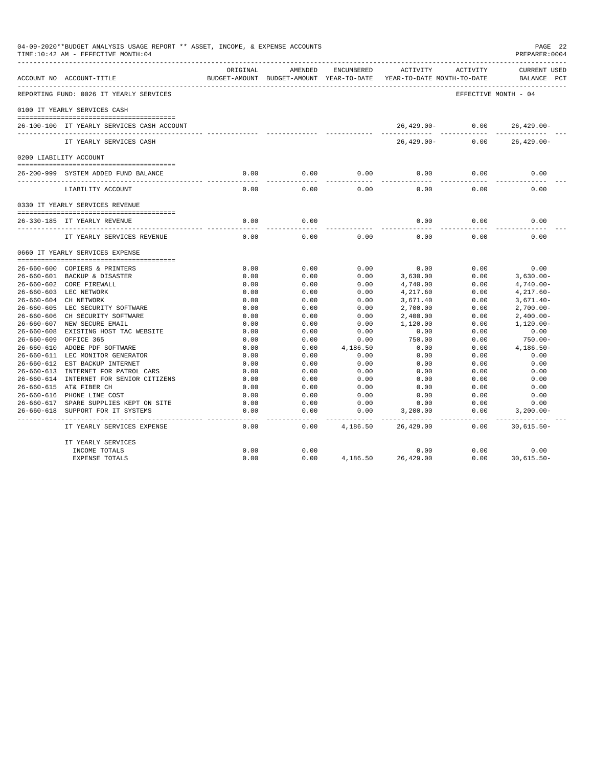|                  | 04-09-2020**BUDGET ANALYSIS USAGE REPORT ** ASSET, INCOME, & EXPENSE ACCOUNTS<br>TIME:10:42 AM - EFFECTIVE MONTH:04 |                   |                                                     |                    |                                        |                      | PAGE 22<br>PREPARER: 0004          |
|------------------|---------------------------------------------------------------------------------------------------------------------|-------------------|-----------------------------------------------------|--------------------|----------------------------------------|----------------------|------------------------------------|
|                  | ACCOUNT NO ACCOUNT-TITLE                                                                                            | ORIGINAL          | AMENDED<br>BUDGET-AMOUNT BUDGET-AMOUNT YEAR-TO-DATE | ENCUMBERED         | ACTIVITY<br>YEAR-TO-DATE MONTH-TO-DATE | ACTIVITY             | <b>CURRENT USED</b><br>BALANCE PCT |
|                  | REPORTING FUND: 0026 IT YEARLY SERVICES                                                                             |                   |                                                     |                    |                                        | EFFECTIVE MONTH - 04 |                                    |
|                  | 0100 IT YEARLY SERVICES CASH                                                                                        |                   |                                                     |                    |                                        |                      |                                    |
|                  | 26-100-100 IT YEARLY SERVICES CASH ACCOUNT                                                                          |                   |                                                     |                    | 26,429.00-                             | 0.00                 | $26,429.00 -$                      |
|                  | IT YEARLY SERVICES CASH                                                                                             |                   |                                                     |                    | $26,429.00-$                           | 0.00                 | $26, 429.00 -$                     |
|                  | 0200 LIABILITY ACCOUNT                                                                                              |                   |                                                     |                    |                                        |                      |                                    |
|                  | 26-200-999 SYSTEM ADDED FUND BALANCE                                                                                | 0.00              | 0.00                                                | 0.00               | 0.00                                   | 0.00                 | 0.00                               |
|                  | LIABILITY ACCOUNT                                                                                                   | 0.00              | 0.00                                                | 0.00               | 0.00                                   | 0.00                 | 0.00                               |
|                  | 0330 IT YEARLY SERVICES REVENUE                                                                                     |                   |                                                     |                    |                                        |                      |                                    |
|                  | 26-330-185 IT YEARLY REVENUE                                                                                        | 0.00              | 0.00                                                |                    | 0.00                                   | 0.00                 | 0.00                               |
|                  | IT YEARLY SERVICES REVENUE                                                                                          | 0.00              | 0.00                                                | 0.00               | 0.00                                   | 0.00                 | 0.00                               |
|                  | 0660 IT YEARLY SERVICES EXPENSE                                                                                     |                   |                                                     |                    |                                        |                      |                                    |
|                  | 26-660-600 COPIERS & PRINTERS                                                                                       | 0.00              | 0.00                                                | 0.00               | 0.00                                   | 0.00                 | 0.00                               |
|                  | 26-660-601 BACKUP & DISASTER                                                                                        | 0.00              | 0.00                                                | 0.00               | 3,630.00                               | 0.00                 | $3.630.00 -$                       |
|                  | 26-660-602 CORE FIREWALL                                                                                            | 0.00              | 0.00                                                | 0.00               | 4,740.00                               | 0.00                 | $4,740.00 -$                       |
|                  | 26-660-603 LEC NETWORK                                                                                              | 0.00              | 0.00                                                | 0.00               | 4,217.60                               | 0.00                 | $4,217.60-$                        |
|                  | 26-660-604 CH NETWORK                                                                                               | 0.00              | 0.00                                                | 0.00               | 3,671.40                               | 0.00                 | $3,671.40-$                        |
|                  | 26-660-605 LEC SECURITY SOFTWARE                                                                                    | 0.00              | 0.00                                                | 0.00               | 2,700.00                               | 0.00                 | $2,700.00-$                        |
|                  | 26-660-606 CH SECURITY SOFTWARE                                                                                     | 0.00              | 0.00                                                | 0.00               | 2,400.00                               | 0.00                 | $2,400.00-$                        |
|                  | 26-660-607 NEW SECURE EMAIL                                                                                         | 0.00              | 0.00                                                | 0.00               | 1,120.00                               | 0.00                 | $1.120.00 -$                       |
|                  | 26-660-608 EXISTING HOST TAC WEBSITE                                                                                | 0.00              | 0.00                                                | 0.00               | 0.00                                   | 0.00                 | 0.00                               |
| $26 - 660 - 609$ | OFFICE 365                                                                                                          | 0.00              | 0.00                                                | 0.00               | 750.00                                 | 0.00                 | 750.00-                            |
|                  | 26-660-610 ADOBE PDF SOFTWARE                                                                                       | 0.00              | 0.00                                                | 4,186.50           | 0.00                                   | 0.00                 | 4,186.50-                          |
|                  | 26-660-611 LEC MONITOR GENERATOR                                                                                    | 0.00              | 0.00                                                | 0.00               | 0.00                                   | 0.00                 | 0.00                               |
|                  | 26-660-612 EST BACKUP INTERNET                                                                                      | 0.00              | 0.00                                                | 0.00               | 0.00                                   | 0.00                 | 0.00                               |
|                  | 26-660-613 INTERNET FOR PATROL CARS                                                                                 | 0.00              | 0.00                                                | 0.00               | 0.00                                   | 0.00                 | 0.00                               |
|                  | 26-660-614 INTERNET FOR SENIOR CITIZENS                                                                             | 0.00              | 0.00                                                | 0.00               | 0.00                                   | 0.00                 | 0.00                               |
|                  | 26-660-615 AT& FIBER CH                                                                                             | 0.00              | 0.00                                                | 0.00               | 0.00                                   | 0.00                 | 0.00                               |
|                  | 26-660-616 PHONE LINE COST                                                                                          | 0.00              | 0.00                                                | 0.00               | 0.00                                   | 0.00                 | 0.00                               |
|                  | 26-660-617 SPARE SUPPLIES KEPT ON SITE                                                                              | 0.00              | 0.00                                                | 0.00               | 0.00                                   | 0.00                 | 0.00                               |
| 26-660-618       | SUPPORT FOR IT SYSTEMS<br>------------------------                                                                  | 0.00<br>$- - - -$ | 0.00<br>$- - - -$                                   | 0.00<br>---------- | 3,200.00                               | 0.00<br>-----        | $3,200.00 -$<br>----------         |
|                  | IT YEARLY SERVICES EXPENSE                                                                                          | 0.00              | 0.00                                                | 4,186.50           | 26,429.00                              | 0.00                 | $30,615.50 -$                      |
|                  | IT YEARLY SERVICES                                                                                                  |                   |                                                     |                    |                                        |                      |                                    |
|                  | INCOME TOTALS                                                                                                       | 0.00              | 0.00                                                |                    | 0.00                                   | 0.00                 | 0.00                               |
|                  | <b>EXPENSE TOTALS</b>                                                                                               | 0.00              | 0.00                                                | 4,186.50           | 26,429.00                              | 0.00                 | $30,615.50 -$                      |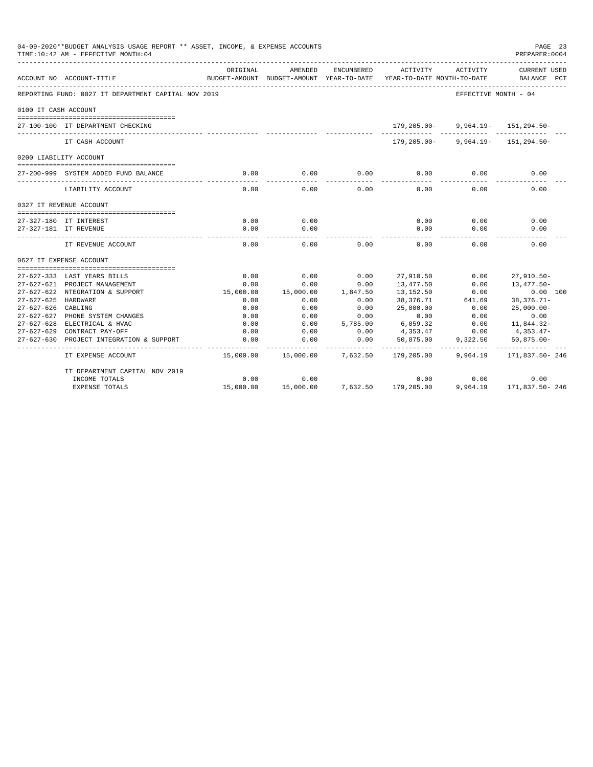|                      | 04-09-2020**BUDGET ANALYSIS USAGE REPORT ** ASSET, INCOME, & EXPENSE ACCOUNTS<br>TIME:10:42 AM - EFFECTIVE MONTH:04 |           |                                                     |            |                                        |                           | PAGE 23<br>PREPARER: 0004          |
|----------------------|---------------------------------------------------------------------------------------------------------------------|-----------|-----------------------------------------------------|------------|----------------------------------------|---------------------------|------------------------------------|
|                      | ACCOUNT NO ACCOUNT-TITLE                                                                                            | ORIGINAL  | AMENDED<br>BUDGET-AMOUNT BUDGET-AMOUNT YEAR-TO-DATE | ENCUMBERED | ACTIVITY<br>YEAR-TO-DATE MONTH-TO-DATE | ACTIVITY                  | <b>CURRENT USED</b><br>BALANCE PCT |
|                      | REPORTING FUND: 0027 IT DEPARTMENT CAPITAL NOV 2019                                                                 |           |                                                     |            |                                        | EFFECTIVE MONTH - 04      |                                    |
| 0100 IT CASH ACCOUNT |                                                                                                                     |           |                                                     |            |                                        |                           |                                    |
|                      | 27-100-100 IT DEPARTMENT CHECKING                                                                                   |           |                                                     |            | 179,205.00-                            |                           | $9,964.19 - 151,294.50 -$          |
|                      | IT CASH ACCOUNT                                                                                                     |           |                                                     |            | 179,205.00-                            |                           | $9,964.19 - 151,294.50 -$          |
|                      | 0200 LIABILITY ACCOUNT                                                                                              |           |                                                     |            |                                        |                           |                                    |
|                      | 27-200-999 SYSTEM ADDED FUND BALANCE                                                                                | 0.00      | 0.00<br>$\frac{1}{2}$                               | 0.00       | 0.00                                   | 0.00                      | 0.00                               |
|                      | LIABILITY ACCOUNT                                                                                                   | 0.00      | 0.00                                                | 0.00       | 0.00                                   | 0.00                      | 0.00                               |
|                      | 0327 IT REVENUE ACCOUNT                                                                                             |           |                                                     |            |                                        |                           |                                    |
|                      | 27-327-180 IT INTEREST                                                                                              | 0.00      | 0.00                                                |            | 0.00                                   | 0.00                      | 0.00                               |
|                      | 27-327-181 IT REVENUE                                                                                               | 0.00      | 0.00                                                |            | 0.00                                   | 0.00                      | 0.00                               |
|                      | IT REVENUE ACCOUNT                                                                                                  | 0.00      | 0.00                                                | 0.00       | 0.00                                   | 0.00                      | 0.00                               |
|                      | 0627 IT EXPENSE ACCOUNT                                                                                             |           |                                                     |            |                                        |                           |                                    |
|                      |                                                                                                                     |           |                                                     |            |                                        |                           |                                    |
|                      | 27-627-333 LAST YEARS BILLS                                                                                         | 0.00      | 0.00                                                | 0.00       | 27,910.50                              | 0.00                      | $27,910.50 -$                      |
|                      | 27-627-621 PROJECT MANAGEMENT                                                                                       | 0.00      | 0.00                                                | 0.00       | 13,477.50                              | 0.00                      | 13,477.50-                         |
|                      | 27-627-622 NTEGRATION & SUPPORT                                                                                     | 15,000.00 | 15,000.00                                           | 1,847.50   | 13,152.50                              | 0.00                      | $0.00$ 100                         |
| 27-627-625 HARDWARE  |                                                                                                                     | 0.00      | 0.00                                                | 0.00       | 38,376.71                              | 641.69                    | $38,376.71-$                       |
| 27-627-626           | CABLING                                                                                                             | 0.00      | 0.00                                                | 0.00       | 25,000.00                              | 0.00                      | $25,000.00 -$                      |
|                      | 27-627-627 PHONE SYSTEM CHANGES                                                                                     | 0.00      | 0.00                                                | 0.00       | 0.00                                   | 0.00                      | 0.00                               |
|                      | 27-627-628 ELECTRICAL & HVAC                                                                                        | 0.00      | 0.00                                                | 5,785,00   | 6,059.32                               | 0.00                      | 11,844.32-                         |
|                      | 27-627-629 CONTRACT PAY-OFF                                                                                         | 0.00      | 0.00                                                | 0.00       | 4,353.47                               | 0.00                      | 4,353.47-                          |
| $27 - 627 - 630$     | PROJECT INTEGRATION & SUPPORT                                                                                       | 0.00      | 0.00                                                | 0.00       | 50,875.00                              | 9,322.50<br>------------- | $50,875.00 -$<br>. <i>.</i> .      |
|                      | IT EXPENSE ACCOUNT                                                                                                  | 15,000.00 | 15,000.00                                           | 7,632.50   | 179,205.00                             | 9,964.19                  | 171,837.50-246                     |
|                      | IT DEPARTMENT CAPITAL NOV 2019                                                                                      |           |                                                     |            |                                        |                           |                                    |
|                      | INCOME TOTALS                                                                                                       | 0.00      | 0.00                                                |            | 0.00                                   | 0.00                      | 0.00                               |
|                      | <b>EXPENSE TOTALS</b>                                                                                               | 15,000.00 | 15,000.00                                           |            | 7,632.50 179,205.00                    | 9,964.19                  | 171,837.50-246                     |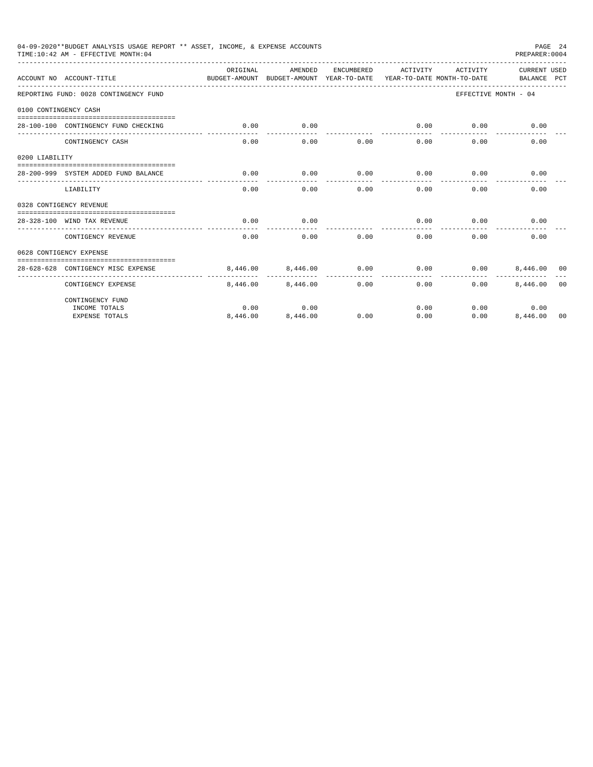|                       | 04-09-2020**BUDGET ANALYSIS USAGE REPORT ** ASSET, INCOME, & EXPENSE ACCOUNTS<br>TIME:10:42 AM - EFFECTIVE MONTH:04 |                                                                                 |          |            |                     |          | PREPARER: 0004              | PAGE 24        |
|-----------------------|---------------------------------------------------------------------------------------------------------------------|---------------------------------------------------------------------------------|----------|------------|---------------------|----------|-----------------------------|----------------|
|                       | ACCOUNT NO ACCOUNT-TITLE                                                                                            | ORTGINAL<br>BUDGET-AMOUNT BUDGET-AMOUNT YEAR-TO-DATE YEAR-TO-DATE MONTH-TO-DATE | AMENDED  | ENCUMBERED | ACTIVITY            | ACTIVITY | CURRENT USED<br>BALANCE PCT |                |
|                       | REPORTING FUND: 0028 CONTINGENCY FUND                                                                               |                                                                                 |          |            |                     |          | EFFECTIVE MONTH - 04        |                |
| 0100 CONTINGENCY CASH |                                                                                                                     |                                                                                 |          |            |                     |          |                             |                |
|                       | 28-100-100 CONTINGENCY FUND CHECKING                                                                                | 0.00                                                                            | 0.00     |            | 0.00<br>----------- | 0.00     | 0.00                        |                |
|                       | CONTINGENCY CASH                                                                                                    | 0.00                                                                            | 0.00     | 0.00       | 0.00                | 0.00     | 0.00                        |                |
| 0200 LIABILITY        |                                                                                                                     |                                                                                 |          |            |                     |          |                             |                |
|                       | 28-200-999 SYSTEM ADDED FUND BALANCE                                                                                | 0.00                                                                            | 0.00     | 0.00       | 0.00                | 0.00     | 0.00                        |                |
|                       | LIABILITY                                                                                                           | 0.00                                                                            | 0.00     | 0.00       | 0.00                | 0.00     | 0.00                        |                |
|                       | 0328 CONTIGENCY REVENUE                                                                                             |                                                                                 |          |            |                     |          |                             |                |
|                       | 28-328-100 WIND TAX REVENUE                                                                                         | 0.00                                                                            | 0.00     |            | 0.00                | 0.00     | 0.00                        |                |
|                       | CONTIGENCY REVENUE                                                                                                  | 0.00                                                                            | 0.00     | 0.00       | 0.00                | 0.00     | 0.00                        |                |
|                       | 0628 CONTIGENCY EXPENSE                                                                                             |                                                                                 |          |            |                     |          |                             |                |
|                       | 28-628-628 CONTIGENCY MISC EXPENSE                                                                                  | 8,446,00                                                                        | 8,446.00 | 0.00       | 0.00                | 0.00     | 8,446,00 00                 |                |
|                       | CONTIGENCY EXPENSE                                                                                                  | 8,446.00                                                                        | 8,446.00 | 0.00       | 0.00                | 0.00     | 8,446.00                    | 0 <sub>0</sub> |
|                       | CONTINGENCY FUND                                                                                                    |                                                                                 |          |            |                     |          |                             |                |
|                       | INCOME TOTALS                                                                                                       | 0.00                                                                            | 0.00     |            | 0.00                |          | 0.00<br>0.00                |                |
|                       | <b>EXPENSE TOTALS</b>                                                                                               | 8,446.00                                                                        | 8,446.00 | 0.00       | 0.00                | 0.00     | 8,446.00                    | 00             |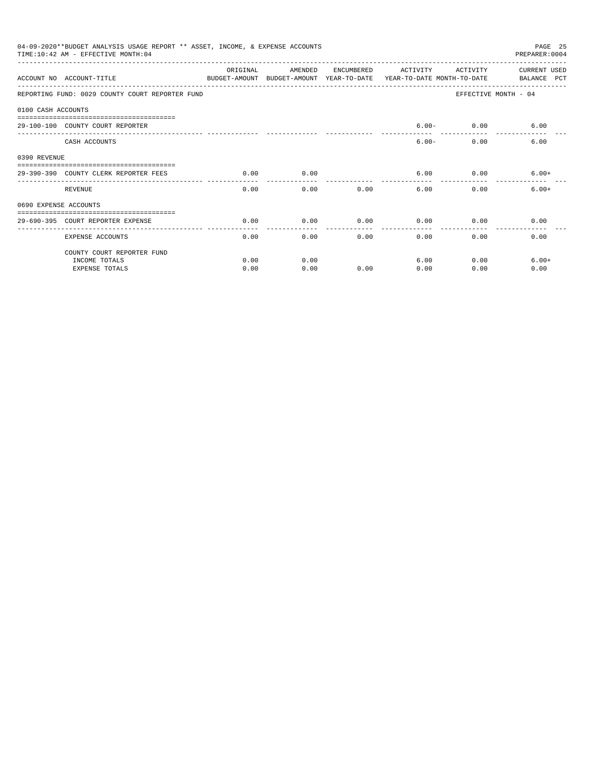|              | 04-09-2020**BUDGET ANALYSIS USAGE REPORT ** ASSET, INCOME, & EXPENSE ACCOUNTS<br>PAGE 25<br>TIME: 10:42 AM - EFFECTIVE MONTH: 04<br>PREPARER: 0004<br>ORIGINAL<br>AMENDED<br>ENCUMBERED<br>ACTIVITY<br>ACTIVITY<br>CURRENT USED<br>ACCOUNT NO ACCOUNT-TITLE<br>BUDGET-AMOUNT BUDGET-AMOUNT YEAR-TO-DATE<br>YEAR-TO-DATE MONTH-TO-DATE<br>BALANCE PCT<br>REPORTING FUND: 0029 COUNTY COURT REPORTER FUND<br>EFFECTIVE MONTH - 04<br>0100 CASH ACCOUNTS<br>$6.00 - 0.00$<br>6.00<br>29-100-100 COUNTY COURT REPORTER<br>$6.00 -$<br>6.00<br>CASH ACCOUNTS<br>0.00<br>0.00<br>6.00<br>$0.00$ 6.00+<br>29-390-390 COUNTY CLERK REPORTER FEES<br>0.00<br>-----<br>0.00<br>$6.00+$<br>REVENUE<br>0.00<br>0.00<br>6.00<br>0.00<br>0690 EXPENSE ACCOUNTS<br>0.00<br>0.00<br>0.00<br>0.00<br>0.00<br>0.00<br>29-690-395 COURT REPORTER EXPENSE<br>0.00<br>0.00<br>0.00<br>0.00<br>0.00<br>0.00<br><b>EXPENSE ACCOUNTS</b> |      |      |      |      |      |         |
|--------------|------------------------------------------------------------------------------------------------------------------------------------------------------------------------------------------------------------------------------------------------------------------------------------------------------------------------------------------------------------------------------------------------------------------------------------------------------------------------------------------------------------------------------------------------------------------------------------------------------------------------------------------------------------------------------------------------------------------------------------------------------------------------------------------------------------------------------------------------------------------------------------------------------------------|------|------|------|------|------|---------|
|              |                                                                                                                                                                                                                                                                                                                                                                                                                                                                                                                                                                                                                                                                                                                                                                                                                                                                                                                  |      |      |      |      |      |         |
|              |                                                                                                                                                                                                                                                                                                                                                                                                                                                                                                                                                                                                                                                                                                                                                                                                                                                                                                                  |      |      |      |      |      |         |
|              |                                                                                                                                                                                                                                                                                                                                                                                                                                                                                                                                                                                                                                                                                                                                                                                                                                                                                                                  |      |      |      |      |      |         |
|              |                                                                                                                                                                                                                                                                                                                                                                                                                                                                                                                                                                                                                                                                                                                                                                                                                                                                                                                  |      |      |      |      |      |         |
|              |                                                                                                                                                                                                                                                                                                                                                                                                                                                                                                                                                                                                                                                                                                                                                                                                                                                                                                                  |      |      |      |      |      |         |
| 0390 REVENUE |                                                                                                                                                                                                                                                                                                                                                                                                                                                                                                                                                                                                                                                                                                                                                                                                                                                                                                                  |      |      |      |      |      |         |
|              |                                                                                                                                                                                                                                                                                                                                                                                                                                                                                                                                                                                                                                                                                                                                                                                                                                                                                                                  |      |      |      |      |      |         |
|              |                                                                                                                                                                                                                                                                                                                                                                                                                                                                                                                                                                                                                                                                                                                                                                                                                                                                                                                  |      |      |      |      |      |         |
|              |                                                                                                                                                                                                                                                                                                                                                                                                                                                                                                                                                                                                                                                                                                                                                                                                                                                                                                                  |      |      |      |      |      |         |
|              |                                                                                                                                                                                                                                                                                                                                                                                                                                                                                                                                                                                                                                                                                                                                                                                                                                                                                                                  |      |      |      |      |      |         |
|              |                                                                                                                                                                                                                                                                                                                                                                                                                                                                                                                                                                                                                                                                                                                                                                                                                                                                                                                  |      |      |      |      |      |         |
|              | COUNTY COURT REPORTER FUND                                                                                                                                                                                                                                                                                                                                                                                                                                                                                                                                                                                                                                                                                                                                                                                                                                                                                       |      |      |      |      |      |         |
|              | INCOME TOTALS                                                                                                                                                                                                                                                                                                                                                                                                                                                                                                                                                                                                                                                                                                                                                                                                                                                                                                    | 0.00 | 0.00 |      | 6.00 | 0.00 | $6.00+$ |
|              | <b>EXPENSE TOTALS</b>                                                                                                                                                                                                                                                                                                                                                                                                                                                                                                                                                                                                                                                                                                                                                                                                                                                                                            | 0.00 | 0.00 | 0.00 | 0.00 | 0.00 | 0.00    |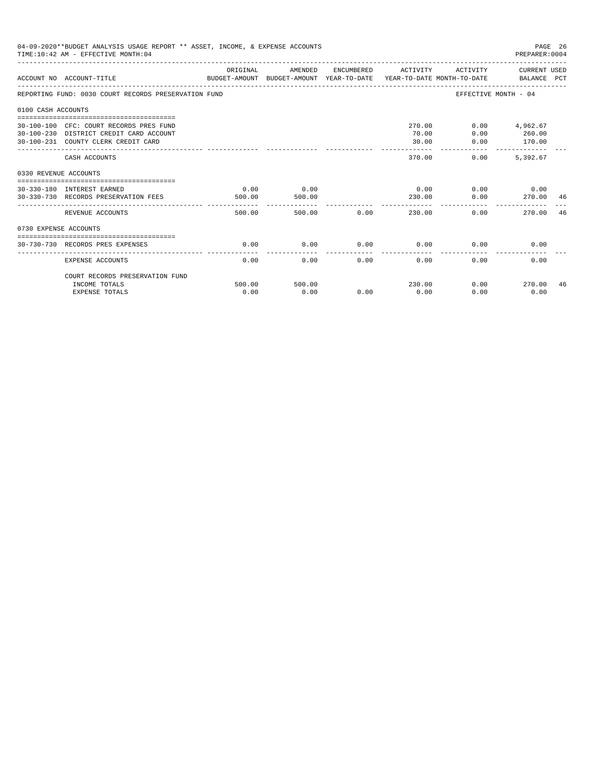|                       | 04-09-2020**BUDGET ANALYSIS USAGE REPORT ** ASSET, INCOME, & EXPENSE ACCOUNTS<br>TIME: 10:42 AM - EFFECTIVE MONTH: 04     |                |                |             |                           |                      | PAGE 26<br>PREPARER:0004              |    |
|-----------------------|---------------------------------------------------------------------------------------------------------------------------|----------------|----------------|-------------|---------------------------|----------------------|---------------------------------------|----|
|                       | ACCOUNT NO ACCOUNT-TITLE<br>BUDGET-AMOUNT BUDGET-AMOUNT YEAR-TO-DATE YEAR-TO-DATE MONTH-TO-DATE BALANCE PCT               | ORIGINAL       | AMENDED        |             | ENCUMBERED ACTIVITY       |                      | ACTIVITY CURRENT USED                 |    |
|                       | REPORTING FUND: 0030 COURT RECORDS PRESERVATION FUND                                                                      |                |                |             |                           | EFFECTIVE MONTH - 04 |                                       |    |
| 0100 CASH ACCOUNTS    |                                                                                                                           |                |                |             |                           |                      |                                       |    |
|                       | 30-100-100 CFC: COURT RECORDS PRES FUND<br>30-100-230 DISTRICT CREDIT CARD ACCOUNT<br>30-100-231 COUNTY CLERK CREDIT CARD |                |                |             | 270.00<br>70.00<br>30.00  | 0.00<br>0.00         | $0.00$ $4.962.67$<br>260.00<br>170.00 |    |
|                       | CASH ACCOUNTS                                                                                                             |                |                |             | --------<br>370.00        | ------------<br>0.00 | -------------<br>5,392.67             |    |
| 0330 REVENUE ACCOUNTS | ------------------------------------                                                                                      |                |                |             |                           |                      |                                       |    |
|                       | 30-330-180 INTEREST EARNED<br>30-330-730 RECORDS PRESERVATION FEES                                                        | 0.00<br>500.00 | 0.00<br>500.00 |             | 0.00<br>230.00            | 0.00                 | $0.00$ 0.00<br>270.00 46              |    |
|                       | REVENUE ACCOUNTS                                                                                                          | 500.00         |                | 500.00 0.00 | ---------------<br>230.00 | 0.00                 | 270.00                                | 46 |
| 0730 EXPENSE ACCOUNTS |                                                                                                                           |                |                |             |                           |                      |                                       |    |
|                       | 30-730-730 RECORDS PRES EXPENSES                                                                                          | 0.00           | 0.00           | 0.00        | 0.00                      | 0.00                 | 0.00                                  |    |
|                       | <b>EXPENSE ACCOUNTS</b>                                                                                                   | 0.00           | 0.00           | 0.00        | 0.00                      | 0.00                 | 0.00                                  |    |
|                       | COURT RECORDS PRESERVATION FUND<br>INCOME TOTALS                                                                          | 500.00         | 500.00         |             | 230.00                    | 0.00                 | 270.00                                | 46 |
|                       | <b>EXPENSE TOTALS</b>                                                                                                     | 0.00           | 0.00           | 0.00        | 0.00                      | 0.00                 | 0.00                                  |    |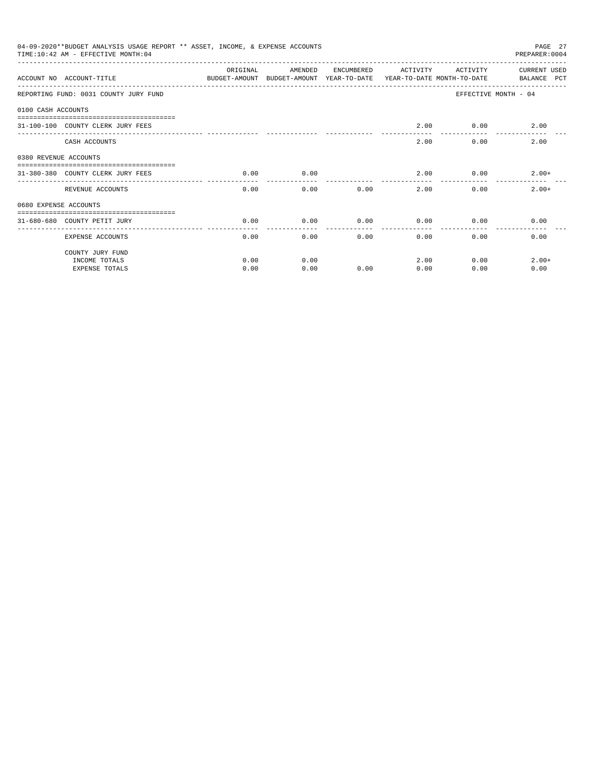|                       | 04-09-2020**BUDGET ANALYSIS USAGE REPORT ** ASSET, INCOME, & EXPENSE ACCOUNTS<br>TIME: 10:42 AM - EFFECTIVE MONTH: 04 |          |                                                                                |            |          |              | PAGE 27<br>PREPARER: 0004          |
|-----------------------|-----------------------------------------------------------------------------------------------------------------------|----------|--------------------------------------------------------------------------------|------------|----------|--------------|------------------------------------|
|                       | ACCOUNT NO ACCOUNT-TITLE                                                                                              | ORIGINAL | AMENDED<br>BUDGET-AMOUNT BUDGET-AMOUNT YEAR-TO-DATE YEAR-TO-DATE MONTH-TO-DATE | ENCUMBERED | ACTIVITY | ACTIVITY     | <b>CURRENT USED</b><br>BALANCE PCT |
|                       | REPORTING FUND: 0031 COUNTY JURY FUND                                                                                 |          |                                                                                |            |          |              | EFFECTIVE MONTH - 04               |
| 0100 CASH ACCOUNTS    |                                                                                                                       |          |                                                                                |            |          |              |                                    |
|                       | 31-100-100 COUNTY CLERK JURY FEES                                                                                     |          |                                                                                |            | 2.00     | 0.00         | 2.00                               |
|                       | CASH ACCOUNTS                                                                                                         |          |                                                                                |            | 2.00     | 0.00         | 2.00                               |
| 0380 REVENUE ACCOUNTS |                                                                                                                       |          |                                                                                |            |          |              |                                    |
|                       | 31-380-380 COUNTY CLERK JURY FEES                                                                                     | 0.00     | 0.00                                                                           |            | 2.00     |              | 0.00<br>$2.00+$                    |
|                       | REVENUE ACCOUNTS                                                                                                      | 0.00     | 0.00                                                                           | 0.00       | 2.00     | 0.00         | $2.00+$                            |
| 0680 EXPENSE ACCOUNTS |                                                                                                                       |          |                                                                                |            |          |              |                                    |
|                       | 31-680-680 COUNTY PETIT JURY                                                                                          | 0.00     | 0.00                                                                           | 0.00       | 0.00     | 0.00         | 0.00                               |
|                       | <b>EXPENSE ACCOUNTS</b>                                                                                               | 0.00     | 0.00                                                                           |            | 0.00     | 0.00<br>0.00 | 0.00                               |
|                       | COUNTY JURY FUND                                                                                                      |          |                                                                                |            |          |              |                                    |
|                       | INCOME TOTALS                                                                                                         | 0.00     | 0.00                                                                           |            | 2.00     | 0.00         | $2.00+$                            |
|                       | <b>EXPENSE TOTALS</b>                                                                                                 | 0.00     | 0.00                                                                           | 0.00       | 0.00     | 0.00         | 0.00                               |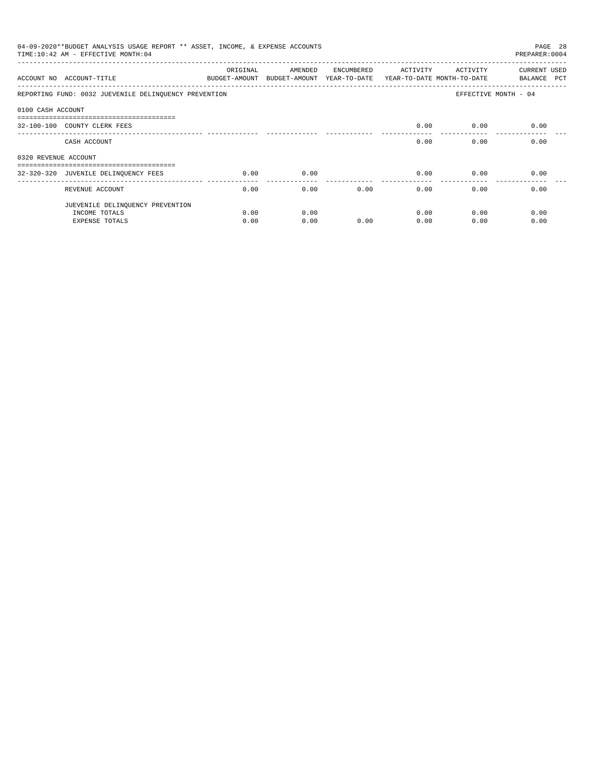|                      | 04-09-2020**BUDGET ANALYSIS USAGE REPORT ** ASSET, INCOME, & EXPENSE ACCOUNTS<br>TIME: 10:42 AM - EFFECTIVE MONTH: 04 |          |                                                                                |            |          |                           | PAGE 28<br>PREPARER: 0004   |
|----------------------|-----------------------------------------------------------------------------------------------------------------------|----------|--------------------------------------------------------------------------------|------------|----------|---------------------------|-----------------------------|
|                      | ACCOUNT NO ACCOUNT-TITLE                                                                                              | ORIGINAL | AMENDED<br>BUDGET-AMOUNT BUDGET-AMOUNT YEAR-TO-DATE YEAR-TO-DATE_MONTH-TO-DATE | ENCUMBERED | ACTIVITY | ACTIVITY                  | CURRENT USED<br>BALANCE PCT |
|                      | REPORTING FUND: 0032 JUEVENILE DELINQUENCY PREVENTION                                                                 |          |                                                                                |            |          |                           | EFFECTIVE MONTH - 04        |
| 0100 CASH ACCOUNT    |                                                                                                                       |          |                                                                                |            |          |                           |                             |
|                      | 32-100-100 COUNTY CLERK FEES                                                                                          |          |                                                                                |            | 0.00     | 0.00                      | 0.00                        |
|                      | CASH ACCOUNT                                                                                                          |          |                                                                                |            | 0.00     | 0.00                      | 0.00                        |
| 0320 REVENUE ACCOUNT |                                                                                                                       |          |                                                                                |            |          |                           |                             |
|                      | -----------------------------------<br>32-320-320 JUVENILE DELINQUENCY FEES                                           | 0.00     | 0.00                                                                           |            | 0.00     | 0.00                      | 0.00                        |
|                      | REVENUE ACCOUNT                                                                                                       | 0.00     |                                                                                | 0.00       | 0.00     | 0.00<br>$0.00$ and $0.00$ | 0.00                        |
|                      | JUEVENILE DELINQUENCY PREVENTION                                                                                      |          |                                                                                |            |          |                           |                             |
|                      | INCOME TOTALS                                                                                                         | 0.00     | 0.00                                                                           |            | 0.00     | 0.00                      | 0.00                        |
|                      | EXPENSE TOTALS                                                                                                        | 0.00     | 0.00                                                                           | 0.00       | 0.00     | 0.00                      | 0.00                        |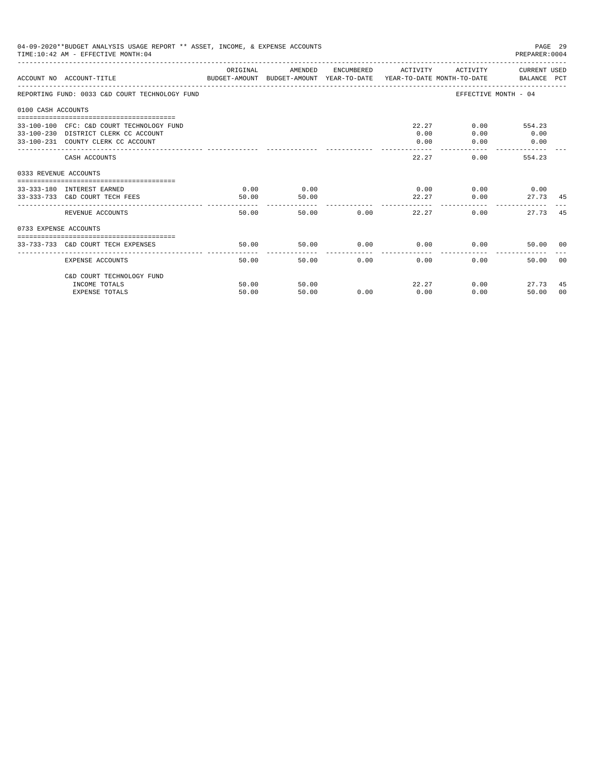| 04-09-2020**BUDGET ANALYSIS USAGE REPORT ** ASSET, INCOME, & EXPENSE ACCOUNTS<br>PAGE 29<br>TIME: 10:42 AM - EFFECTIVE MONTH: 04<br>PREPARER: 0004<br>ORIGINAL<br>ACTIVITY CURRENT USED<br>AMENDED<br>ENCUMBERED ACTIVITY<br>ACCOUNT NO ACCOUNT-TITLE COMPUTER THE BUDGET-AMOUNT BUDGET-AMOUNT YEAR-TO-DATE YEAR-TO-DATE MONTH-TO-DATE BALANCE PCT<br>EFFECTIVE MONTH - 04<br>REPORTING FUND: 0033 C&D COURT TECHNOLOGY FUND<br>0100 CASH ACCOUNTS<br>22.27<br>33-100-100 CFC: C&D COURT TECHNOLOGY FUND<br>$0.00$ and $0.00$<br>554.23<br>0.00<br>0.00<br>33-100-230 DISTRICT CLERK CC ACCOUNT<br>0.00<br>33-100-231 COUNTY CLERK CC ACCOUNT<br>0.00<br>0.00<br>0.00<br>22.27<br>0.00<br>554.23<br>CASH ACCOUNTS<br>0333 REVENUE ACCOUNTS<br>0.00<br>0.00<br>$0.00$ $0.00$ $0.00$ $0.00$<br>33-333-180 INTEREST EARNED<br>50.00<br>33-333-733 C&D COURT TECH FEES<br>50.00<br>22.27<br>0.00<br>------------<br>50.00 0.00<br>22.27<br>REVENUE ACCOUNTS<br>50.00<br>0.00<br>0733 EXPENSE ACCOUNTS<br>50.00<br>0.00<br>$0.00$ 0.00<br>33-733-733 C&D COURT TECH EXPENSES<br>50.00<br>50.00<br>0.00<br>0.00<br>0.00 |                |                |      |      |               |                        |                |
|-------------------------------------------------------------------------------------------------------------------------------------------------------------------------------------------------------------------------------------------------------------------------------------------------------------------------------------------------------------------------------------------------------------------------------------------------------------------------------------------------------------------------------------------------------------------------------------------------------------------------------------------------------------------------------------------------------------------------------------------------------------------------------------------------------------------------------------------------------------------------------------------------------------------------------------------------------------------------------------------------------------------------------------------------------------------------------------------------------------------|----------------|----------------|------|------|---------------|------------------------|----------------|
|                                                                                                                                                                                                                                                                                                                                                                                                                                                                                                                                                                                                                                                                                                                                                                                                                                                                                                                                                                                                                                                                                                                   |                |                |      |      |               |                        |                |
|                                                                                                                                                                                                                                                                                                                                                                                                                                                                                                                                                                                                                                                                                                                                                                                                                                                                                                                                                                                                                                                                                                                   |                |                |      |      |               |                        |                |
|                                                                                                                                                                                                                                                                                                                                                                                                                                                                                                                                                                                                                                                                                                                                                                                                                                                                                                                                                                                                                                                                                                                   |                |                |      |      |               |                        |                |
|                                                                                                                                                                                                                                                                                                                                                                                                                                                                                                                                                                                                                                                                                                                                                                                                                                                                                                                                                                                                                                                                                                                   |                |                |      |      |               |                        |                |
|                                                                                                                                                                                                                                                                                                                                                                                                                                                                                                                                                                                                                                                                                                                                                                                                                                                                                                                                                                                                                                                                                                                   |                |                |      |      |               |                        |                |
|                                                                                                                                                                                                                                                                                                                                                                                                                                                                                                                                                                                                                                                                                                                                                                                                                                                                                                                                                                                                                                                                                                                   |                |                |      |      |               |                        |                |
|                                                                                                                                                                                                                                                                                                                                                                                                                                                                                                                                                                                                                                                                                                                                                                                                                                                                                                                                                                                                                                                                                                                   |                |                |      |      |               | 27.73 45               |                |
|                                                                                                                                                                                                                                                                                                                                                                                                                                                                                                                                                                                                                                                                                                                                                                                                                                                                                                                                                                                                                                                                                                                   |                |                |      |      |               | 27.73                  | -45            |
|                                                                                                                                                                                                                                                                                                                                                                                                                                                                                                                                                                                                                                                                                                                                                                                                                                                                                                                                                                                                                                                                                                                   |                |                |      |      |               |                        |                |
|                                                                                                                                                                                                                                                                                                                                                                                                                                                                                                                                                                                                                                                                                                                                                                                                                                                                                                                                                                                                                                                                                                                   |                |                |      |      |               | 50.00 00               |                |
| EXPENSE ACCOUNTS                                                                                                                                                                                                                                                                                                                                                                                                                                                                                                                                                                                                                                                                                                                                                                                                                                                                                                                                                                                                                                                                                                  | 50.00          |                |      |      |               | 50.00                  | 0 <sup>0</sup> |
| C&D COURT TECHNOLOGY FUND                                                                                                                                                                                                                                                                                                                                                                                                                                                                                                                                                                                                                                                                                                                                                                                                                                                                                                                                                                                                                                                                                         |                |                |      |      |               |                        |                |
| INCOME TOTALS<br><b>EXPENSE TOTALS</b>                                                                                                                                                                                                                                                                                                                                                                                                                                                                                                                                                                                                                                                                                                                                                                                                                                                                                                                                                                                                                                                                            | 50.00<br>50.00 | 50.00<br>50.00 | 0.00 | 0.00 | 22.27<br>0.00 | 0.00<br>27.73<br>50.00 | 45<br>00       |
|                                                                                                                                                                                                                                                                                                                                                                                                                                                                                                                                                                                                                                                                                                                                                                                                                                                                                                                                                                                                                                                                                                                   |                |                |      |      |               |                        |                |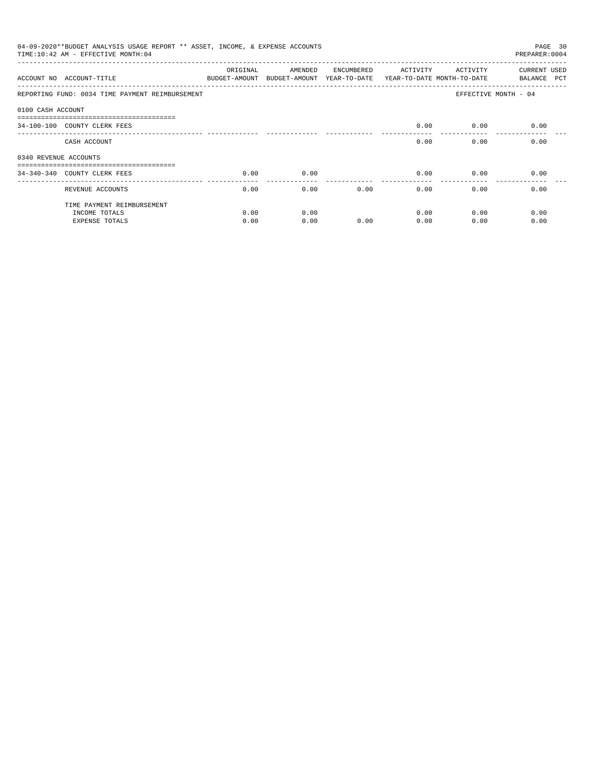|                       | 04-09-2020**BUDGET ANALYSIS USAGE REPORT ** ASSET, INCOME, & EXPENSE ACCOUNTS<br>TIME: 10:42 AM - EFFECTIVE MONTH: 04 |          |                                       |            |                                        |          | PAGE 30<br>PREPARER: 0004          |
|-----------------------|-----------------------------------------------------------------------------------------------------------------------|----------|---------------------------------------|------------|----------------------------------------|----------|------------------------------------|
|                       | ACCOUNT NO ACCOUNT-TITLE<br>BUDGET-AMOUNT                                                                             | ORIGINAL | AMENDED<br>BUDGET-AMOUNT YEAR-TO-DATE | ENCUMBERED | ACTIVITY<br>YEAR-TO-DATE MONTH-TO-DATE | ACTIVITY | <b>CURRENT USED</b><br>BALANCE PCT |
|                       | REPORTING FUND: 0034 TIME PAYMENT REIMBURSEMENT                                                                       |          |                                       |            |                                        |          | EFFECTIVE MONTH - 04               |
| 0100 CASH ACCOUNT     |                                                                                                                       |          |                                       |            |                                        |          |                                    |
|                       | -------------------------------<br>34-100-100 COUNTY CLERK FEES                                                       |          |                                       |            | 0.00                                   | 0.00     | 0.00                               |
|                       | CASH ACCOUNT                                                                                                          |          |                                       |            | 0.00                                   | 0.00     | 0.00                               |
| 0340 REVENUE ACCOUNTS |                                                                                                                       |          |                                       |            |                                        |          |                                    |
|                       | 34-340-340 COUNTY CLERK FEES                                                                                          | 0.00     | 0.00                                  |            | 0.00                                   | 0.00     | 0.00                               |
|                       | REVENUE ACCOUNTS                                                                                                      | 0.00     | 0.00                                  |            | 0.00<br>0.00                           | 0.00     | 0.00                               |
|                       | TIME PAYMENT REIMBURSEMENT                                                                                            |          |                                       |            |                                        |          |                                    |
|                       | INCOME TOTALS                                                                                                         | 0.00     | 0.00                                  |            | 0.00                                   | 0.00     | 0.00                               |
|                       | <b>EXPENSE TOTALS</b>                                                                                                 | 0.00     | 0.00                                  | 0.00       | 0.00                                   | 0.00     | 0.00                               |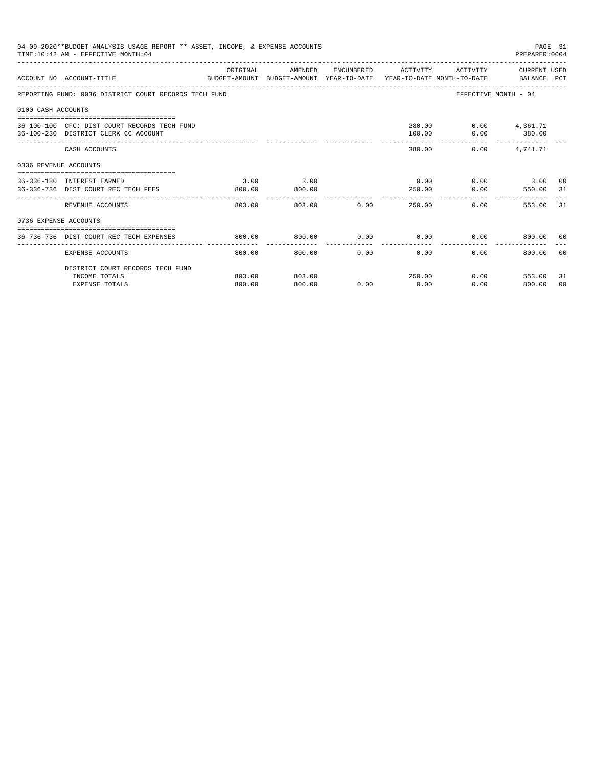|                       | 04-09-2020**BUDGET ANALYSIS USAGE REPORT ** ASSET, INCOME, & EXPENSE ACCOUNTS<br>TIME: 10:42 AM - EFFECTIVE MONTH: 04 |                          |                                                                                            |                     |                      |                                           | PAGE 31<br>PREPARER: 0004   |                |
|-----------------------|-----------------------------------------------------------------------------------------------------------------------|--------------------------|--------------------------------------------------------------------------------------------|---------------------|----------------------|-------------------------------------------|-----------------------------|----------------|
|                       | ACCOUNT NO ACCOUNT-TITLE                                                                                              | ORIGINAL                 | AMENDED<br>BUDGET-AMOUNT BUDGET-AMOUNT YEAR-TO-DATE YEAR-TO-DATE MONTH-TO-DATE BALANCE PCT |                     |                      | ENCUMBERED ACTIVITY ACTIVITY CURRENT USED |                             |                |
|                       | REPORTING FUND: 0036 DISTRICT COURT RECORDS TECH FUND                                                                 |                          |                                                                                            |                     |                      |                                           | EFFECTIVE MONTH - 04        |                |
| 0100 CASH ACCOUNTS    |                                                                                                                       |                          |                                                                                            |                     |                      |                                           |                             |                |
|                       | 36-100-100 CFC: DIST COURT RECORDS TECH FUND<br>36-100-230 DISTRICT CLERK CC ACCOUNT                                  |                          |                                                                                            |                     | 100.00               | 280.00   0.00   4,361.71                  | $0.00$ 380.00               |                |
|                       | CASH ACCOUNTS                                                                                                         |                          |                                                                                            |                     | 380.00               |                                           | $0.00$ 4, 741.71            |                |
| 0336 REVENUE ACCOUNTS |                                                                                                                       |                          |                                                                                            |                     |                      |                                           |                             |                |
|                       | 36-336-180 INTEREST EARNED<br>36-336-736 DIST COURT REC TECH FEES                                                     | 3.00<br>800.00           | 3.00<br>800.00                                                                             |                     | 0.00<br>250.00       | 0.00                                      | $0.00$ 3.00 00<br>550.00 31 |                |
|                       | REVENUE ACCOUNTS                                                                                                      | 803.00                   | 803.00                                                                                     | $0.00$ and $0.00$   |                      | 250.00                                    | 0.00<br>553.00              | 31             |
| 0736 EXPENSE ACCOUNTS |                                                                                                                       |                          |                                                                                            |                     |                      |                                           |                             |                |
|                       | 36-736-736 DIST COURT REC TECH EXPENSES                                                                               | 800.00                   | 800.00                                                                                     | 0.00                |                      | $0.00$ $0.00$ $800.00$ 00                 |                             |                |
|                       | EXPENSE ACCOUNTS                                                                                                      | --------------<br>800.00 | 800.00                                                                                     | -----------<br>0.00 | ------------<br>0.00 | 0.00                                      | 800.00                      | 00             |
|                       | DISTRICT COURT RECORDS TECH FUND                                                                                      |                          |                                                                                            |                     |                      |                                           |                             |                |
|                       | INCOME TOTALS                                                                                                         | 803.00                   | 803.00                                                                                     |                     | 250.00               |                                           | 0.00<br>553.00              | 31             |
|                       | <b>EXPENSE TOTALS</b>                                                                                                 | 800.00                   | 800.00                                                                                     | 0.00                | 0.00                 | 0.00                                      | 800.00                      | 0 <sub>0</sub> |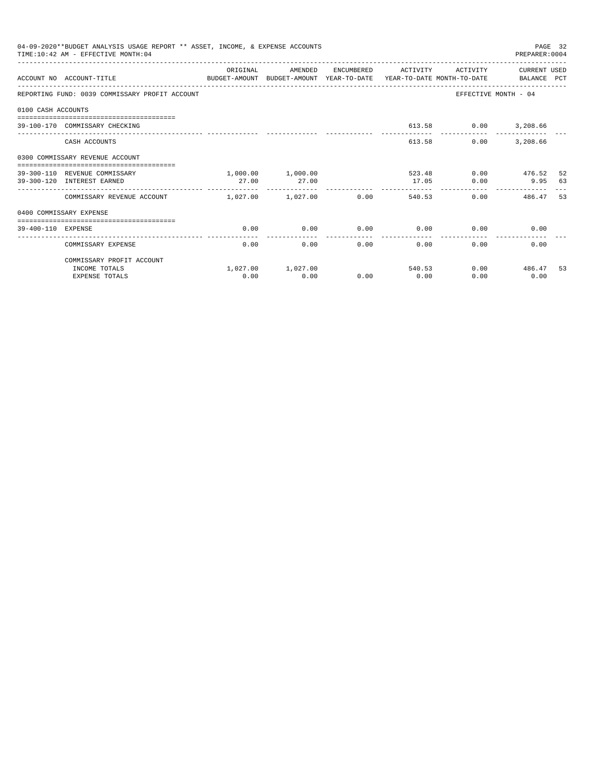|                    | 04-09-2020**BUDGET ANALYSIS USAGE REPORT ** ASSET, INCOME, & EXPENSE ACCOUNTS<br>TIME: 10:42 AM - EFFECTIVE MONTH: 04 |          |                   |      |                     |                             | PREPARER: 0004            | PAGE 32 |
|--------------------|-----------------------------------------------------------------------------------------------------------------------|----------|-------------------|------|---------------------|-----------------------------|---------------------------|---------|
|                    | ACCOUNT NO ACCOUNT-TITLE THE BALANCE PORT AMOUNT BUDGET-AMOUNT VEAR-TO-DATE VEAR-TO-DATE MONTH-TO-DATE BALANCE PCT    | ORIGINAL | AMENDED           |      | ENCUMBERED ACTIVITY | ACTIVITY                    | CURRENT USED              |         |
|                    |                                                                                                                       |          |                   |      |                     |                             |                           |         |
|                    | REPORTING FUND: 0039 COMMISSARY PROFIT ACCOUNT                                                                        |          |                   |      |                     | EFFECTIVE MONTH - 04        |                           |         |
| 0100 CASH ACCOUNTS |                                                                                                                       |          |                   |      |                     |                             |                           |         |
|                    | 39-100-170 COMMISSARY CHECKING                                                                                        |          |                   |      |                     | 613.58 0.00 3,208.66        |                           |         |
|                    | CASH ACCOUNTS                                                                                                         |          |                   |      |                     | 613.58<br>0.00              | 3,208.66                  |         |
|                    | 0300 COMMISSARY REVENUE ACCOUNT<br>--------------------------------------                                             |          |                   |      |                     |                             |                           |         |
|                    | 39-300-110 REVENUE COMMISSARY                                                                                         |          | 1,000.00 1,000.00 |      |                     | 523.48 0.00 476.52          |                           | 52      |
|                    | 39-300-120 INTEREST EARNED                                                                                            | 27.00    | 27.00             |      | 17.05               |                             | $0.00$ 9.95 63            |         |
|                    | COMMISSARY REVENUE ACCOUNT 1,027.00 1,027.00                                                                          |          |                   | 0.00 |                     | 540.53                      | $0.00$ 486.47             | 53      |
|                    | 0400 COMMISSARY EXPENSE                                                                                               |          |                   |      |                     |                             |                           |         |
| 39-400-110 EXPENSE |                                                                                                                       | 0.00     | 0.00              |      |                     | $0.00$ $0.00$ $0.00$ $0.00$ | 0.00                      |         |
|                    |                                                                                                                       |          |                   |      | ----------------    |                             |                           |         |
|                    | COMMISSARY EXPENSE                                                                                                    | 0.00     |                   | 0.00 | 0.00                | $0.00$ and $0.00$           | 0.00<br>$0.00$ and $0.00$ |         |
|                    | COMMISSARY PROFIT ACCOUNT                                                                                             |          |                   |      |                     |                             |                           |         |
|                    | INCOME TOTALS                                                                                                         |          | 1,027.00 1,027.00 |      |                     | 540.53                      | $0.00$ 486.47             | 53      |
|                    | <b>EXPENSE TOTALS</b>                                                                                                 | 0.00     | 0.00              | 0.00 | 0.00                | 0.00                        | 0.00                      |         |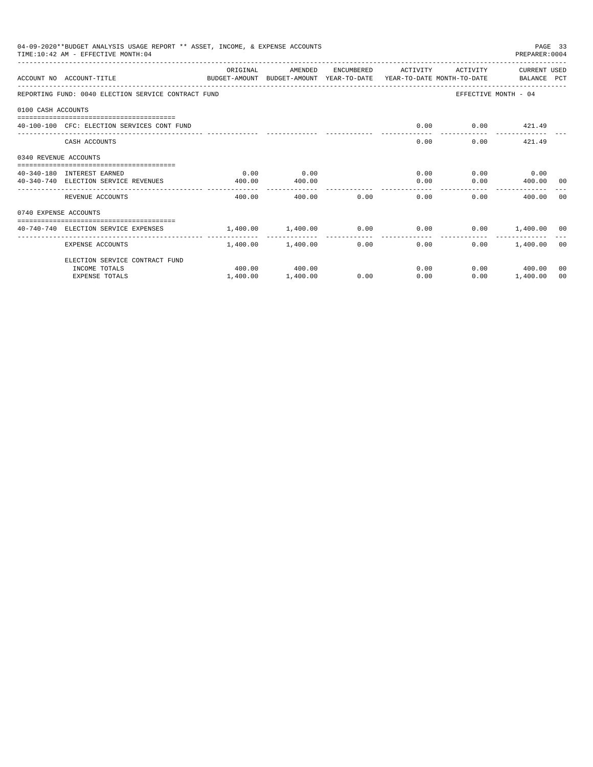|                       | 04-09-2020**BUDGET ANALYSIS USAGE REPORT ** ASSET, INCOME, & EXPENSE ACCOUNTS<br>TIME: 10:42 AM - EFFECTIVE MONTH: 04 |                                                                    |                   |      |                     |                      | PREPARER: 0004       | PAGE 33 |
|-----------------------|-----------------------------------------------------------------------------------------------------------------------|--------------------------------------------------------------------|-------------------|------|---------------------|----------------------|----------------------|---------|
|                       | ACCOUNT NO ACCOUNT-TITLE<br>BUDGET-AMOUNT BUDGET-AMOUNT YEAR-TO-DATE YEAR-TO-DATE MONTH-TO-DATE   BALANCE PCT         | ORIGINAL                                                           | AMENDED           |      | ENCUMBERED ACTIVITY | ACTIVITY             | CURRENT USED         |         |
|                       | REPORTING FUND: 0040 ELECTION SERVICE CONTRACT FUND                                                                   |                                                                    |                   |      |                     |                      | EFFECTIVE MONTH - 04 |         |
| 0100 CASH ACCOUNTS    |                                                                                                                       |                                                                    |                   |      |                     |                      |                      |         |
|                       | 40-100-100 CFC: ELECTION SERVICES CONT FUND                                                                           |                                                                    |                   |      | 0.00                |                      | $0.00$ $421.49$      |         |
|                       | CASH ACCOUNTS                                                                                                         |                                                                    |                   |      |                     | 0.00                 | $0.00$ $421.49$      |         |
| 0340 REVENUE ACCOUNTS |                                                                                                                       |                                                                    |                   |      |                     |                      |                      |         |
|                       | 40-340-180 INTEREST EARNED                                                                                            | 0.00                                                               | 0.00              |      |                     | $0.00$ $0.00$ $0.00$ |                      |         |
|                       | 40-340-740 ELECTION SERVICE REVENUES                                                                                  | 400.00                                                             | 400.00            |      |                     | 0.00                 | $0.00$ 400.00 00     |         |
|                       | REVENUE ACCOUNTS                                                                                                      | 400.00                                                             | 400.00            | 0.00 | 0.00                |                      | 0.00<br>400.00       | - 0.0   |
| 0740 EXPENSE ACCOUNTS |                                                                                                                       |                                                                    |                   |      |                     |                      |                      |         |
|                       | 40-740-740 ELECTION SERVICE EXPENSES                                                                                  | $1.400.00$ $1.400.00$ $0.00$ $0.00$ $0.00$ $0.00$ $1.400.00$ $0.0$ |                   |      |                     |                      |                      |         |
|                       | <b>EXPENSE ACCOUNTS</b>                                                                                               |                                                                    | 1,400.00 1,400.00 |      | $0.00$ and $0.00$   | 0.00                 | $0.00$ 1,400.00 00   |         |
|                       | ELECTION SERVICE CONTRACT FUND                                                                                        |                                                                    |                   |      |                     |                      |                      |         |
|                       | INCOME TOTALS                                                                                                         |                                                                    | 400.00 400.00     |      |                     | 0.00                 | $0.00$ 400.00        | 00      |
|                       | <b>EXPENSE TOTALS</b>                                                                                                 | 1,400.00                                                           | 1,400.00          | 0.00 | 0.00                | 0.00                 | 1,400.00             | 00      |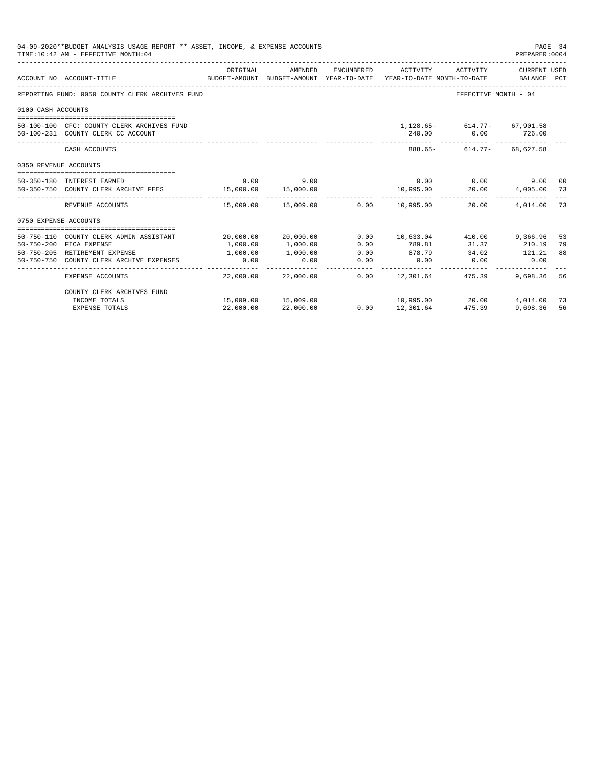|                       | 04-09-2020**BUDGET ANALYSIS USAGE REPORT ** ASSET, INCOME, & EXPENSE ACCOUNTS<br>TIME: 10:42 AM - EFFECTIVE MONTH: 04 |           |                     |              |                           |                                 | PAGE 34<br>PREPARER: 0004 |     |
|-----------------------|-----------------------------------------------------------------------------------------------------------------------|-----------|---------------------|--------------|---------------------------|---------------------------------|---------------------------|-----|
|                       |                                                                                                                       | ORIGINAL  | AMENDED             | ENCUMBERED   | ACTIVITY                  | ACTIVITY                        | CURRENT USED              |     |
|                       | ACCOUNT NO ACCOUNT-TITLE<br>BUDGET-AMOUNT BUDGET-AMOUNT YEAR-TO-DATE YEAR-TO-DATE MONTH-TO-DATE BALANCE PCT           |           |                     |              |                           |                                 |                           |     |
|                       | REPORTING FUND: 0050 COUNTY CLERK ARCHIVES FUND                                                                       |           |                     |              |                           | EFFECTIVE MONTH - 04            |                           |     |
| 0100 CASH ACCOUNTS    |                                                                                                                       |           |                     |              |                           |                                 |                           |     |
|                       | 50-100-100 CFC: COUNTY CLERK ARCHIVES FUND                                                                            |           |                     |              |                           | 1, 128.65 - 614.77 - 67, 901.58 |                           |     |
|                       | 50-100-231 COUNTY CLERK CC ACCOUNT                                                                                    |           |                     |              |                           | 240.00 0.00 726.00              |                           |     |
|                       | CASH ACCOUNTS                                                                                                         |           |                     |              |                           | 888.65- 614.77- 68.627.58       |                           |     |
| 0350 REVENUE ACCOUNTS |                                                                                                                       |           |                     |              |                           |                                 |                           |     |
|                       | 50-350-180 INTEREST EARNED                                                                                            | 9.00      | 9.00                |              |                           | $0.00$ 0.00                     | 9.00 00                   |     |
|                       | 50-350-750 COUNTY CLERK ARCHIVE FEES 15,000.00                                                                        |           | 15,000.00           |              | 10,995.00                 | 20.00                           | 4,005.00 73               |     |
|                       | REVENUE ACCOUNTS                                                                                                      |           | 15,009.00 15,009.00 |              | 0.00 10,995.00            | 20.00                           | 4,014.00                  | 73  |
| 0750 EXPENSE ACCOUNTS |                                                                                                                       |           |                     |              |                           |                                 |                           |     |
|                       | 50-750-110 COUNTY CLERK ADMIN ASSISTANT                                                                               |           | 20,000.00 20,000.00 | 0.00         | 10,633.04 410.00 9,366.96 |                                 |                           | 53  |
|                       | 50-750-200 FICA EXPENSE                                                                                               | 1,000.00  | 1,000.00            | 0.00         | 789.81                    | 31.37                           | 210.19                    | 79  |
|                       | 50-750-205 RETIREMENT EXPENSE                                                                                         | 1,000.00  | 1,000.00            | 0.00         | 878.79                    | 34.02                           | 121.21                    | 88  |
|                       | 50-750-750 COUNTY CLERK ARCHIVE EXPENSES                                                                              | 0.00      | 0.00                | 0.00         | 0.00                      | $0.00$ 0.00                     |                           |     |
|                       | <b>EXPENSE ACCOUNTS</b>                                                                                               |           | 22,000.00 22,000.00 | ____________ | $0.00$ 12,301.64 475.39   | ------------                    | 9,698.36                  | 56  |
|                       | COUNTY CLERK ARCHIVES FUND                                                                                            |           |                     |              |                           |                                 |                           |     |
|                       | INCOME TOTALS                                                                                                         |           | 15,009.00 15,009.00 |              | 10,995.00 20.00           |                                 | 4,014.00                  | -73 |
|                       | <b>EXPENSE TOTALS</b>                                                                                                 | 22,000.00 | 22,000.00           | 0.00         | 12,301.64                 | 475.39                          | 9,698.36                  | 56  |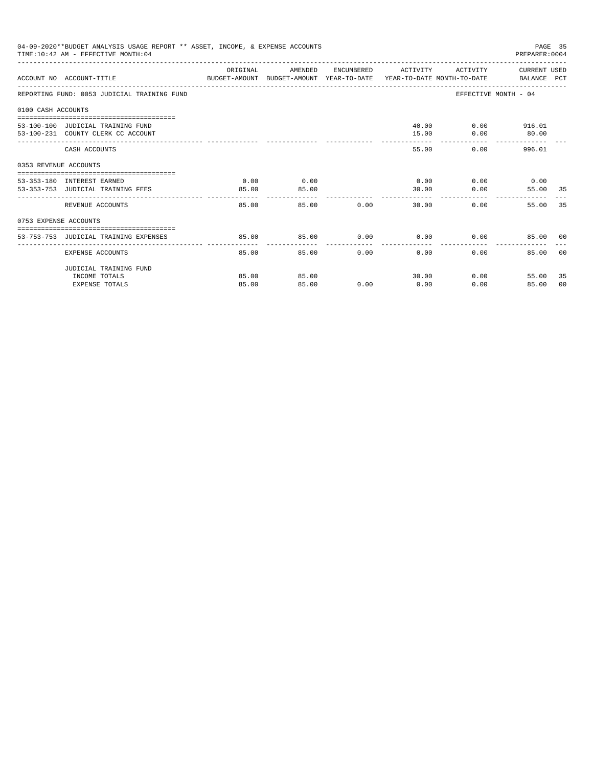|                       | 04-09-2020**BUDGET ANALYSIS USAGE REPORT ** ASSET, INCOME, & EXPENSE ACCOUNTS<br>TIME:10:42 AM - EFFECTIVE MONTH:04 |          |         |       |                      |          | PREPARER: 0004                | PAGE 35 |
|-----------------------|---------------------------------------------------------------------------------------------------------------------|----------|---------|-------|----------------------|----------|-------------------------------|---------|
|                       | ACCOUNT NO ACCOUNT-TITLE CONTROL PROTECT-AMOUNT BUDGET-AMOUNT YEAR-TO-DATE YEAR-TO-DATE MONTH-TO-DATE BALANCE PCT   | ORIGINAL | AMENDED |       | ENCUMBERED ACTIVITY  |          | ACTIVITY CURRENT USED         |         |
|                       | REPORTING FUND: 0053 JUDICIAL TRAINING FUND                                                                         |          |         |       |                      |          | EFFECTIVE MONTH - 04          |         |
| 0100 CASH ACCOUNTS    |                                                                                                                     |          |         |       |                      |          |                               |         |
|                       |                                                                                                                     |          |         |       |                      |          |                               |         |
|                       | 53-100-100 JUDICIAL TRAINING FUND                                                                                   |          |         |       |                      |          | 40.00 0.00 916.01             |         |
|                       | 53-100-231 COUNTY CLERK CC ACCOUNT                                                                                  |          |         |       | 15.00                | 0.00     | 80.00                         |         |
|                       | CASH ACCOUNTS                                                                                                       |          |         |       | 55.00                |          | 0.00<br>996.01                |         |
| 0353 REVENUE ACCOUNTS |                                                                                                                     |          |         |       |                      |          |                               |         |
|                       | 53-353-180 INTEREST EARNED                                                                                          | 0.00     | 0.00    |       |                      |          | $0.00$ $0.00$ $0.00$ $0.00$   |         |
|                       | 53-353-753 JUDICIAL TRAINING FEES                                                                                   | 85.00    | 85.00   |       | 30.00                | 0.00     | 55.00 35                      |         |
|                       |                                                                                                                     | -------  |         |       |                      |          |                               |         |
|                       | REVENUE ACCOUNTS                                                                                                    | 85.00    |         | 85.00 | 0.00<br>30.00        |          | 55.00 35<br>$0.00$ and $0.00$ |         |
| 0753 EXPENSE ACCOUNTS |                                                                                                                     |          |         |       |                      |          |                               |         |
|                       |                                                                                                                     |          |         |       |                      |          |                               |         |
|                       | 53-753-753 JUDICIAL TRAINING EXPENSES                                                                               | 85.00    | 85.00   |       | $0.00$ $0.00$ $0.00$ |          | 85.00 00                      |         |
|                       | EXPENSE ACCOUNTS                                                                                                    | 85.00    | 85.00   | 0.00  | $0.00 -$             | $0.00 -$ | 85.00                         | - 0.0   |
|                       | JUDICIAL TRAINING FUND                                                                                              |          |         |       |                      |          |                               |         |
|                       | INCOME TOTALS                                                                                                       | 85.00    | 85.00   |       | 30.00                |          | $0.00$ and $0.00$<br>55.00    | 35      |
|                       | <b>EXPENSE TOTALS</b>                                                                                               | 85.00    | 85.00   | 0.00  | 0.00                 | 0.00     | 85.00                         | 00      |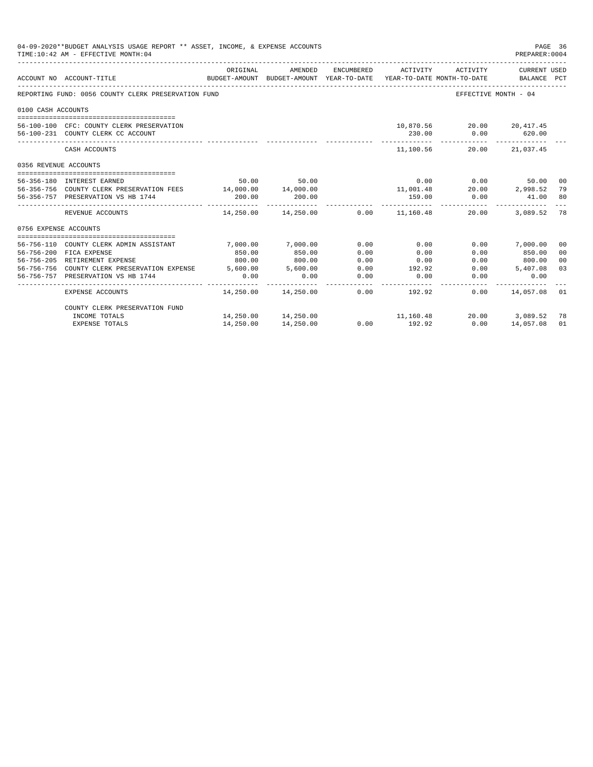|                       | 04-09-2020**BUDGET ANALYSIS USAGE REPORT ** ASSET, INCOME, & EXPENSE ACCOUNTS<br>PAGE 36<br>TIME: 10:42 AM - EFFECTIVE MONTH: 04<br>PREPARER: 0004<br>ORIGINAL<br>AMENDED<br>ENCUMBERED<br>ACTIVITY<br>CURRENT USED<br>ACTIVITY<br>ACCOUNT NO ACCOUNT-TITLE<br>BUDGET-AMOUNT BUDGET-AMOUNT YEAR-TO-DATE<br>YEAR-TO-DATE MONTH-TO-DATE<br>BALANCE PCT |            |                                            |      |               |                                |                      |                |  |
|-----------------------|------------------------------------------------------------------------------------------------------------------------------------------------------------------------------------------------------------------------------------------------------------------------------------------------------------------------------------------------------|------------|--------------------------------------------|------|---------------|--------------------------------|----------------------|----------------|--|
|                       |                                                                                                                                                                                                                                                                                                                                                      |            |                                            |      |               |                                |                      |                |  |
|                       | REPORTING FUND: 0056 COUNTY CLERK PRESERVATION FUND                                                                                                                                                                                                                                                                                                  |            |                                            |      |               |                                | EFFECTIVE MONTH - 04 |                |  |
| 0100 CASH ACCOUNTS    |                                                                                                                                                                                                                                                                                                                                                      |            |                                            |      |               |                                |                      |                |  |
|                       |                                                                                                                                                                                                                                                                                                                                                      |            |                                            |      |               |                                |                      |                |  |
|                       | 56-100-100 CFC: COUNTY CLERK PRESERVATION                                                                                                                                                                                                                                                                                                            |            |                                            |      |               | 10,870.56 20.00 20,417.45      |                      |                |  |
|                       | 56-100-231 COUNTY CLERK CC ACCOUNT                                                                                                                                                                                                                                                                                                                   |            |                                            |      | 230.00        |                                | $0.00$ 620.00        |                |  |
|                       | CASH ACCOUNTS                                                                                                                                                                                                                                                                                                                                        |            |                                            |      |               | 11.100.56 20.00 21.037.45      |                      |                |  |
| 0356 REVENUE ACCOUNTS |                                                                                                                                                                                                                                                                                                                                                      |            |                                            |      |               |                                |                      |                |  |
|                       | 56-356-180 INTEREST EARNED                                                                                                                                                                                                                                                                                                                           |            | 50.00 50.00                                |      |               | $0.00$ 0.00                    | 50.00 00             |                |  |
|                       | 56-356-756 COUNTY CLERK PRESERVATION FEES 14,000.00 14,000.00                                                                                                                                                                                                                                                                                        |            |                                            |      |               | $11,001.48$ $20.00$ $2,998.52$ |                      | 79             |  |
|                       | 56-356-757 PRESERVATION VS HB 1744                                                                                                                                                                                                                                                                                                                   | 200.00     | 200.00                                     |      | 159.00        | 0.00                           | 41.00                | 80             |  |
|                       | REVENUE ACCOUNTS                                                                                                                                                                                                                                                                                                                                     | ---------- | $14.250.00$ $14.250.00$ $0.00$ $11.160.48$ |      |               | 20.00                          | 3,089.52             | 78             |  |
| 0756 EXPENSE ACCOUNTS |                                                                                                                                                                                                                                                                                                                                                      |            |                                            |      |               |                                |                      |                |  |
|                       |                                                                                                                                                                                                                                                                                                                                                      |            |                                            |      |               |                                |                      |                |  |
|                       | 56-756-110 COUNTY CLERK ADMIN ASSISTANT                                                                                                                                                                                                                                                                                                              | 7.000.00   | 7,000.00                                   | 0.00 | 0.00          |                                | $0.00$ 7,000.00      | 00             |  |
|                       | 56-756-200 FICA EXPENSE                                                                                                                                                                                                                                                                                                                              | 850.00     | 850.00                                     | 0.00 | 0.00          | 0.00                           | 850.00               | 0 <sup>0</sup> |  |
|                       | 56-756-205 RETIREMENT EXPENSE                                                                                                                                                                                                                                                                                                                        | 800.00     | 800.00                                     | 0.00 | 0.00          |                                | $0.00$ 800.00        | 00             |  |
|                       | 56-756-756 COUNTY CLERK PRESERVATION EXPENSE 5,600.00                                                                                                                                                                                                                                                                                                |            | 5,600.00                                   | 0.00 | 192.92        | 0.00                           | 5,407.08             | 03             |  |
|                       | 56-756-757 PRESERVATION VS HB 1744                                                                                                                                                                                                                                                                                                                   | 0.00       | 0.00                                       | 0.00 | 0.00          | 0.00                           | 0.00                 |                |  |
|                       | EXPENSE ACCOUNTS                                                                                                                                                                                                                                                                                                                                     |            | 14,250.00  14,250.00                       |      | $0.00$ 192.92 |                                | $0.00$ 14,057.08     | 01             |  |
|                       | COUNTY CLERK PRESERVATION FUND                                                                                                                                                                                                                                                                                                                       |            |                                            |      |               |                                |                      |                |  |
|                       | INCOME TOTALS                                                                                                                                                                                                                                                                                                                                        |            | 14,250.00 14,250.00                        |      | 11,160.48     |                                | 20.00 3,089.52       | 78             |  |
|                       | <b>EXPENSE TOTALS</b>                                                                                                                                                                                                                                                                                                                                | 14,250.00  | 14,250.00                                  | 0.00 | 192.92        | 0.00                           | 14,057.08            | 01             |  |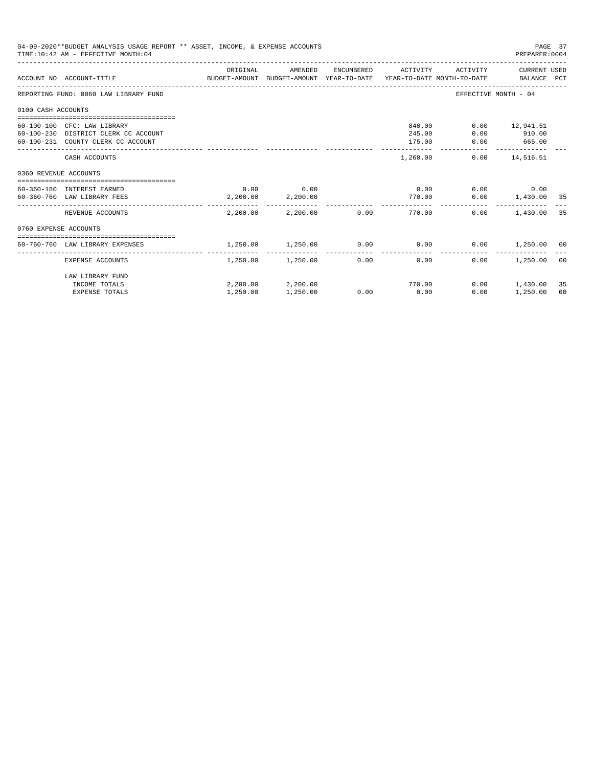| 04-09-2020**BUDGET ANALYSIS USAGE REPORT ** ASSET, INCOME, & EXPENSE ACCOUNTS<br>PAGE 37<br>TIME: 10:42 AM - EFFECTIVE MONTH: 04<br>PREPARER: 0004<br>ORIGINAL<br>AMENDED<br>ACTIVITY CURRENT USED<br>ENCUMBERED ACTIVITY<br>ACCOUNT NO ACCOUNT-TITLE CONTROL SUDGET-AMOUNT BUDGET-AMOUNT YEAR-TO-DATE YEAR-TO-DATE MONTH-TO-DATE BALANCE PCT<br>REPORTING FUND: 0060 LAW LIBRARY FUND<br>EFFECTIVE MONTH - 04<br>0100 CASH ACCOUNTS<br>60-100-100 CFC: LAW LIBRARY<br>840.00<br>$0.00$ 12,941.51<br>60-100-230 DISTRICT CLERK CC ACCOUNT<br>0.00<br>910.00<br>245.00<br>60-100-231 COUNTY CLERK CC ACCOUNT<br>175.00<br>$0.00$ 665.00<br>-------------<br>1,260.00<br>$0.00$ 14,516.51<br>CASH ACCOUNTS<br>0360 REVENUE ACCOUNTS<br>$0.00$ 0.00<br>0.00<br>$0.00$ 0.00<br>60-360-180 INTEREST EARNED<br>2,200.00 2,200.00<br>$0.00$ 1,430.00 35<br>770.00<br>60-360-760 LAW LIBRARY FEES<br>$2.200.00$ $2.200.00$ 0.00<br>770.00<br>0.00<br>1,430.00<br>35<br>REVENUE ACCOUNTS<br>0760 EXPENSE ACCOUNTS |                                 |                   |                        |      |             |      |                    |                |
|----------------------------------------------------------------------------------------------------------------------------------------------------------------------------------------------------------------------------------------------------------------------------------------------------------------------------------------------------------------------------------------------------------------------------------------------------------------------------------------------------------------------------------------------------------------------------------------------------------------------------------------------------------------------------------------------------------------------------------------------------------------------------------------------------------------------------------------------------------------------------------------------------------------------------------------------------------------------------------------------------------|---------------------------------|-------------------|------------------------|------|-------------|------|--------------------|----------------|
|                                                                                                                                                                                                                                                                                                                                                                                                                                                                                                                                                                                                                                                                                                                                                                                                                                                                                                                                                                                                          |                                 |                   |                        |      |             |      |                    |                |
|                                                                                                                                                                                                                                                                                                                                                                                                                                                                                                                                                                                                                                                                                                                                                                                                                                                                                                                                                                                                          |                                 |                   |                        |      |             |      |                    |                |
|                                                                                                                                                                                                                                                                                                                                                                                                                                                                                                                                                                                                                                                                                                                                                                                                                                                                                                                                                                                                          |                                 |                   |                        |      |             |      |                    |                |
|                                                                                                                                                                                                                                                                                                                                                                                                                                                                                                                                                                                                                                                                                                                                                                                                                                                                                                                                                                                                          |                                 |                   |                        |      |             |      |                    |                |
|                                                                                                                                                                                                                                                                                                                                                                                                                                                                                                                                                                                                                                                                                                                                                                                                                                                                                                                                                                                                          |                                 |                   |                        |      |             |      |                    |                |
|                                                                                                                                                                                                                                                                                                                                                                                                                                                                                                                                                                                                                                                                                                                                                                                                                                                                                                                                                                                                          |                                 |                   |                        |      |             |      |                    |                |
|                                                                                                                                                                                                                                                                                                                                                                                                                                                                                                                                                                                                                                                                                                                                                                                                                                                                                                                                                                                                          |                                 |                   |                        |      |             |      |                    |                |
|                                                                                                                                                                                                                                                                                                                                                                                                                                                                                                                                                                                                                                                                                                                                                                                                                                                                                                                                                                                                          |                                 |                   |                        |      |             |      |                    |                |
|                                                                                                                                                                                                                                                                                                                                                                                                                                                                                                                                                                                                                                                                                                                                                                                                                                                                                                                                                                                                          |                                 |                   |                        |      |             |      |                    |                |
|                                                                                                                                                                                                                                                                                                                                                                                                                                                                                                                                                                                                                                                                                                                                                                                                                                                                                                                                                                                                          |                                 |                   |                        |      |             |      |                    |                |
|                                                                                                                                                                                                                                                                                                                                                                                                                                                                                                                                                                                                                                                                                                                                                                                                                                                                                                                                                                                                          |                                 |                   |                        |      |             |      |                    |                |
|                                                                                                                                                                                                                                                                                                                                                                                                                                                                                                                                                                                                                                                                                                                                                                                                                                                                                                                                                                                                          |                                 |                   |                        |      |             |      |                    |                |
|                                                                                                                                                                                                                                                                                                                                                                                                                                                                                                                                                                                                                                                                                                                                                                                                                                                                                                                                                                                                          |                                 |                   |                        |      |             |      |                    |                |
|                                                                                                                                                                                                                                                                                                                                                                                                                                                                                                                                                                                                                                                                                                                                                                                                                                                                                                                                                                                                          |                                 |                   |                        |      |             |      |                    |                |
|                                                                                                                                                                                                                                                                                                                                                                                                                                                                                                                                                                                                                                                                                                                                                                                                                                                                                                                                                                                                          | 60-760-760 LAW LIBRARY EXPENSES | 1,250.00 1,250.00 |                        |      | $0.00$ 0.00 |      | $0.00$ 1,250.00 00 |                |
|                                                                                                                                                                                                                                                                                                                                                                                                                                                                                                                                                                                                                                                                                                                                                                                                                                                                                                                                                                                                          | EXPENSE ACCOUNTS                |                   | 1,250.00 1,250.00 0.00 |      | 0.00        | 0.00 | 1,250.00           | 0 <sup>0</sup> |
|                                                                                                                                                                                                                                                                                                                                                                                                                                                                                                                                                                                                                                                                                                                                                                                                                                                                                                                                                                                                          | LAW LIBRARY FUND                |                   |                        |      |             |      |                    |                |
|                                                                                                                                                                                                                                                                                                                                                                                                                                                                                                                                                                                                                                                                                                                                                                                                                                                                                                                                                                                                          | INCOME TOTALS                   |                   | 2,200.00 2,200.00      |      | 770.00      | 0.00 | 1,430.00           | 35             |
|                                                                                                                                                                                                                                                                                                                                                                                                                                                                                                                                                                                                                                                                                                                                                                                                                                                                                                                                                                                                          | <b>EXPENSE TOTALS</b>           | 1,250.00          | 1,250.00               | 0.00 | 0.00        | 0.00 | 1,250.00           | 00             |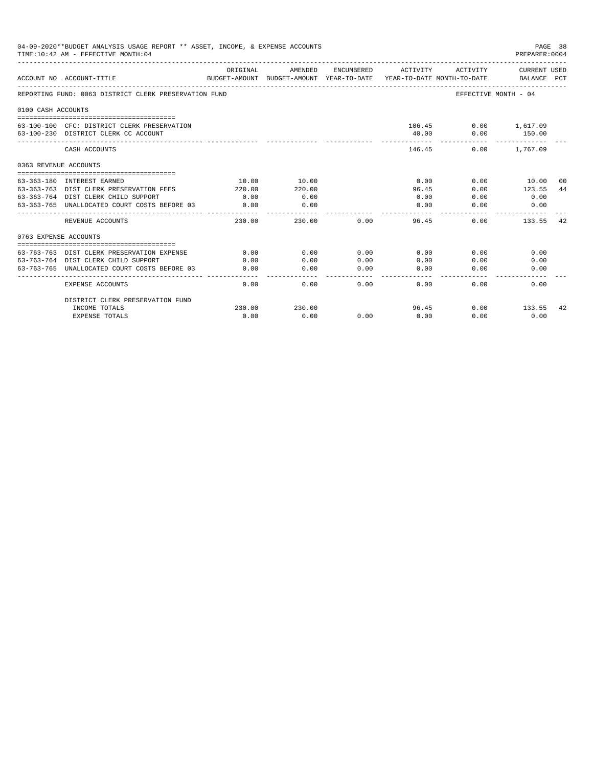|                       | 04-09-2020**BUDGET ANALYSIS USAGE REPORT ** ASSET, INCOME, & EXPENSE ACCOUNTS<br>TIME: 10:42 AM - EFFECTIVE MONTH: 04 |                                                                     |         |            |               |          | PAGE 38<br>PREPARER: 0004 |    |
|-----------------------|-----------------------------------------------------------------------------------------------------------------------|---------------------------------------------------------------------|---------|------------|---------------|----------|---------------------------|----|
|                       |                                                                                                                       | ORIGINAL                                                            | AMENDED | ENCUMBERED | ACTIVITY      | ACTIVITY | CURRENT USED              |    |
|                       | ACCOUNT NO ACCOUNT-TITLE                                                                                              | BUDGET-AMOUNT BUDGET-AMOUNT YEAR-TO-DATE YEAR-TO-DATE MONTH-TO-DATE |         |            |               |          | BALANCE PCT               |    |
|                       | REPORTING FUND: 0063 DISTRICT CLERK PRESERVATION FUND                                                                 |                                                                     |         |            |               |          | EFFECTIVE MONTH - 04      |    |
| 0100 CASH ACCOUNTS    |                                                                                                                       |                                                                     |         |            |               |          |                           |    |
|                       |                                                                                                                       |                                                                     |         |            |               |          |                           |    |
|                       | 63-100-100 CFC: DISTRICT CLERK PRESERVATION                                                                           |                                                                     |         |            |               |          | 106.45   0.00   1,617.09  |    |
|                       | 63-100-230 DISTRICT CLERK CC ACCOUNT                                                                                  |                                                                     |         |            | 40.00         | 0.00     | 150.00                    |    |
|                       | CASH ACCOUNTS                                                                                                         |                                                                     |         |            | 146.45        | 0.00     | 1,767.09                  |    |
| 0363 REVENUE ACCOUNTS |                                                                                                                       |                                                                     |         |            |               |          |                           |    |
|                       |                                                                                                                       |                                                                     |         |            |               |          |                           |    |
|                       | 63-363-180 INTEREST EARNED                                                                                            | 10.00                                                               | 10.00   |            | 0.00          | 0.00     | 10.00                     | 00 |
|                       | 63-363-763 DIST CLERK PRESERVATION FEES                                                                               | 220.00                                                              | 220.00  |            | 96.45         | 0.00     | 123.55                    | 44 |
|                       | 63-363-764 DIST CLERK CHILD SUPPORT                                                                                   | 0.00                                                                | 0.00    |            | 0.00          | 0.00     | 0.00                      |    |
|                       | 63-363-765 UNALLOCATED COURT COSTS BEFORE 03                                                                          | 0.00                                                                | 0.00    |            | 0.00          | 0.00     | 0.00                      |    |
|                       | REVENUE ACCOUNTS                                                                                                      | 230.00                                                              | 230.00  | 0.00       | 96.45         | 0.00     | 133.55                    | 42 |
| 0763 EXPENSE ACCOUNTS |                                                                                                                       |                                                                     |         |            |               |          |                           |    |
|                       |                                                                                                                       |                                                                     |         |            |               |          |                           |    |
| $63 - 763 - 763$      | DIST CLERK PRESERVATION EXPENSE                                                                                       | 0.00                                                                | 0.00    | 0.00       | 0.00          | 0.00     | 0.00                      |    |
|                       | 63-763-764 DIST CLERK CHILD SUPPORT                                                                                   | 0.00                                                                | 0.00    | 0.00       | 0.00          | 0.00     | 0.00                      |    |
|                       | 63-763-765 UNALLOCATED COURT COSTS BEFORE 03                                                                          | 0.00                                                                | 0.00    | 0.00       | 0.00<br>----- | 0.00     | 0.00                      |    |
|                       | <b>EXPENSE ACCOUNTS</b>                                                                                               | 0.00                                                                | 0.00    | 0.00       | 0.00          | 0.00     | 0.00                      |    |
|                       | DISTRICT CLERK PRESERVATION FUND                                                                                      |                                                                     |         |            |               |          |                           |    |
|                       | INCOME TOTALS                                                                                                         | 230.00                                                              | 230.00  |            | 96.45         | 0.00     | 133.55                    | 42 |
|                       | <b>EXPENSE TOTALS</b>                                                                                                 | 0.00                                                                | 0.00    | 0.00       | 0.00          | 0.00     | 0.00                      |    |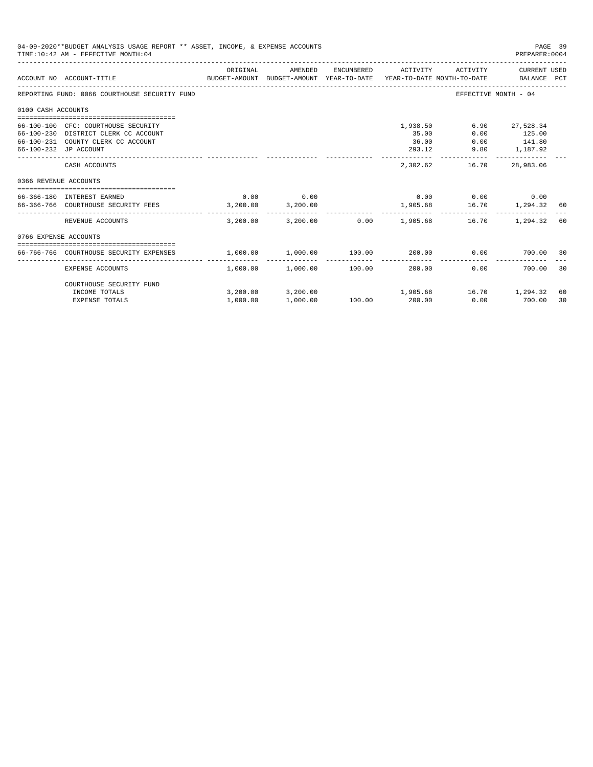| 04-09-2020**BUDGET ANALYSIS USAGE REPORT ** ASSET, INCOME, & EXPENSE ACCOUNTS<br>PAGE 39<br>TIME: 10:42 AM - EFFECTIVE MONTH: 04<br>PREPARER: 0004<br>AMENDED<br>CURRENT USED<br>ORIGINAL<br>ENCUMBERED<br>ACTIVITY<br>ACTIVITY<br>ACCOUNT NO ACCOUNT-TITLE<br>BUDGET-AMOUNT BUDGET-AMOUNT YEAR-TO-DATE YEAR-TO-DATE MONTH-TO-DATE BALANCE PCT<br>REPORTING FUND: 0066 COURTHOUSE SECURITY FUND<br>EFFECTIVE MONTH - 04<br>0100 CASH ACCOUNTS<br>1,938.50<br>6.90<br>27,528.34<br>66-100-100 CFC: COURTHOUSE SECURITY<br>66-100-230 DISTRICT CLERK CC ACCOUNT<br>35.00<br>0.00<br>125.00<br>66-100-231 COUNTY CLERK CC ACCOUNT<br>36.00<br>$0.00$ 141.80<br>9.80 1,187.92<br>66-100-232 JP ACCOUNT<br>293.12<br>------------<br>CASH ACCOUNTS<br>2,302.62<br>16.70<br>28,983.06<br>0366 REVENUE ACCOUNTS<br>0.00<br>$0.00$ $0.00$ $0.00$ $0.00$<br>0.00<br>66-366-180 INTEREST EARNED<br>3,200.00<br>16.70 1,294.32 60<br>66-366-766 COURTHOUSE SECURITY FEES 3,200.00<br>1,905.68<br>REVENUE ACCOUNTS<br>3.200.00<br>3,200.00 0.00 1,905.68<br>16.70<br>1,294.32<br>60<br>0766 EXPENSE ACCOUNTS |                      |                                                      |        |                          |                |           |          |
|--------------------------------------------------------------------------------------------------------------------------------------------------------------------------------------------------------------------------------------------------------------------------------------------------------------------------------------------------------------------------------------------------------------------------------------------------------------------------------------------------------------------------------------------------------------------------------------------------------------------------------------------------------------------------------------------------------------------------------------------------------------------------------------------------------------------------------------------------------------------------------------------------------------------------------------------------------------------------------------------------------------------------------------------------------------------------------------------------|----------------------|------------------------------------------------------|--------|--------------------------|----------------|-----------|----------|
|                                                                                                                                                                                                                                                                                                                                                                                                                                                                                                                                                                                                                                                                                                                                                                                                                                                                                                                                                                                                                                                                                                  |                      |                                                      |        |                          |                |           |          |
|                                                                                                                                                                                                                                                                                                                                                                                                                                                                                                                                                                                                                                                                                                                                                                                                                                                                                                                                                                                                                                                                                                  |                      |                                                      |        |                          |                |           |          |
|                                                                                                                                                                                                                                                                                                                                                                                                                                                                                                                                                                                                                                                                                                                                                                                                                                                                                                                                                                                                                                                                                                  |                      |                                                      |        |                          |                |           |          |
|                                                                                                                                                                                                                                                                                                                                                                                                                                                                                                                                                                                                                                                                                                                                                                                                                                                                                                                                                                                                                                                                                                  |                      |                                                      |        |                          |                |           |          |
|                                                                                                                                                                                                                                                                                                                                                                                                                                                                                                                                                                                                                                                                                                                                                                                                                                                                                                                                                                                                                                                                                                  |                      |                                                      |        |                          |                |           |          |
|                                                                                                                                                                                                                                                                                                                                                                                                                                                                                                                                                                                                                                                                                                                                                                                                                                                                                                                                                                                                                                                                                                  |                      |                                                      |        |                          |                |           |          |
|                                                                                                                                                                                                                                                                                                                                                                                                                                                                                                                                                                                                                                                                                                                                                                                                                                                                                                                                                                                                                                                                                                  |                      |                                                      |        |                          |                |           |          |
|                                                                                                                                                                                                                                                                                                                                                                                                                                                                                                                                                                                                                                                                                                                                                                                                                                                                                                                                                                                                                                                                                                  |                      |                                                      |        |                          |                |           |          |
|                                                                                                                                                                                                                                                                                                                                                                                                                                                                                                                                                                                                                                                                                                                                                                                                                                                                                                                                                                                                                                                                                                  |                      |                                                      |        |                          |                |           |          |
| 66-766-766 COURTHOUSE SECURITY EXPENSES                                                                                                                                                                                                                                                                                                                                                                                                                                                                                                                                                                                                                                                                                                                                                                                                                                                                                                                                                                                                                                                          | 1,000.00             | 1,000.00 100.00                                      |        |                          | 200.00<br>0.00 | 700.00 30 |          |
| <b>EXPENSE ACCOUNTS</b>                                                                                                                                                                                                                                                                                                                                                                                                                                                                                                                                                                                                                                                                                                                                                                                                                                                                                                                                                                                                                                                                          |                      | -------------<br>$1,000.00$ $1,000.00$ $100.00$      |        | --------------<br>200.00 | 0.00           | 700.00    | 30       |
| COURTHOUSE SECURITY FUND                                                                                                                                                                                                                                                                                                                                                                                                                                                                                                                                                                                                                                                                                                                                                                                                                                                                                                                                                                                                                                                                         |                      |                                                      |        |                          |                |           |          |
| INCOME TOTALS<br><b>EXPENSE TOTALS</b>                                                                                                                                                                                                                                                                                                                                                                                                                                                                                                                                                                                                                                                                                                                                                                                                                                                                                                                                                                                                                                                           | 3,200,00<br>1,000.00 | $3,200.00$ $1,905.68$ $16.70$ $1,294.32$<br>1,000.00 | 100.00 | 200.00                   | 0.00           | 700.00    | 60<br>30 |
|                                                                                                                                                                                                                                                                                                                                                                                                                                                                                                                                                                                                                                                                                                                                                                                                                                                                                                                                                                                                                                                                                                  |                      |                                                      |        |                          |                |           |          |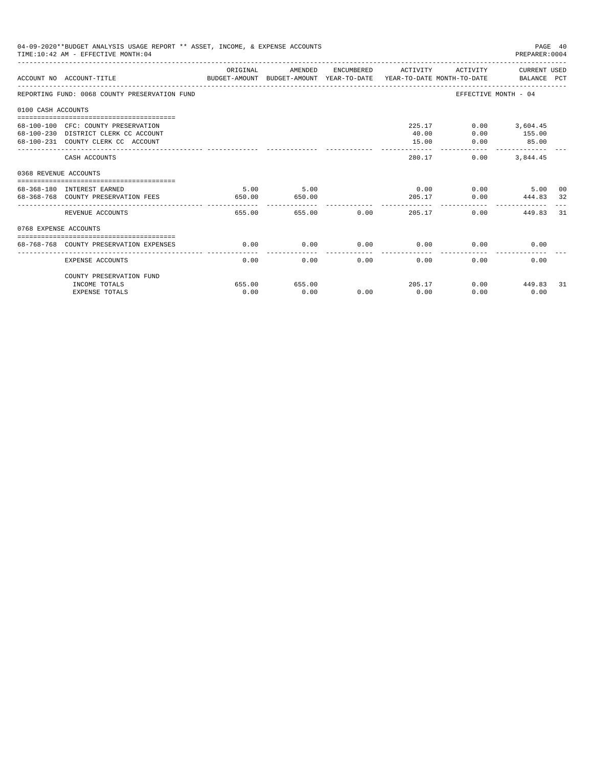|                       | 04-09-2020**BUDGET ANALYSIS USAGE REPORT ** ASSET, INCOME, & EXPENSE ACCOUNTS<br>TIME: 10:42 AM - EFFECTIVE MONTH: 04  |                |                                 |             |                                  |                        | PAGE 40<br>PREPARER: 0004                           |     |
|-----------------------|------------------------------------------------------------------------------------------------------------------------|----------------|---------------------------------|-------------|----------------------------------|------------------------|-----------------------------------------------------|-----|
|                       | ACCOUNT NO ACCOUNT-TITLE COMPARENT AND BUDGET-AMOUNT BUDGET-AMOUNT YEAR-TO-DATE YEAR-TO-DATE MONTH-TO-DATE BALANCE PCT | ORIGINAL       | AMENDED                         |             | ENCUMBERED ACTIVITY              |                        | ACTIVITY CURRENT USED                               |     |
|                       | REPORTING FUND: 0068 COUNTY PRESERVATION FUND                                                                          |                |                                 |             |                                  |                        | EFFECTIVE MONTH - 04                                |     |
| 0100 CASH ACCOUNTS    |                                                                                                                        |                |                                 |             |                                  |                        |                                                     |     |
|                       | 68-100-100 CFC: COUNTY PRESERVATION<br>68-100-230 DISTRICT CLERK CC ACCOUNT<br>68-100-231 COUNTY CLERK CC ACCOUNT      |                |                                 |             | 40.00<br>15.00<br>-------------- | 225.17<br>0.00<br>0.00 | $0.00$ 3,604.45<br>155.00<br>85.00<br>------------- |     |
|                       | CASH ACCOUNTS                                                                                                          |                |                                 |             |                                  | 280.17<br>0.00         | 3,844.45                                            |     |
| 0368 REVENUE ACCOUNTS |                                                                                                                        |                |                                 |             |                                  |                        |                                                     |     |
|                       | 68-368-180 INTEREST EARNED<br>68-368-768 COUNTY PRESERVATION FEES                                                      | 5.00<br>650.00 | 5.00<br>650.00<br>------------- |             |                                  | $0.00$ 0.00<br>205.17  | 5.00<br>0.00 444.83 32                              | 00  |
|                       | REVENUE ACCOUNTS                                                                                                       | 655.00         |                                 | 655.00 0.00 |                                  | 205.17                 | 0.00<br>449.83                                      | 31  |
| 0768 EXPENSE ACCOUNTS |                                                                                                                        |                |                                 |             |                                  |                        |                                                     |     |
|                       | 68-768-768 COUNTY PRESERVATION EXPENSES                                                                                | 0.00           | 0.00                            |             | $0.00$ 0.00                      |                        | 0.00<br>0.00                                        |     |
|                       | <b>EXPENSE ACCOUNTS</b>                                                                                                | 0.00           | 0.00                            | 0.00        | 0.00                             | 0.00                   | 0.00                                                |     |
|                       | COUNTY PRESERVATION FUND                                                                                               |                |                                 |             |                                  |                        |                                                     |     |
|                       | INCOME TOTALS                                                                                                          | 655.00         | 655.00                          |             |                                  | 205.17                 | $0.00$ 449.83                                       | -31 |
|                       | <b>EXPENSE TOTALS</b>                                                                                                  | 0.00           | 0.00                            | 0.00        | 0.00                             | 0.00                   | 0.00                                                |     |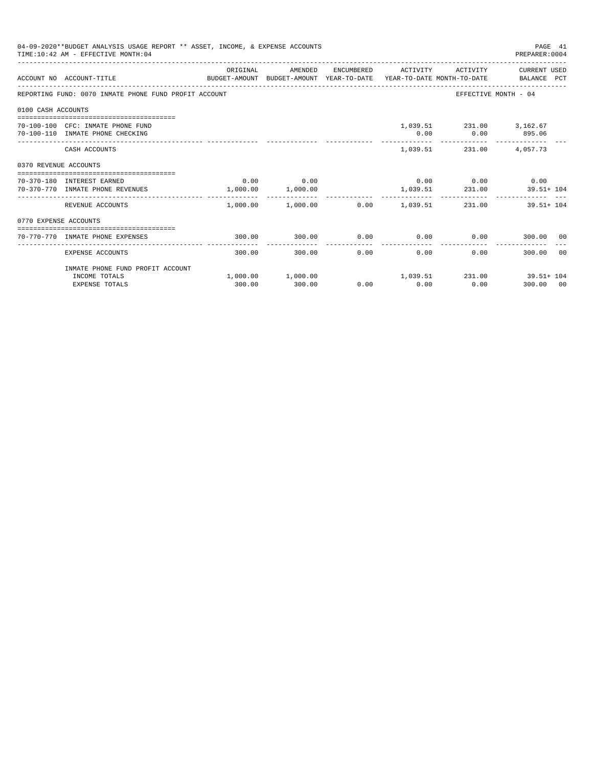| 04-09-2020**BUDGET ANALYSIS USAGE REPORT ** ASSET, INCOME, & EXPENSE ACCOUNTS<br>PAGE 41<br>TIME: 10:42 AM - EFFECTIVE MONTH: 04<br>PREPARER: 0004<br>ORIGINAL<br>AMENDED<br>ENCUMBERED ACTIVITY ACTIVITY CURRENT USED<br>BUDGET-AMOUNT BUDGET-AMOUNT YEAR-TO-DATE YEAR-TO-DATE MONTH-TO-DATE BALANCE PCT<br>ACCOUNT NO ACCOUNT-TITLE<br>EFFECTIVE MONTH - 04<br>REPORTING FUND: 0070 INMATE PHONE FUND PROFIT ACCOUNT<br>0100 CASH ACCOUNTS<br>1,039.51 231.00 3,162.67<br>70-100-100 CFC: INMATE PHONE FUND<br>70-100-110 INMATE PHONE CHECKING<br>0.00<br>$0.00$ 895.06<br>1,039.51 231.00 4,057.73<br>CASH ACCOUNTS<br>0370 REVENUE ACCOUNTS<br>$0.00$ 0.00<br>$0.00$ $0.00$ $0.00$ $0.00$<br>70-370-180 INTEREST EARNED<br>1,039.51 231.00<br>1,000.00 1,000.00<br>70-370-770 INMATE PHONE REVENUES<br>$39.51 + 104$<br>.<br>------------<br>--------<br>---------<br>$1,000.00$ $1,000.00$ $0.00$ $1,039.51$ $231.00$ $39.51+104$<br>REVENUE ACCOUNTS<br>0770 EXPENSE ACCOUNTS |        |        |  |              |                                                               |                   |  |  |
|--------------------------------------------------------------------------------------------------------------------------------------------------------------------------------------------------------------------------------------------------------------------------------------------------------------------------------------------------------------------------------------------------------------------------------------------------------------------------------------------------------------------------------------------------------------------------------------------------------------------------------------------------------------------------------------------------------------------------------------------------------------------------------------------------------------------------------------------------------------------------------------------------------------------------------------------------------------------------------------|--------|--------|--|--------------|---------------------------------------------------------------|-------------------|--|--|
|                                                                                                                                                                                                                                                                                                                                                                                                                                                                                                                                                                                                                                                                                                                                                                                                                                                                                                                                                                                      |        |        |  |              |                                                               |                   |  |  |
|                                                                                                                                                                                                                                                                                                                                                                                                                                                                                                                                                                                                                                                                                                                                                                                                                                                                                                                                                                                      |        |        |  |              |                                                               |                   |  |  |
|                                                                                                                                                                                                                                                                                                                                                                                                                                                                                                                                                                                                                                                                                                                                                                                                                                                                                                                                                                                      |        |        |  |              |                                                               |                   |  |  |
|                                                                                                                                                                                                                                                                                                                                                                                                                                                                                                                                                                                                                                                                                                                                                                                                                                                                                                                                                                                      |        |        |  |              |                                                               |                   |  |  |
|                                                                                                                                                                                                                                                                                                                                                                                                                                                                                                                                                                                                                                                                                                                                                                                                                                                                                                                                                                                      |        |        |  |              |                                                               |                   |  |  |
|                                                                                                                                                                                                                                                                                                                                                                                                                                                                                                                                                                                                                                                                                                                                                                                                                                                                                                                                                                                      |        |        |  |              |                                                               |                   |  |  |
|                                                                                                                                                                                                                                                                                                                                                                                                                                                                                                                                                                                                                                                                                                                                                                                                                                                                                                                                                                                      |        |        |  |              |                                                               |                   |  |  |
|                                                                                                                                                                                                                                                                                                                                                                                                                                                                                                                                                                                                                                                                                                                                                                                                                                                                                                                                                                                      |        |        |  |              |                                                               |                   |  |  |
|                                                                                                                                                                                                                                                                                                                                                                                                                                                                                                                                                                                                                                                                                                                                                                                                                                                                                                                                                                                      |        |        |  |              |                                                               |                   |  |  |
| 70-770-770 INMATE PHONE EXPENSES                                                                                                                                                                                                                                                                                                                                                                                                                                                                                                                                                                                                                                                                                                                                                                                                                                                                                                                                                     | 300.00 | 300.00 |  |              | $0.00$ $0.00$ $0.00$ $0.00$ $300.00$ $00$                     |                   |  |  |
| EXPENSE ACCOUNTS                                                                                                                                                                                                                                                                                                                                                                                                                                                                                                                                                                                                                                                                                                                                                                                                                                                                                                                                                                     | 300.00 | 300.00 |  | 0.00<br>0.00 |                                                               | 0.00<br>300.00 00 |  |  |
| INMATE PHONE FUND PROFIT ACCOUNT                                                                                                                                                                                                                                                                                                                                                                                                                                                                                                                                                                                                                                                                                                                                                                                                                                                                                                                                                     |        |        |  |              |                                                               |                   |  |  |
| INCOME TOTALS<br><b>EXPENSE TOTALS</b>                                                                                                                                                                                                                                                                                                                                                                                                                                                                                                                                                                                                                                                                                                                                                                                                                                                                                                                                               | 300.00 | 300.00 |  | $0.00$ 0.00  | $1,000.00$ $1,000.00$ $1,039.51$ $231.00$ $39.51+104$<br>0.00 | 300.00 00         |  |  |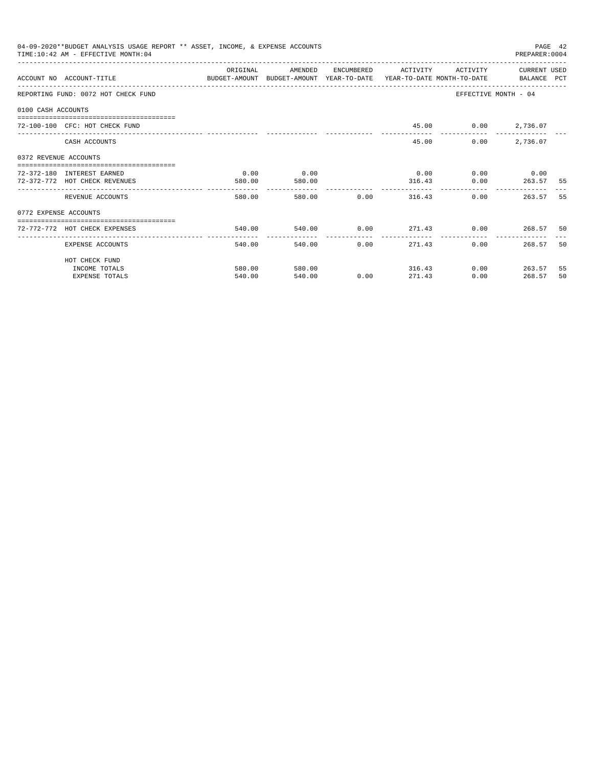| 04-09-2020**BUDGET ANALYSIS USAGE REPORT ** ASSET, INCOME, & EXPENSE ACCOUNTS<br>PAGE 42<br>TIME: 10:42 AM - EFFECTIVE MONTH: 04<br>PREPARER:0004<br>OR TGTNAL<br>AMENDED<br>ACTIVITY CURRENT USED<br>ENCUMBERED<br><b>ACTIVITY</b><br>ACCOUNT NO ACCOUNT-TITLE COMPUTE THE SUDGET-AMOUNT BUDGET-AMOUNT VEAR-TO-DATE YEAR-TO-DATE MONTH-TO-DATE BALANCE PCT<br>EFFECTIVE MONTH - 04<br>REPORTING FUND: 0072 HOT CHECK FUND<br>0100 CASH ACCOUNTS<br>45.00 0.00 2,736.07<br>72-100-100 CFC: HOT CHECK FUND<br>0.00<br>2,736.07<br>CASH ACCOUNTS<br>45.00<br>0372 REVENUE ACCOUNTS<br>0.00<br>0.00<br>0.00<br>$0.00$ $0.00$<br>72-372-180 INTEREST EARNED<br>$0.00$ 263.57<br>72-372-772 HOT CHECK REVENUES<br>580.00<br>580.00<br>316.43<br>580.00 0.00<br>0.00<br>580.00<br>316.43<br>REVENUE ACCOUNTS<br>0772 EXPENSE ACCOUNTS<br>540.00<br>72-772-772 HOT CHECK EXPENSES<br><br>------------<br>-------------<br>0.00<br>0.00<br>EXPENSE ACCOUNTS<br>540.00<br>540.00<br>271.43 |                       |        |        |      |        |      |               |     |
|-----------------------------------------------------------------------------------------------------------------------------------------------------------------------------------------------------------------------------------------------------------------------------------------------------------------------------------------------------------------------------------------------------------------------------------------------------------------------------------------------------------------------------------------------------------------------------------------------------------------------------------------------------------------------------------------------------------------------------------------------------------------------------------------------------------------------------------------------------------------------------------------------------------------------------------------------------------------------------------|-----------------------|--------|--------|------|--------|------|---------------|-----|
|                                                                                                                                                                                                                                                                                                                                                                                                                                                                                                                                                                                                                                                                                                                                                                                                                                                                                                                                                                                   |                       |        |        |      |        |      |               |     |
|                                                                                                                                                                                                                                                                                                                                                                                                                                                                                                                                                                                                                                                                                                                                                                                                                                                                                                                                                                                   |                       |        |        |      |        |      |               |     |
|                                                                                                                                                                                                                                                                                                                                                                                                                                                                                                                                                                                                                                                                                                                                                                                                                                                                                                                                                                                   |                       |        |        |      |        |      |               |     |
|                                                                                                                                                                                                                                                                                                                                                                                                                                                                                                                                                                                                                                                                                                                                                                                                                                                                                                                                                                                   |                       |        |        |      |        |      |               |     |
|                                                                                                                                                                                                                                                                                                                                                                                                                                                                                                                                                                                                                                                                                                                                                                                                                                                                                                                                                                                   |                       |        |        |      |        |      |               |     |
|                                                                                                                                                                                                                                                                                                                                                                                                                                                                                                                                                                                                                                                                                                                                                                                                                                                                                                                                                                                   |                       |        |        |      |        |      |               |     |
|                                                                                                                                                                                                                                                                                                                                                                                                                                                                                                                                                                                                                                                                                                                                                                                                                                                                                                                                                                                   |                       |        |        |      |        |      |               |     |
|                                                                                                                                                                                                                                                                                                                                                                                                                                                                                                                                                                                                                                                                                                                                                                                                                                                                                                                                                                                   |                       |        |        |      |        |      |               | -55 |
|                                                                                                                                                                                                                                                                                                                                                                                                                                                                                                                                                                                                                                                                                                                                                                                                                                                                                                                                                                                   |                       |        |        |      |        |      | 263.57        | 55  |
|                                                                                                                                                                                                                                                                                                                                                                                                                                                                                                                                                                                                                                                                                                                                                                                                                                                                                                                                                                                   |                       |        |        |      |        |      |               |     |
|                                                                                                                                                                                                                                                                                                                                                                                                                                                                                                                                                                                                                                                                                                                                                                                                                                                                                                                                                                                   |                       |        |        |      |        |      |               |     |
|                                                                                                                                                                                                                                                                                                                                                                                                                                                                                                                                                                                                                                                                                                                                                                                                                                                                                                                                                                                   |                       |        |        |      |        |      | 268.57        | 50  |
|                                                                                                                                                                                                                                                                                                                                                                                                                                                                                                                                                                                                                                                                                                                                                                                                                                                                                                                                                                                   | HOT CHECK FUND        |        |        |      |        |      |               |     |
|                                                                                                                                                                                                                                                                                                                                                                                                                                                                                                                                                                                                                                                                                                                                                                                                                                                                                                                                                                                   | INCOME TOTALS         | 580.00 | 580.00 |      | 316.43 |      | $0.00$ 263.57 | 55  |
|                                                                                                                                                                                                                                                                                                                                                                                                                                                                                                                                                                                                                                                                                                                                                                                                                                                                                                                                                                                   | <b>EXPENSE TOTALS</b> | 540.00 | 540.00 | 0.00 | 271.43 | 0.00 | 268.57        | 50  |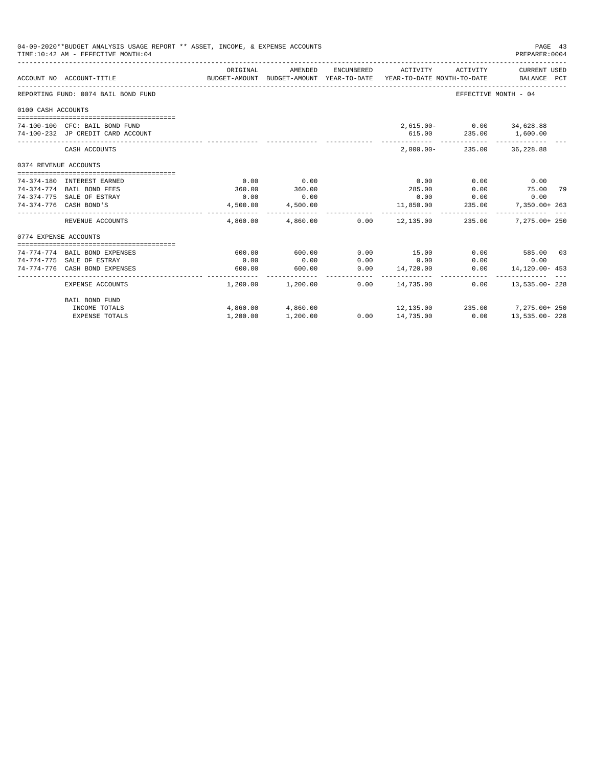|                       | 04-09-2020**BUDGET ANALYSIS USAGE REPORT ** ASSET, INCOME, & EXPENSE ACCOUNTS<br>TIME: 10:42 AM - EFFECTIVE MONTH: 04 |                |                                                                                |            |                                     |                                                    | PAGE 43<br>PREPARER: 0004                       |  |
|-----------------------|-----------------------------------------------------------------------------------------------------------------------|----------------|--------------------------------------------------------------------------------|------------|-------------------------------------|----------------------------------------------------|-------------------------------------------------|--|
|                       | ACCOUNT NO ACCOUNT-TITLE                                                                                              | ORIGINAL       | AMENDED<br>BUDGET-AMOUNT BUDGET-AMOUNT YEAR-TO-DATE YEAR-TO-DATE MONTH-TO-DATE | ENCUMBERED | ACTIVITY                            | ACTIVITY                                           | <b>CURRENT USED</b><br>BALANCE PCT              |  |
|                       | REPORTING FUND: 0074 BAIL BOND FUND                                                                                   |                |                                                                                |            |                                     | EFFECTIVE MONTH - 04                               |                                                 |  |
| 0100 CASH ACCOUNTS    |                                                                                                                       |                |                                                                                |            |                                     |                                                    |                                                 |  |
|                       | 74-100-100 CFC: BAIL BOND FUND<br>74-100-232 JP CREDIT CARD ACCOUNT                                                   |                |                                                                                |            |                                     | 2,615.00- 0.00 34,628.88<br>615.00 235.00 1,600.00 |                                                 |  |
|                       | CASH ACCOUNTS                                                                                                         |                |                                                                                |            |                                     | $2,000.00 - 235.00$                                | 36,228.88                                       |  |
| 0374 REVENUE ACCOUNTS |                                                                                                                       |                |                                                                                |            |                                     |                                                    |                                                 |  |
|                       |                                                                                                                       |                |                                                                                |            |                                     |                                                    |                                                 |  |
|                       | 74-374-180 INTEREST EARNED                                                                                            | 0.00           | 0.00<br>360.00                                                                 |            | 0.00                                | 0.00                                               | 0.00                                            |  |
|                       | 74-374-774 BAIL BOND FEES<br>74-374-775 SALE OF ESTRAY                                                                | 360.00<br>0.00 | 0.00                                                                           |            | 285.00<br>0.00                      | 0.00<br>0.00                                       | 75.00 79<br>0.00                                |  |
|                       | 74-374-776 CASH BOND'S                                                                                                | 4,500.00       | 4,500.00                                                                       |            |                                     | 235.00                                             |                                                 |  |
|                       |                                                                                                                       |                | -------------                                                                  |            | 11,850.00                           |                                                    | 7,350.00+ 263                                   |  |
|                       | REVENUE ACCOUNTS                                                                                                      |                |                                                                                |            |                                     | $4,860.00$ $4,860.00$ $0.00$ $12,135.00$ $235.00$  | 7,275.00+ 250                                   |  |
| 0774 EXPENSE ACCOUNTS |                                                                                                                       |                |                                                                                |            |                                     |                                                    |                                                 |  |
|                       |                                                                                                                       |                |                                                                                |            |                                     |                                                    |                                                 |  |
|                       | 74-774-774 BAIL BOND EXPENSES                                                                                         | 600.00         | 600.00                                                                         | 0.00       | 15.00                               |                                                    | $0.00$ 585.00 03                                |  |
|                       | 74-774-775 SALE OF ESTRAY                                                                                             | 0.00           | 0.00                                                                           | 0.00       | 0.00                                | 0.00                                               | 0.00                                            |  |
|                       | 74-774-776 CASH BOND EXPENSES                                                                                         | 600.00         | 600.00                                                                         | 0.00       | 14,720.00<br>______________________ | 0.00                                               | 14,120.00- 453<br>_____________________________ |  |
|                       | <b>EXPENSE ACCOUNTS</b>                                                                                               |                | 1,200.00 1,200.00                                                              | 0.00       | 14,735.00                           | 0.00                                               | 13,535.00-228                                   |  |
|                       | BAIL BOND FUND                                                                                                        |                |                                                                                |            |                                     |                                                    |                                                 |  |
|                       | INCOME TOTALS                                                                                                         |                | 4,860.00 4,860.00                                                              |            |                                     | $12,135.00$ $235.00$ $7,275.00+250$                |                                                 |  |
|                       | <b>EXPENSE TOTALS</b>                                                                                                 | 1,200.00       | 1,200.00                                                                       |            | $0.00$ 14,735.00                    | 0.00                                               | 13,535.00-228                                   |  |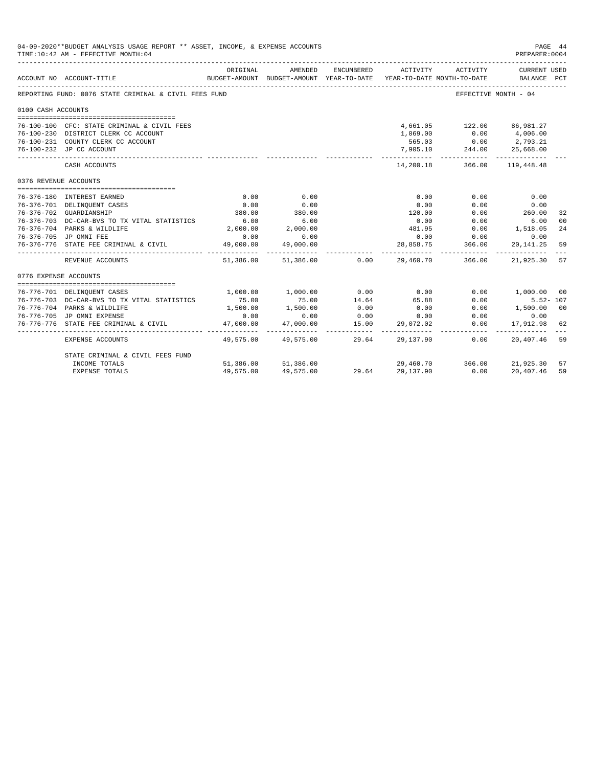|                       | 04-09-2020**BUDGET ANALYSIS USAGE REPORT ** ASSET, INCOME, & EXPENSE ACCOUNTS<br>TIME:10:42 AM - EFFECTIVE MONTH:04 |                          |                     |                |                                                                                 |                  | PAGE 44<br>PREPARER: 0004         |    |
|-----------------------|---------------------------------------------------------------------------------------------------------------------|--------------------------|---------------------|----------------|---------------------------------------------------------------------------------|------------------|-----------------------------------|----|
|                       | ACCOUNT NO ACCOUNT-TITLE                                                                                            | ORIGINAL                 | AMENDED             | ENCUMBERED     | ACTIVITY<br>BUDGET-AMOUNT BUDGET-AMOUNT YEAR-TO-DATE YEAR-TO-DATE MONTH-TO-DATE | ACTIVITY         | CURRENT USED<br>BALANCE PCT       |    |
|                       | REPORTING FUND: 0076 STATE CRIMINAL & CIVIL FEES FUND                                                               |                          |                     |                |                                                                                 |                  | EFFECTIVE MONTH - 04              |    |
| 0100 CASH ACCOUNTS    |                                                                                                                     |                          |                     |                |                                                                                 |                  |                                   |    |
|                       | 76-100-100 CFC: STATE CRIMINAL & CIVIL FEES                                                                         |                          |                     |                |                                                                                 |                  | 4,661.05 122.00 86,981.27         |    |
|                       | 76-100-230 DISTRICT CLERK CC ACCOUNT                                                                                |                          |                     |                | 1,069.00                                                                        | 0.00             | 4,006.00                          |    |
|                       | 76-100-231 COUNTY CLERK CC ACCOUNT                                                                                  |                          |                     |                | 565.03                                                                          |                  | $0.00$ 2,793.21                   |    |
|                       | 76-100-232 JP CC ACCOUNT                                                                                            |                          |                     |                | 7,905.10                                                                        | 244.00           | 25,668.00                         |    |
|                       | CASH ACCOUNTS                                                                                                       |                          |                     |                | . _ _ _ _ _ _ _ _ _ _<br>14,200.18                                              | ------------     | ------------<br>366.00 119,448.48 |    |
| 0376 REVENUE ACCOUNTS |                                                                                                                     |                          |                     |                |                                                                                 |                  |                                   |    |
|                       |                                                                                                                     |                          |                     |                |                                                                                 |                  |                                   |    |
|                       | 76-376-180 INTEREST EARNED                                                                                          | 0.00                     | 0.00                |                | 0.00                                                                            | 0.00             | 0.00                              |    |
|                       | 76-376-701 DELINQUENT CASES                                                                                         | 0.00                     | 0.00                |                | 0.00                                                                            | 0.00             | 0.00                              |    |
|                       | 76-376-702 GUARDIANSHIP                                                                                             | 380.00                   | 380.00              |                | 120.00                                                                          | 0.00             | 260.00                            | 32 |
|                       | 76-376-703 DC-CAR-BVS TO TX VITAL STATISTICS                                                                        | 6.00                     | 6.00                |                | 0.00                                                                            | 0.00             | 6.00                              | 00 |
|                       | 76-376-704 PARKS & WILDLIFE                                                                                         | 2,000.00                 | 2,000.00            |                | 481.95                                                                          |                  | $0.00$ 1,518.05                   | 24 |
|                       | 76-376-705 JP OMNI FEE                                                                                              | 0.00                     | 0.00                |                | 0.00                                                                            | $0.00$<br>366.00 | 0.00                              |    |
|                       | 76-376-776 STATE FEE CRIMINAL & CIVIL                                                                               | 49,000.00<br>----------- | 49,000.00           |                | 28,858.75                                                                       |                  | 20,141.25                         | 59 |
|                       | REVENUE ACCOUNTS                                                                                                    | 51,386.00                |                     | 51,386.00 0.00 | 29,460.70                                                                       | 366.00           | 21,925.30                         | 57 |
| 0776 EXPENSE ACCOUNTS |                                                                                                                     |                          |                     |                |                                                                                 |                  |                                   |    |
|                       |                                                                                                                     |                          |                     |                |                                                                                 |                  |                                   |    |
|                       | 76-776-701 DELINQUENT CASES                                                                                         | 1,000.00                 | 1,000.00            | 0.00           | 0.00                                                                            | 0.00             | $1,000.00$ 00                     |    |
|                       | 76-776-703 DC-CAR-BVS TO TX VITAL STATISTICS                                                                        | 75.00                    | 75.00               | 14.64          | 65.88                                                                           | 0.00             | $5.52 - 107$                      |    |
|                       | 76-776-704 PARKS & WILDLIFE                                                                                         | 1,500.00                 | 1,500.00            | 0.00           | 0.00                                                                            | 0.00             | 1,500.00 00                       |    |
|                       | 76-776-705 JP OMNI EXPENSE<br>76-776-776 STATE FEE CRIMINAL & CIVIL                                                 | 0.00<br>47,000.00        | 0.00                | 0.00<br>15.00  | 0.00                                                                            | 0.00<br>0.00     | 0.00                              |    |
|                       |                                                                                                                     |                          | 47,000.00           |                | 29,072.02                                                                       |                  | 17,912.98                         | 62 |
|                       | <b>EXPENSE ACCOUNTS</b>                                                                                             |                          | 49,575,00 49,575,00 | 29.64          | 29,137.90                                                                       | 0.00             | 20,407.46 59                      |    |
|                       | STATE CRIMINAL & CIVIL FEES FUND                                                                                    |                          |                     |                |                                                                                 |                  |                                   |    |
|                       | INCOME TOTALS                                                                                                       | 51,386.00                | 51,386.00           |                | 29,460.70                                                                       | 366.00           | 21,925.30                         | 57 |
|                       | <b>EXPENSE TOTALS</b>                                                                                               | 49,575.00                | 49,575.00           | 29.64          | 29,137.90                                                                       | 0.00             | 20,407.46                         | 59 |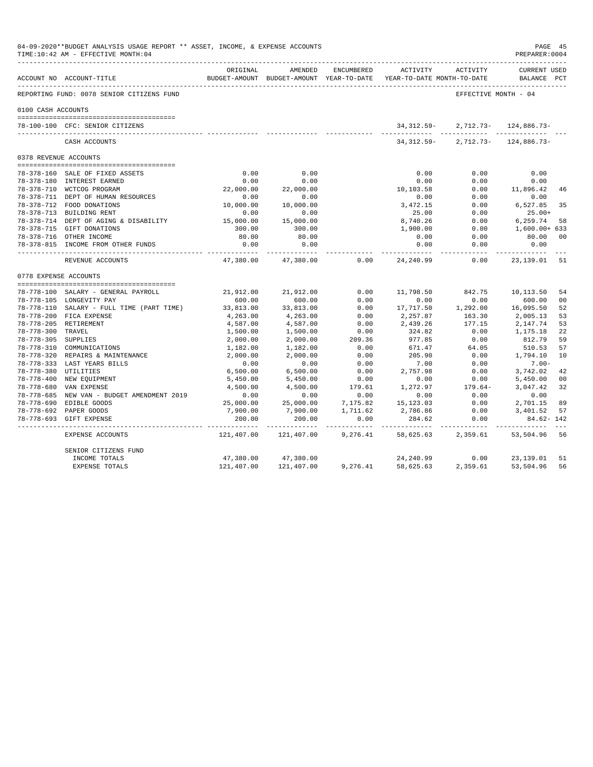|                       | 04-09-2020**BUDGET ANALYSIS USAGE REPORT ** ASSET, INCOME, & EXPENSE ACCOUNTS<br>TIME:10:42 AM - EFFECTIVE MONTH:04 |                      |                              |              |                                                                     |                                       | PAGE 45<br>PREPARER: 0004          |                |
|-----------------------|---------------------------------------------------------------------------------------------------------------------|----------------------|------------------------------|--------------|---------------------------------------------------------------------|---------------------------------------|------------------------------------|----------------|
|                       | ACCOUNT NO ACCOUNT-TITLE                                                                                            | ORIGINAL             | AMENDED                      | ENCUMBERED   | BUDGET-AMOUNT BUDGET-AMOUNT YEAR-TO-DATE YEAR-TO-DATE MONTH-TO-DATE | ACTIVITY ACTIVITY                     | <b>CURRENT USED</b><br>BALANCE PCT |                |
|                       | REPORTING FUND: 0078 SENIOR CITIZENS FUND                                                                           |                      |                              |              |                                                                     | EFFECTIVE MONTH - 04                  |                                    |                |
| 0100 CASH ACCOUNTS    |                                                                                                                     |                      |                              |              |                                                                     |                                       |                                    |                |
|                       | 78-100-100 CFC: SENIOR CITIZENS                                                                                     |                      |                              |              | 34,312.59-                                                          |                                       | $2,712.73 - 124.886.73 -$          |                |
|                       | CASH ACCOUNTS                                                                                                       |                      |                              |              |                                                                     | $34.312.59 - 2.712.73 - 124.886.73 -$ |                                    |                |
| 0378 REVENUE ACCOUNTS |                                                                                                                     |                      |                              |              |                                                                     |                                       |                                    |                |
|                       |                                                                                                                     |                      |                              |              |                                                                     |                                       |                                    |                |
|                       | 78-378-160 SALE OF FIXED ASSETS                                                                                     | 0.00                 | 0.00                         |              | 0.00                                                                | 0.00                                  | 0.00                               |                |
|                       | 78-378-180 INTEREST EARNED                                                                                          | 0.00                 | 0.00                         |              | 0.00                                                                | 0.00                                  | 0.00                               |                |
|                       | 78-378-710 WCTCOG PROGRAM                                                                                           | 22,000.00            | 22,000.00                    |              | 10,103.58                                                           | 0.00                                  | 11,896.42                          | 46             |
|                       | 78-378-711 DEPT OF HUMAN RESOURCES                                                                                  | 0.00                 | 0.00                         |              | 0.00                                                                | 0.00                                  | 0.00                               |                |
|                       | 78-378-712 FOOD DONATIONS                                                                                           | 10,000.00            | 10,000.00                    |              | 3,472.15                                                            | 0.00                                  | 6,527.85                           | 35             |
|                       | 78-378-713 BUILDING RENT                                                                                            | 0.00                 | 0.00                         |              | 25.00                                                               | 0.00                                  | $25.00+$                           |                |
|                       | 78-378-714 DEPT OF AGING & DISABILITY                                                                               | 15,000.00            | 15,000.00                    |              | 8,740.26                                                            | 0.00                                  | 6,259.74                           | 58             |
|                       | 78-378-715 GIFT DONATIONS                                                                                           | 300.00               | 300.00                       |              | 1,900.00                                                            | 0.00                                  | $1,600.00+633$                     |                |
|                       | 78-378-716 OTHER INCOME                                                                                             | 80.00                | 80.00                        |              | 0.00                                                                | 0.00                                  | 80.00                              | 00             |
|                       | 78-378-815 INCOME FROM OTHER FUNDS                                                                                  | 0.00<br>-----------  | 0.00<br>-----------          |              | 0.00                                                                | 0.00<br>-------                       | 0.00                               |                |
|                       | REVENUE ACCOUNTS                                                                                                    | 47,380.00            | 47,380.00                    | 0.00         | 24,240.99                                                           | 0.00                                  | 23,139.01                          | 51             |
| 0778 EXPENSE ACCOUNTS |                                                                                                                     |                      |                              |              |                                                                     |                                       |                                    |                |
|                       |                                                                                                                     |                      |                              |              |                                                                     |                                       |                                    |                |
|                       | 78-778-100 SALARY - GENERAL PAYROLL                                                                                 | 21,912.00            | 21,912.00                    | 0.00         | 11,798.50                                                           | 842.75                                | 10,113.50                          | 54             |
|                       | 78-778-105 LONGEVITY PAY                                                                                            | 600.00               | 600.00                       | 0.00         | 0.00                                                                | 0.00                                  | 600.00                             | 0 <sup>0</sup> |
|                       | 78-778-110 SALARY - FULL TIME (PART TIME)                                                                           | 33,813.00            | 33,813.00                    | 0.00         | 17,717.50                                                           | 1,292.00                              | 16,095.50                          | 52             |
|                       | 78-778-200 FICA EXPENSE                                                                                             | 4,263.00             | 4,263.00                     | 0.00         | 2,257.87                                                            | 163.30                                | 2,005.13                           | 53             |
|                       | 78-778-205 RETIREMENT                                                                                               | 4,587.00             | 4,587.00                     | 0.00         | 2,439.26                                                            | 177.15                                | 2,147.74                           | 53             |
| 78-778-300 TRAVEL     |                                                                                                                     | 1,500.00             | 1,500.00                     | 0.00         | 324.82                                                              | 0.00                                  | 1,175.18                           | 22             |
| 78-778-305 SUPPLIES   |                                                                                                                     | 2,000.00             | 2,000.00                     | 209.36       | 977.85                                                              | 0.00                                  | 812.79                             | 59             |
|                       | 78-778-310 COMMUNICATIONS                                                                                           | 1,182.00             | 1,182.00                     | 0.00         | 671.47                                                              | 64.05                                 | 510.53                             | 57             |
|                       | 78-778-320 REPAIRS & MAINTENANCE                                                                                    | 2,000.00             | 2,000.00<br>0.00             | 0.00         | 205.90                                                              | 0.00<br>0.00                          | 1,794.10<br>$7.00 -$               | 10             |
| 78-778-380 UTILITIES  | 78-778-333 LAST YEARS BILLS                                                                                         | 0.00<br>6,500.00     |                              | 0.00<br>0.00 | 7.00<br>2,757.98                                                    | 0.00                                  | 3,742.02                           | 42             |
|                       | 78-778-400 NEW EQUIPMENT                                                                                            |                      | 6,500.00<br>5,450.00         | 0.00         | 0.00                                                                | 0.00                                  | 5,450.00                           | 00             |
|                       | 78-778-680 VAN EXPENSE                                                                                              | 5,450.00<br>4,500.00 | 4,500.00                     | 179.61       | 1,272.97                                                            | $179.64-$                             | 3,047.42                           | 32             |
|                       | 78-778-685 NEW VAN - BUDGET AMENDMENT 2019                                                                          | 0.00                 | 0.00                         | 0.00         | 0.00                                                                | 0.00                                  | 0.00                               |                |
|                       | 78-778-690 EDIBLE GOODS                                                                                             | 25,000.00            | 25,000.00                    | 7,175.82     | 15,123.03                                                           | 0.00                                  | 2,701.15                           | 89             |
|                       | 78-778-692 PAPER GOODS                                                                                              | 7,900.00             | 7,900.00                     | 1,711.62     | 2,786.86                                                            | 0.00                                  | 3,401.52                           | 57             |
|                       | 78-778-693 GIFT EXPENSE                                                                                             | 200.00               | 200.00                       | 0.00         | 284.62                                                              | 0.00                                  | 84.62-142                          |                |
|                       | EXPENSE ACCOUNTS                                                                                                    | .<br>121,407.00      | ------------ -<br>121,407.00 | 9,276.41     | 58,625.63                                                           | 2,359.61                              | 53,504.96 56                       |                |
|                       | SENIOR CITIZENS FUND                                                                                                |                      |                              |              |                                                                     |                                       |                                    |                |
|                       | INCOME TOTALS                                                                                                       | 47,380.00            | 47,380.00                    |              | 24,240.99                                                           | 0.00                                  | 23,139.01                          | 51             |
|                       | <b>EXPENSE TOTALS</b>                                                                                               | 121,407.00           | 121,407.00                   | 9,276.41     | 58,625.63                                                           | 2,359.61                              | 53,504.96                          | 56             |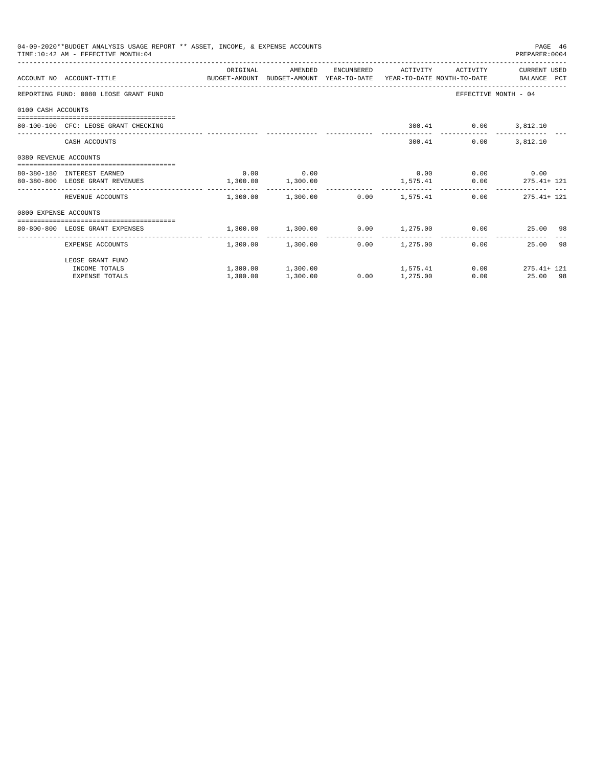| 04-09-2020**BUDGET ANALYSIS USAGE REPORT ** ASSET, INCOME, & EXPENSE ACCOUNTS<br>PAGE 46<br>TIME: 10:42 AM - EFFECTIVE MONTH: 04<br>PREPARER: 0004<br>ORIGINAL<br>AMENDED<br>ENCUMBERED ACTIVITY<br>ACTIVITY<br>CURRENT USED<br>ACCOUNT NO ACCOUNT-TITLE COMPUTE BUDGET-AMOUNT BUDGET-AMOUNT YEAR-TO-DATE YEAR-TO-DATE MONTH-TO-DATE BALANCE PCT<br>REPORTING FUND: 0080 LEOSE GRANT FUND<br>EFFECTIVE MONTH - 04<br>0100 CASH ACCOUNTS<br>300.41 0.00 3,812.10<br>80-100-100 CFC: LEOSE GRANT CHECKING<br>0.00<br>3,812.10<br>CASH ACCOUNTS<br>300.41<br>0380 REVENUE ACCOUNTS<br>$0.00$ 0.00<br>$0.00$ 0.00 0.00<br>80-380-180 INTEREST EARNED<br>$1,300.00$ $1,300.00$<br>$1,575.41$ 0.00 275.41+ 121<br>80-380-800 LEOSE GRANT REVENUES<br>$1.300.00$ $1.300.00$ $0.00$ $1.575.41$<br>$0.00$ 275.41+ 121<br>REVENUE ACCOUNTS<br>0800 EXPENSE ACCOUNTS<br>-------------------------------------<br>$1,300.00$ $1,300.00$ $0.00$ $1,275.00$ $0.00$ $25.00$ $98$<br>80-800-800 LEOSE GRANT EXPENSES<br>------------- |          |                                         |      |          |  |                       |  |
|-----------------------------------------------------------------------------------------------------------------------------------------------------------------------------------------------------------------------------------------------------------------------------------------------------------------------------------------------------------------------------------------------------------------------------------------------------------------------------------------------------------------------------------------------------------------------------------------------------------------------------------------------------------------------------------------------------------------------------------------------------------------------------------------------------------------------------------------------------------------------------------------------------------------------------------------------------------------------------------------------------------------------|----------|-----------------------------------------|------|----------|--|-----------------------|--|
|                                                                                                                                                                                                                                                                                                                                                                                                                                                                                                                                                                                                                                                                                                                                                                                                                                                                                                                                                                                                                       |          |                                         |      |          |  |                       |  |
|                                                                                                                                                                                                                                                                                                                                                                                                                                                                                                                                                                                                                                                                                                                                                                                                                                                                                                                                                                                                                       |          |                                         |      |          |  |                       |  |
|                                                                                                                                                                                                                                                                                                                                                                                                                                                                                                                                                                                                                                                                                                                                                                                                                                                                                                                                                                                                                       |          |                                         |      |          |  |                       |  |
|                                                                                                                                                                                                                                                                                                                                                                                                                                                                                                                                                                                                                                                                                                                                                                                                                                                                                                                                                                                                                       |          |                                         |      |          |  |                       |  |
|                                                                                                                                                                                                                                                                                                                                                                                                                                                                                                                                                                                                                                                                                                                                                                                                                                                                                                                                                                                                                       |          |                                         |      |          |  |                       |  |
|                                                                                                                                                                                                                                                                                                                                                                                                                                                                                                                                                                                                                                                                                                                                                                                                                                                                                                                                                                                                                       |          |                                         |      |          |  |                       |  |
|                                                                                                                                                                                                                                                                                                                                                                                                                                                                                                                                                                                                                                                                                                                                                                                                                                                                                                                                                                                                                       |          |                                         |      |          |  |                       |  |
|                                                                                                                                                                                                                                                                                                                                                                                                                                                                                                                                                                                                                                                                                                                                                                                                                                                                                                                                                                                                                       |          |                                         |      |          |  |                       |  |
|                                                                                                                                                                                                                                                                                                                                                                                                                                                                                                                                                                                                                                                                                                                                                                                                                                                                                                                                                                                                                       |          |                                         |      |          |  |                       |  |
|                                                                                                                                                                                                                                                                                                                                                                                                                                                                                                                                                                                                                                                                                                                                                                                                                                                                                                                                                                                                                       |          |                                         |      |          |  |                       |  |
|                                                                                                                                                                                                                                                                                                                                                                                                                                                                                                                                                                                                                                                                                                                                                                                                                                                                                                                                                                                                                       |          |                                         |      |          |  |                       |  |
|                                                                                                                                                                                                                                                                                                                                                                                                                                                                                                                                                                                                                                                                                                                                                                                                                                                                                                                                                                                                                       |          |                                         |      |          |  |                       |  |
| EXPENSE ACCOUNTS                                                                                                                                                                                                                                                                                                                                                                                                                                                                                                                                                                                                                                                                                                                                                                                                                                                                                                                                                                                                      |          | $1,300.00$ $1,300.00$ $0.00$ $1,275.00$ |      |          |  | 25.00 98<br>0.00      |  |
| LEOSE GRANT FUND                                                                                                                                                                                                                                                                                                                                                                                                                                                                                                                                                                                                                                                                                                                                                                                                                                                                                                                                                                                                      |          |                                         |      |          |  |                       |  |
| INCOME TOTALS                                                                                                                                                                                                                                                                                                                                                                                                                                                                                                                                                                                                                                                                                                                                                                                                                                                                                                                                                                                                         |          | $1,300.00$ $1,300.00$ $1,575.41$        |      |          |  | $0.00$ $275.41 + 121$ |  |
| <b>EXPENSE TOTALS</b>                                                                                                                                                                                                                                                                                                                                                                                                                                                                                                                                                                                                                                                                                                                                                                                                                                                                                                                                                                                                 | 1,300.00 | 1,300.00                                | 0.00 | 1,275.00 |  | 0.00<br>25.00 98      |  |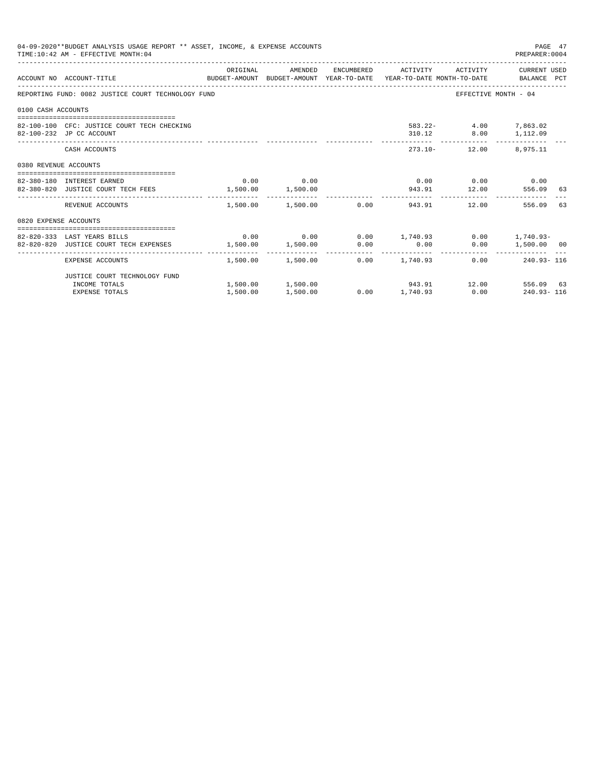|                       | 04-09-2020**BUDGET ANALYSIS USAGE REPORT ** ASSET, INCOME, & EXPENSE ACCOUNTS<br>TIME: 10:42 AM - EFFECTIVE MONTH: 04 |                   |                                                    |             |                                               | PAGE 47<br>PREPARER: 0004 |    |
|-----------------------|-----------------------------------------------------------------------------------------------------------------------|-------------------|----------------------------------------------------|-------------|-----------------------------------------------|---------------------------|----|
|                       | BUDGET-AMOUNT BUDGET-AMOUNT YEAR-TO-DATE YEAR-TO-DATE MONTH-TO-DATE BALANCE PCT<br>ACCOUNT NO ACCOUNT-TITLE           | ORIGINAL          | AMENDED ENCUMBERED ACTIVITY ACTIVITY CURRENT_USED  |             |                                               |                           |    |
|                       | REPORTING FUND: 0082 JUSTICE COURT TECHNOLOGY FUND                                                                    |                   |                                                    |             |                                               | EFFECTIVE MONTH - 04      |    |
| 0100 CASH ACCOUNTS    |                                                                                                                       |                   |                                                    |             |                                               |                           |    |
|                       | 82-100-100 CFC: JUSTICE COURT TECH CHECKING<br>82-100-232 JP CC ACCOUNT                                               |                   |                                                    |             | 583.22- 4.00 7,863.02<br>310.12 8.00 1,112.09 |                           |    |
|                       | CASH ACCOUNTS                                                                                                         |                   |                                                    |             | 273.10- 12.00 8.975.11                        |                           |    |
| 0380 REVENUE ACCOUNTS |                                                                                                                       |                   |                                                    |             |                                               |                           |    |
|                       | 82-380-180 INTEREST EARNED                                                                                            |                   | $0.00$ 0.00                                        |             | $0.00$ $0.00$ $0.00$ $0.00$                   |                           |    |
|                       | 82-380-820 JUSTICE COURT TECH FEES 1,500.00 1,500.00                                                                  |                   |                                                    |             | 943.91 12.00                                  | 556.09 63                 |    |
|                       | REVENUE ACCOUNTS                                                                                                      |                   | $1.500.00$ $1.500.00$ 0.00                         | 943.91      | 12.00                                         | 556.09                    | 63 |
| 0820 EXPENSE ACCOUNTS |                                                                                                                       |                   |                                                    |             |                                               |                           |    |
|                       |                                                                                                                       |                   |                                                    |             |                                               |                           |    |
|                       | 82-820-333 LAST YEARS BILLS                                                                                           |                   | $0.00$ $0.00$ $0.00$ $1,740.93$ $0.00$ $1,740.93$  |             |                                               |                           |    |
|                       | 82-820-820 JUSTICE COURT TECH EXPENSES                                                                                | 1,500.00 1,500.00 |                                                    | $0.00$ 0.00 |                                               | 0.00 1,500.00 00          |    |
|                       | EXPENSE ACCOUNTS                                                                                                      |                   | $1.500.00$ $1.500.00$ $0.00$ $1.740.93$            |             |                                               | $0.00$ 240.93-116         |    |
|                       | JUSTICE COURT TECHNOLOGY FUND                                                                                         |                   |                                                    |             |                                               |                           |    |
|                       | INCOME TOTALS                                                                                                         |                   | $1,500.00$ $1,500.00$ $943.91$ $12.00$ $556.09$ 63 |             |                                               |                           |    |
|                       | <b>EXPENSE TOTALS</b>                                                                                                 | 1,500.00          | 1,500.00                                           |             | $0.00$ 1,740.93 0.00 240.93-116               |                           |    |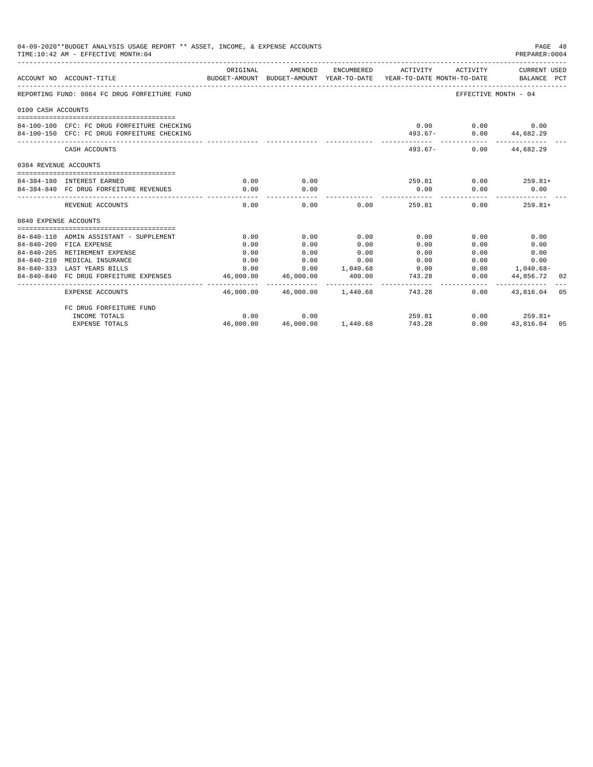|                       | 04-09-2020**BUDGET ANALYSIS USAGE REPORT ** ASSET, INCOME, & EXPENSE ACCOUNTS<br>TIME: 10:42 AM - EFFECTIVE MONTH: 04 |                                                                                             |                                     |                        |             |                                                       | PAGE 48<br>PREPARER:0004                  |    |
|-----------------------|-----------------------------------------------------------------------------------------------------------------------|---------------------------------------------------------------------------------------------|-------------------------------------|------------------------|-------------|-------------------------------------------------------|-------------------------------------------|----|
|                       | ACCOUNT NO ACCOUNT-TITLE                                                                                              | ORIGINAL<br>BUDGET-AMOUNT BUDGET-AMOUNT YEAR-TO-DATE YEAR-TO-DATE MONTH-TO-DATE BALANCE PCT | AMENDED                             |                        |             |                                                       | ENCUMBERED ACTIVITY ACTIVITY CURRENT USED |    |
|                       | REPORTING FUND: 0084 FC DRUG FORFEITURE FUND                                                                          |                                                                                             |                                     |                        |             |                                                       | EFFECTIVE MONTH - 04                      |    |
| 0100 CASH ACCOUNTS    |                                                                                                                       |                                                                                             |                                     |                        |             |                                                       |                                           |    |
|                       |                                                                                                                       |                                                                                             |                                     |                        |             |                                                       |                                           |    |
|                       | 84-100-100 CFC: FC DRUG FORFEITURE CHECKING                                                                           |                                                                                             |                                     |                        |             | $0.00$ $0.00$ $0.00$                                  |                                           |    |
|                       | 84-100-150 CFC: FC DRUG FORFEITURE CHECKING                                                                           |                                                                                             |                                     |                        |             | 493.67- 0.00 44,682.29<br>------------- ------------- |                                           |    |
|                       | CASH ACCOUNTS                                                                                                         |                                                                                             |                                     |                        |             | 493.67- 0.00 44.682.29                                |                                           |    |
| 0384 REVENUE ACCOUNTS |                                                                                                                       |                                                                                             |                                     |                        |             |                                                       |                                           |    |
|                       |                                                                                                                       |                                                                                             |                                     |                        |             |                                                       |                                           |    |
|                       | 84-384-180 INTEREST EARNED                                                                                            | 0.00                                                                                        | 0.00                                |                        |             | $259.81$ 0.00 $259.81+$                               |                                           |    |
|                       | 84-384-840 FC DRUG FORFEITURE REVENUES                                                                                | 0.00                                                                                        | 0.00                                |                        | 0.00        | 0.00                                                  | 0.00                                      |    |
|                       | REVENUE ACCOUNTS                                                                                                      | 0.00                                                                                        | 0.00                                |                        | 0.00 259.81 |                                                       | 0.00<br>$259.81+$                         |    |
| 0840 EXPENSE ACCOUNTS |                                                                                                                       |                                                                                             |                                     |                        |             |                                                       |                                           |    |
|                       |                                                                                                                       |                                                                                             |                                     |                        |             |                                                       |                                           |    |
|                       | 84-840-110 ADMIN ASSISTANT - SUPPLEMENT                                                                               | 0.00                                                                                        | 0.00                                | 0.00                   | 0.00        | 0.00                                                  | 0.00                                      |    |
|                       | 84-840-200 FICA EXPENSE                                                                                               | 0.00                                                                                        | 0.00                                | 0.00                   | 0.00        | 0.00                                                  | 0.00                                      |    |
|                       | 84-840-205 RETIREMENT EXPENSE                                                                                         | 0.00                                                                                        | 0.00                                | 0.00                   | 0.00        | 0.00                                                  | 0.00                                      |    |
|                       | 84-840-210 MEDICAL INSURANCE                                                                                          | 0.00                                                                                        | 0.00                                | 0.00                   | 0.00        |                                                       | $0.00$ and $0.00$<br>0.00                 |    |
|                       | 84-840-333 LAST YEARS BILLS                                                                                           | 0.00                                                                                        | 0.00 1,040.68                       |                        | 0.00        |                                                       | $0.00$ 1,040.68-                          |    |
|                       | 84-840-840 FC DRUG FORFEITURE EXPENSES                                                                                | 46,000.00<br>-----------                                                                    | 46,000.00<br>-------------          | 400.00<br>------------ | 743.28<br>. | 0.00<br>----------- -                                 | 44,856.72<br>--------------               | 02 |
|                       | <b>EXPENSE ACCOUNTS</b>                                                                                               |                                                                                             | 46,000.00 46,000.00 1,440.68 743.28 |                        |             |                                                       | $0.00$ $43,816.04$ 05                     |    |
|                       | FC DRUG FORFEITURE FUND                                                                                               |                                                                                             |                                     |                        |             |                                                       |                                           |    |
|                       | INCOME TOTALS                                                                                                         | 0.00                                                                                        | 0.00                                |                        |             | 259.81                                                | $0.00$ 259.81+                            |    |
|                       | <b>EXPENSE TOTALS</b>                                                                                                 | 46,000.00                                                                                   | 46,000.00 1,440.68                  |                        | 743.28      | 0.00                                                  | 43,816.04 05                              |    |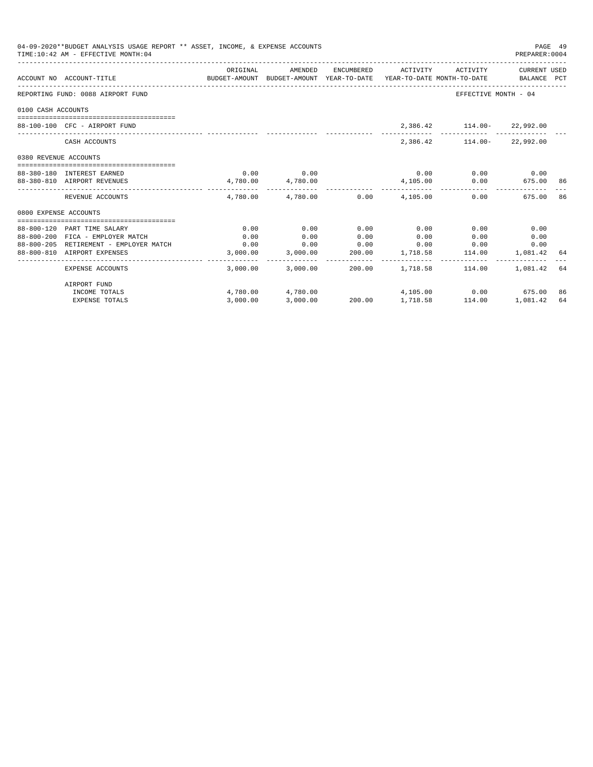| 04-09-2020**BUDGET ANALYSIS USAGE REPORT ** ASSET, INCOME, & EXPENSE ACCOUNTS<br>TIME: 10:42 AM - EFFECTIVE MONTH: 04 |                                   |                                                                                             |                                         |      |                |                                                                                                 |             | PAGE 49<br>PREPARER: 0004 |  |
|-----------------------------------------------------------------------------------------------------------------------|-----------------------------------|---------------------------------------------------------------------------------------------|-----------------------------------------|------|----------------|-------------------------------------------------------------------------------------------------|-------------|---------------------------|--|
|                                                                                                                       | ACCOUNT NO ACCOUNT-TITLE          | ORIGINAL<br>BUDGET-AMOUNT BUDGET-AMOUNT YEAR-TO-DATE YEAR-TO-DATE MONTH-TO-DATE BALANCE PCT | AMENDED                                 |      |                | ENCUMBERED ACTIVITY ACTIVITY CURRENT USED                                                       |             |                           |  |
|                                                                                                                       | REPORTING FUND: 0088 AIRPORT FUND |                                                                                             |                                         |      |                | EFFECTIVE MONTH - 04                                                                            |             |                           |  |
| 0100 CASH ACCOUNTS                                                                                                    |                                   |                                                                                             |                                         |      |                |                                                                                                 |             |                           |  |
|                                                                                                                       | 88-100-100 CFC - AIRPORT FUND     |                                                                                             |                                         |      |                | 2,386.42   114.00-  22,992.00                                                                   |             |                           |  |
|                                                                                                                       | CASH ACCOUNTS                     |                                                                                             |                                         |      |                | 2,386.42   114.00-  22,992.00                                                                   |             |                           |  |
| 0380 REVENUE ACCOUNTS                                                                                                 |                                   |                                                                                             |                                         |      |                |                                                                                                 |             |                           |  |
|                                                                                                                       | 88-380-180 INTEREST EARNED        |                                                                                             | $0.00$ 0.00                             |      |                | $0.00$ $0.00$ $0.00$ $0.00$                                                                     |             |                           |  |
|                                                                                                                       | 88-380-810 AIRPORT REVENUES       | $4,780.00$ $4,780.00$                                                                       |                                         |      |                | $4,105.00$ $0.00$ $675.00$ 86                                                                   |             |                           |  |
|                                                                                                                       | REVENUE ACCOUNTS                  |                                                                                             | $4.780.00$ $4.780.00$ $0.00$ $4.105.00$ |      | -------------- | _________________________________<br>0.00                                                       | 675.00      | 86                        |  |
| 0800 EXPENSE ACCOUNTS                                                                                                 |                                   |                                                                                             |                                         |      |                |                                                                                                 |             |                           |  |
|                                                                                                                       |                                   |                                                                                             |                                         |      |                |                                                                                                 |             |                           |  |
|                                                                                                                       | 88-800-120 PART TIME SALARY       | 0.00                                                                                        | 0.00                                    | 0.00 | 0.00           | 0.00                                                                                            | 0.00        |                           |  |
|                                                                                                                       | 88-800-200 FICA - EMPLOYER MATCH  | 0.00                                                                                        | 0.00                                    | 0.00 | 0.00           | 0.00                                                                                            | 0.00        |                           |  |
|                                                                                                                       | 88-800-810 AIRPORT EXPENSES       |                                                                                             |                                         |      |                | $3,000.00 \qquad 3,000.00 \qquad 200.00 \qquad 1,718.58 \qquad 114.00 \qquad 1,081.42 \quad 64$ | 0.00        |                           |  |
|                                                                                                                       |                                   |                                                                                             |                                         |      |                |                                                                                                 |             |                           |  |
|                                                                                                                       | EXPENSE ACCOUNTS                  |                                                                                             |                                         |      |                | $3,000.00$ $3,000.00$ $200.00$ $1,718.58$ $114.00$                                              | 1,081.42 64 |                           |  |
|                                                                                                                       | AIRPORT FUND                      |                                                                                             |                                         |      |                |                                                                                                 |             |                           |  |
|                                                                                                                       | INCOME TOTALS                     |                                                                                             |                                         |      |                | $4,780.00$ $4,780.00$ $4,105.00$ $0.00$ $675.00$                                                |             | 86                        |  |
|                                                                                                                       | <b>EXPENSE TOTALS</b>             |                                                                                             |                                         |      |                | 3,000.00 3,000.00 200.00 1,718.58 114.00 1,081.42                                               |             | 64                        |  |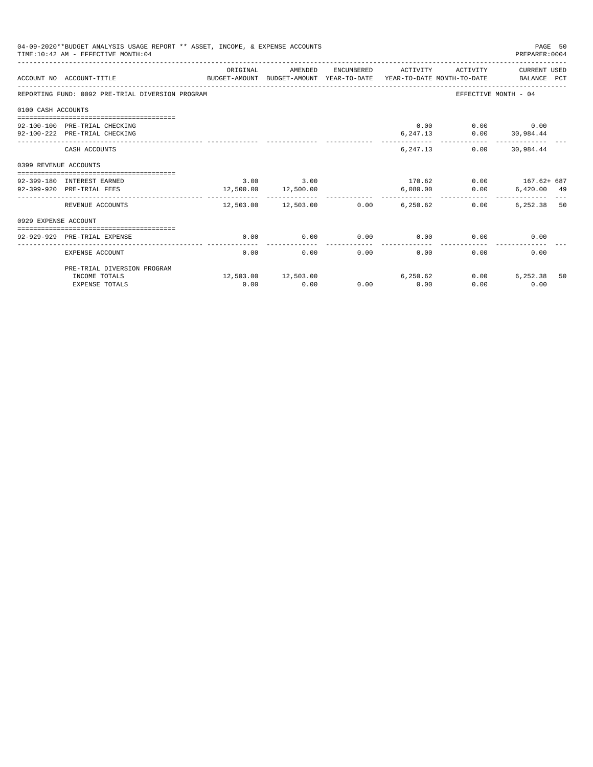| 04-09-2020**BUDGET ANALYSIS USAGE REPORT ** ASSET, INCOME, & EXPENSE ACCOUNTS<br>PAGE 50<br>TIME: 10:42 AM - EFFECTIVE MONTH: 04<br>PREPARER: 0004 |                                                                                                             |               |                                                |      |                     |                                                                   |                       |    |
|----------------------------------------------------------------------------------------------------------------------------------------------------|-------------------------------------------------------------------------------------------------------------|---------------|------------------------------------------------|------|---------------------|-------------------------------------------------------------------|-----------------------|----|
|                                                                                                                                                    | ACCOUNT NO ACCOUNT-TITLE<br>BUDGET-AMOUNT BUDGET-AMOUNT YEAR-TO-DATE YEAR-TO-DATE MONTH-TO-DATE BALANCE PCT | ORIGINAL      | AMENDED                                        |      | ENCUMBERED ACTIVITY |                                                                   | ACTIVITY CURRENT USED |    |
|                                                                                                                                                    | REPORTING FUND: 0092 PRE-TRIAL DIVERSION PROGRAM                                                            |               |                                                |      |                     |                                                                   | EFFECTIVE MONTH - 04  |    |
| 0100 CASH ACCOUNTS                                                                                                                                 |                                                                                                             |               |                                                |      |                     |                                                                   |                       |    |
|                                                                                                                                                    | 92-100-100 PRE-TRIAL CHECKING<br>92-100-222 PRE-TRIAL CHECKING                                              |               |                                                |      |                     | $0.00$ $0.00$ $0.00$<br>$6, 247.13$ $0.00$ $30, 984.44$           |                       |    |
|                                                                                                                                                    | CASH ACCOUNTS                                                                                               |               |                                                |      |                     | 6, 247.13 0.00 30, 984.44                                         |                       |    |
| 0399 REVENUE ACCOUNTS                                                                                                                              |                                                                                                             |               |                                                |      |                     |                                                                   |                       |    |
|                                                                                                                                                    | 92-399-180 INTEREST EARNED<br>92-399-920 PRE-TRIAL FEES                                                     | $3.00$ $3.00$ | 12,500.00 12,500.00                            |      |                     | $170.62$ $0.00$ $167.62 + 687$<br>6,080.00   0.00   6,420.00   49 |                       |    |
|                                                                                                                                                    | REVENUE ACCOUNTS                                                                                            | --------      | .<br>$12,503.00$ $12,503.00$ $0.00$ $6,250.62$ |      | -----------         | 0.00                                                              | 6,252.38 50           |    |
| 0929 EXPENSE ACCOUNT                                                                                                                               |                                                                                                             |               |                                                |      |                     |                                                                   |                       |    |
|                                                                                                                                                    | 92-929-929 PRE-TRIAL EXPENSE                                                                                | 0.00          | 0.00                                           | 0.00 |                     | $0.00$ 0.00                                                       | 0.00                  |    |
|                                                                                                                                                    | EXPENSE ACCOUNT                                                                                             | 0.00          | 0.00                                           | 0.00 | 0.00                | 0.00                                                              | 0.00                  |    |
|                                                                                                                                                    | PRE-TRIAL DIVERSION PROGRAM                                                                                 |               |                                                |      |                     |                                                                   |                       |    |
|                                                                                                                                                    | INCOME TOTALS<br><b>EXPENSE TOTALS</b>                                                                      | 0.00          | 12,503.00 12,503.00<br>0.00                    | 0.00 | 6,250.62<br>0.00    | 0.00<br>0.00                                                      | 6,252.38<br>0.00      | 50 |